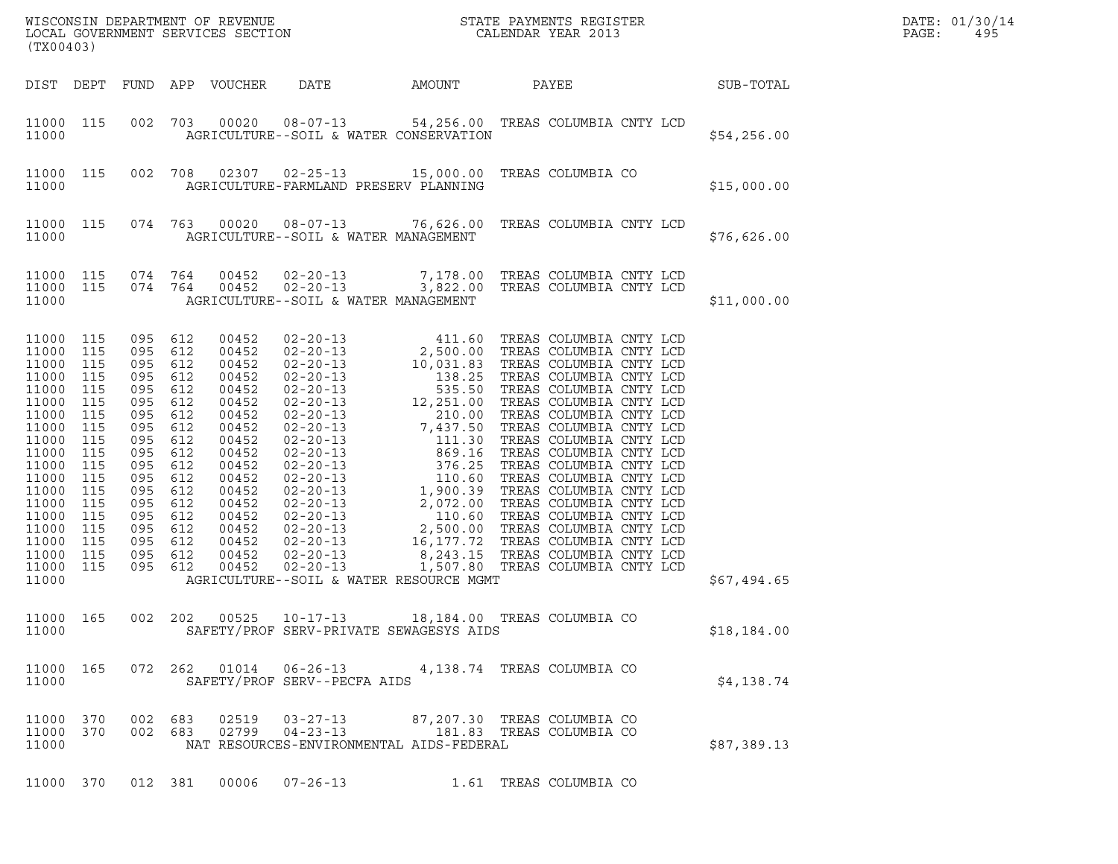|       | DATE: 01/30/14 |
|-------|----------------|
| PAGE: | 495            |

| (TX00403)                                                                                                                                                                        |                                                                                                                                   |                                                                                                                                                   |                                                                                                       |                                                                                                                                                                         |                                                                                     |        |                                                                                        |  |                  |  |  |  |  |
|----------------------------------------------------------------------------------------------------------------------------------------------------------------------------------|-----------------------------------------------------------------------------------------------------------------------------------|---------------------------------------------------------------------------------------------------------------------------------------------------|-------------------------------------------------------------------------------------------------------|-------------------------------------------------------------------------------------------------------------------------------------------------------------------------|-------------------------------------------------------------------------------------|--------|----------------------------------------------------------------------------------------|--|------------------|--|--|--|--|
|                                                                                                                                                                                  |                                                                                                                                   |                                                                                                                                                   |                                                                                                       | DIST DEPT FUND APP VOUCHER                                                                                                                                              | DATE                                                                                | AMOUNT | PAYEE                                                                                  |  | <b>SUB-TOTAL</b> |  |  |  |  |
| 11000 115<br>11000                                                                                                                                                               |                                                                                                                                   |                                                                                                                                                   |                                                                                                       |                                                                                                                                                                         | AGRICULTURE--SOIL & WATER CONSERVATION                                              |        | 002 703 00020 08-07-13 54,256.00 TREAS COLUMBIA CNTY LCD                               |  | \$54,256.00      |  |  |  |  |
| 11000 115<br>11000                                                                                                                                                               |                                                                                                                                   | 002 708                                                                                                                                           |                                                                                                       |                                                                                                                                                                         | AGRICULTURE-FARMLAND PRESERV PLANNING                                               |        |                                                                                        |  | \$15,000.00      |  |  |  |  |
| 11000 115<br>11000                                                                                                                                                               |                                                                                                                                   |                                                                                                                                                   |                                                                                                       |                                                                                                                                                                         | AGRICULTURE--SOIL & WATER MANAGEMENT                                                |        | 074 763 00020 08-07-13 76,626.00 TREAS COLUMBIA CNTY LCD                               |  | \$76,626.00      |  |  |  |  |
| 11000 115<br>11000 115<br>11000                                                                                                                                                  |                                                                                                                                   | 074 764                                                                                                                                           | 074 764                                                                                               | 00452<br>00452                                                                                                                                                          | AGRICULTURE--SOIL & WATER MANAGEMENT                                                |        | 02-20-13 7,178.00 TREAS COLUMBIA CNTY LCD<br>02-20-13 3,822.00 TREAS COLUMBIA CNTY LCD |  | \$11,000.00      |  |  |  |  |
| 11000<br>11000<br>11000<br>11000<br>11000<br>11000<br>11000<br>11000<br>11000<br>11000<br>11000<br>11000<br>11000<br>11000<br>11000<br>11000<br>11000<br>11000<br>11000<br>11000 | 115<br>115<br>115<br>115<br>115<br>115<br>115<br>115<br>115<br>115<br>115<br>115<br>115<br>115<br>115<br>115<br>115<br>115<br>115 | 095<br>095 612<br>095<br>095<br>095<br>095<br>095<br>095<br>095<br>095<br>095<br>095<br>095<br>095<br>095<br>095 612<br>095<br>095 612<br>095 612 | 612<br>612<br>612<br>612<br>612<br>612<br>612<br>612<br>612<br>612<br>612<br>612<br>612<br>612<br>612 | 00452<br>00452<br>00452<br>00452<br>00452<br>00452<br>00452<br>00452<br>00452<br>00452<br>00452<br>00452<br>00452<br>00452<br>00452<br>00452<br>00452<br>00452<br>00452 | $02 - 20 - 13$<br>AGRICULTURE--SOIL & WATER RESOURCE MGMT                           |        | 1,507.80 TREAS COLUMBIA CNTY LCD                                                       |  | \$67,494.65      |  |  |  |  |
| 11000                                                                                                                                                                            |                                                                                                                                   |                                                                                                                                                   |                                                                                                       |                                                                                                                                                                         | SAFETY/PROF SERV-PRIVATE SEWAGESYS AIDS                                             |        | 11000 165 002 202 00525 10-17-13 18,184.00 TREAS COLUMBIA CO                           |  | \$18,184.00      |  |  |  |  |
| 11000 165<br>11000                                                                                                                                                               |                                                                                                                                   |                                                                                                                                                   |                                                                                                       |                                                                                                                                                                         | 072  262  01014  06-26-13<br>SAFETY/PROF SERV--PECFA AIDS                           |        | 4,138.74 TREAS COLUMBIA CO                                                             |  | \$4,138.74       |  |  |  |  |
| 11000 370<br>11000 370<br>11000                                                                                                                                                  |                                                                                                                                   | 002 683                                                                                                                                           | 002 683                                                                                               |                                                                                                                                                                         | 02519  03-27-13<br>$02799004 - 23 - 13$<br>NAT RESOURCES-ENVIRONMENTAL AIDS-FEDERAL |        | 87,207.30 TREAS COLUMBIA CO<br>181.83 TREAS COLUMBIA CO                                |  | \$87,389.13      |  |  |  |  |
| 11000 370                                                                                                                                                                        |                                                                                                                                   | 012 381                                                                                                                                           |                                                                                                       | 00006                                                                                                                                                                   | $07 - 26 - 13$                                                                      |        | 1.61 TREAS COLUMBIA CO                                                                 |  |                  |  |  |  |  |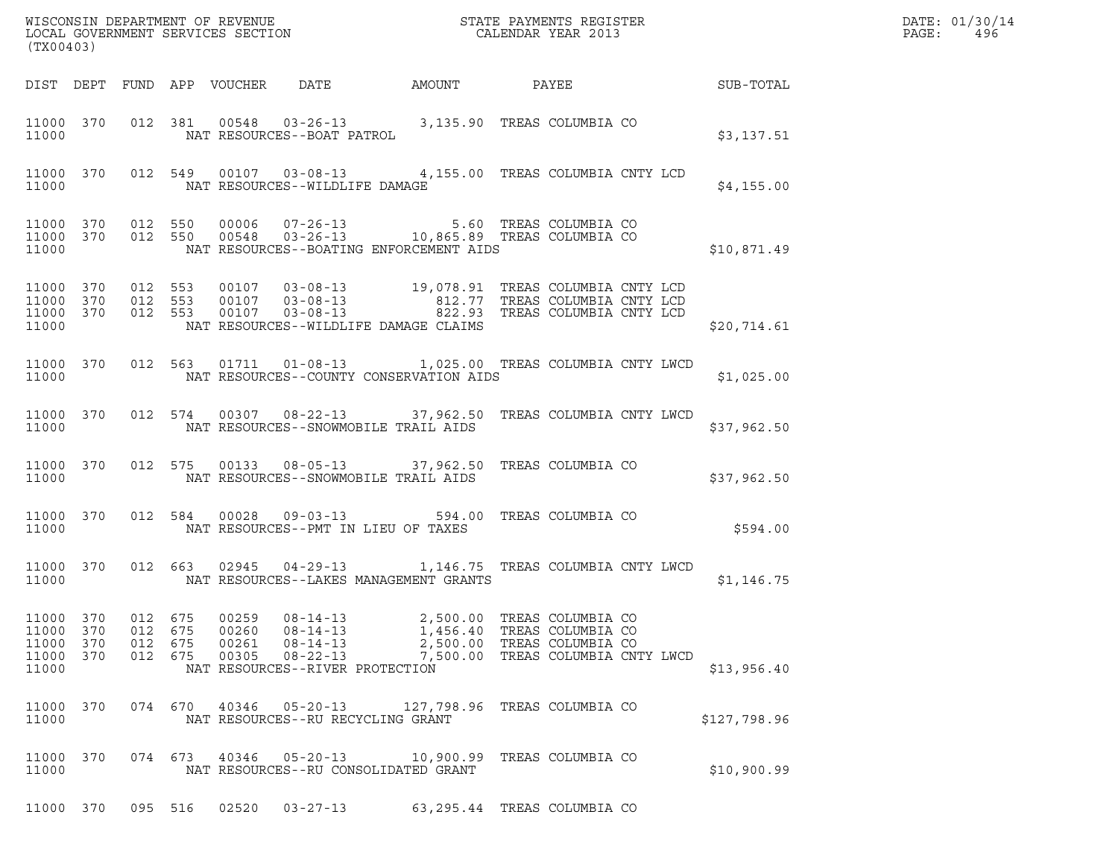|       | DATE: 01/30/14 |
|-------|----------------|
| PAGE: | 496            |

| (TX00403)                                    |                          |                          |                          |                                  |                                                                                                                                                                                                   |                      |                                                                                                           |              | DATE: 01/30/14<br>$\mathtt{PAGE}$ :<br>496 |
|----------------------------------------------|--------------------------|--------------------------|--------------------------|----------------------------------|---------------------------------------------------------------------------------------------------------------------------------------------------------------------------------------------------|----------------------|-----------------------------------------------------------------------------------------------------------|--------------|--------------------------------------------|
|                                              |                          |                          |                          |                                  | DIST DEPT FUND APP VOUCHER DATE                                                                                                                                                                   | AMOUNT               | PAYEE                                                                                                     | SUB-TOTAL    |                                            |
| 11000                                        |                          |                          |                          |                                  | 11000 370 012 381 00548 03-26-13 3,135.90 TREAS COLUMBIA CO<br>NAT RESOURCES--BOAT PATROL                                                                                                         |                      |                                                                                                           | \$3,137.51   |                                            |
| 11000                                        |                          |                          |                          |                                  | 11000 370 012 549 00107 03-08-13 4,155.00 TREAS COLUMBIA CNTY LCD<br>NAT RESOURCES--WILDLIFE DAMAGE                                                                                               |                      |                                                                                                           | \$4,155.00   |                                            |
| 11000 370 012 550<br>11000 370<br>11000      |                          |                          |                          |                                  | 012 550 00006 07-26-13 5.60 TREAS COLUMBIA CO<br>012 550 00548 03-26-13 10,865.89 TREAS COLUMBIA CO<br>NAT RESOURCES--BOATING ENFORCEMENT AIDS                                                    |                      |                                                                                                           | \$10,871.49  |                                            |
| 11000 370<br>11000 370<br>11000 370<br>11000 |                          | 012 553<br>012 553       | 012 553                  |                                  | 00107  03-08-13  19,078.91 TREAS COLUMBIA CNTY LCD<br>00107  03-08-13  812.77 TREAS COLUMBIA CNTY LCD<br>00107  03-08-13  822.93 TREAS COLUMBIA CNTY LCD<br>NAT RESOURCES--WILDLIFE DAMAGE CLAIMS |                      |                                                                                                           | \$20,714.61  |                                            |
| 11000 370<br>11000                           |                          |                          |                          |                                  | 012 563 01711 01-08-13 1,025.00 TREAS COLUMBIA CNTY LWCD<br>NAT RESOURCES--COUNTY CONSERVATION AIDS                                                                                               |                      |                                                                                                           | \$1,025.00   |                                            |
| 11000 370<br>11000                           |                          |                          |                          |                                  | 012 574 00307 08-22-13 37,962.50 TREAS COLUMBIA CNTY LWCD<br>NAT RESOURCES--SNOWMOBILE TRAIL AIDS                                                                                                 |                      |                                                                                                           | \$37,962.50  |                                            |
| 11000 370<br>11000                           |                          |                          |                          |                                  | 012 575 00133 08-05-13 37,962.50 TREAS COLUMBIA CO<br>NAT RESOURCES--SNOWMOBILE TRAIL AIDS                                                                                                        |                      |                                                                                                           | \$37,962.50  |                                            |
| 11000 370<br>11000                           |                          |                          |                          |                                  | 012 584 00028 09-03-13 594.00 TREAS COLUMBIA CO<br>NAT RESOURCES--PMT IN LIEU OF TAXES                                                                                                            |                      |                                                                                                           | \$594.00     |                                            |
| 11000 370<br>11000                           |                          |                          |                          |                                  | 012 663 02945 04-29-13 1,146.75 TREAS COLUMBIA CNTY LWCD<br>NAT RESOURCES--LAKES MANAGEMENT GRANTS                                                                                                |                      |                                                                                                           | \$1,146.75   |                                            |
| 11000<br>11000<br>11000<br>11000<br>11000    | 370<br>370<br>370<br>370 | 012<br>012<br>012<br>012 | 675<br>675<br>675<br>675 | 00259<br>00260<br>00261<br>00305 | $08 - 14 - 13$<br>$08 - 14 - 13$<br>$08 - 14 - 13$<br>$08 - 22 - 13$<br>NAT RESOURCES--RIVER PROTECTION                                                                                           | 2,500.00<br>1,456.40 | TREAS COLUMBIA CO<br>TREAS COLUMBIA CO<br>2,500.00 TREAS COLUMBIA CO<br>7,500.00 TREAS COLUMBIA CNTY LWCD | \$13,956.40  |                                            |
| 11000 370<br>11000                           |                          |                          | 074 670                  | 40346                            | $05 - 20 - 13$<br>NAT RESOURCES--RU RECYCLING GRANT                                                                                                                                               |                      | 127,798.96 TREAS COLUMBIA CO                                                                              | \$127,798.96 |                                            |
| 11000 370<br>11000                           |                          | 074 673                  |                          | 40346                            | $05 - 20 - 13$<br>NAT RESOURCES--RU CONSOLIDATED GRANT                                                                                                                                            |                      | 10,900.99 TREAS COLUMBIA CO                                                                               | \$10,900.99  |                                            |

11000 370 095 516 02520 03-27-13 63,295.44 TREAS COLUMBIA CO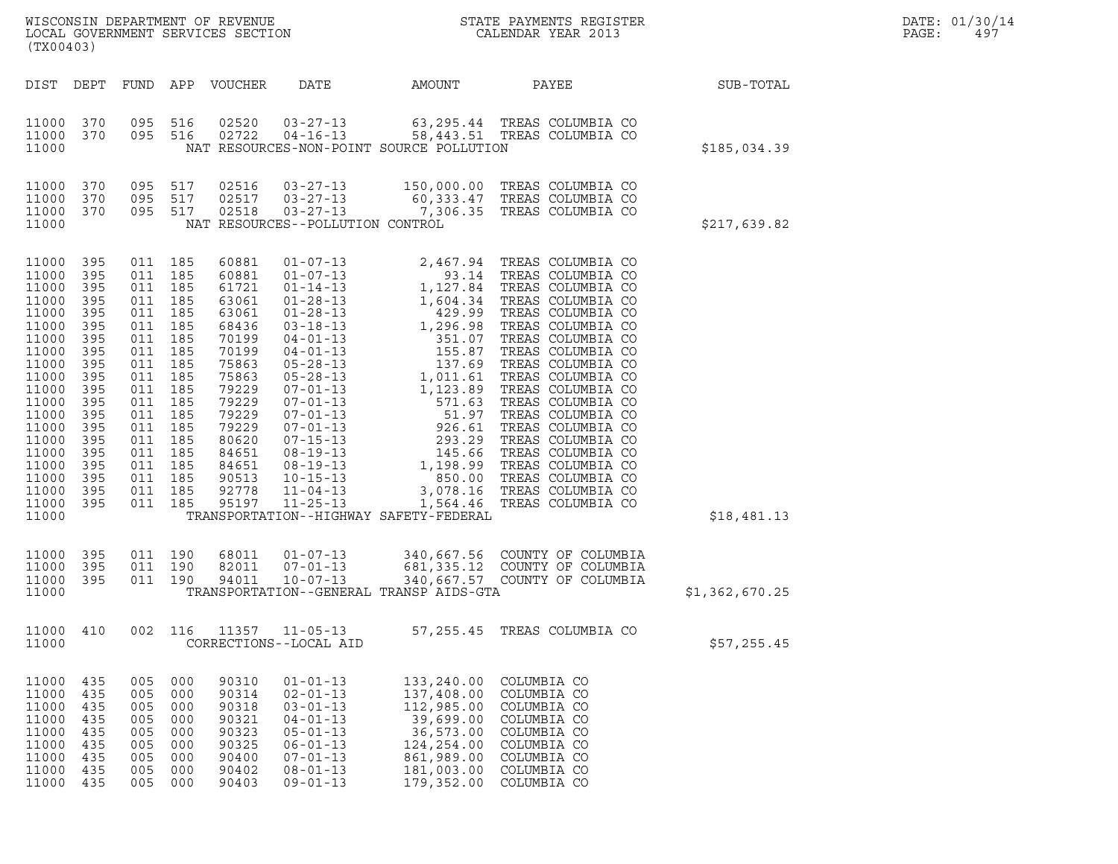| (TX00403)                                                                                                                                                                                 |                                                                                                                                          |                                                                                                                                                              |                                                                                                       | WISCONSIN DEPARTMENT OF REVENUE<br>LOCAL GOVERNMENT SERVICES SECTION                                                                                                             |                                                                                                                                                                                                                                                                                                                                                                      |                                                                                                                          | STATE PAYMENTS REGISTER<br>CALENDAR YEAR 2013                                                                                                                                                                                                                                                                                                                                         |                | DATE: 01/30/14<br>PAGE:<br>497 |
|-------------------------------------------------------------------------------------------------------------------------------------------------------------------------------------------|------------------------------------------------------------------------------------------------------------------------------------------|--------------------------------------------------------------------------------------------------------------------------------------------------------------|-------------------------------------------------------------------------------------------------------|----------------------------------------------------------------------------------------------------------------------------------------------------------------------------------|----------------------------------------------------------------------------------------------------------------------------------------------------------------------------------------------------------------------------------------------------------------------------------------------------------------------------------------------------------------------|--------------------------------------------------------------------------------------------------------------------------|---------------------------------------------------------------------------------------------------------------------------------------------------------------------------------------------------------------------------------------------------------------------------------------------------------------------------------------------------------------------------------------|----------------|--------------------------------|
| DIST DEPT                                                                                                                                                                                 |                                                                                                                                          |                                                                                                                                                              |                                                                                                       | FUND APP VOUCHER                                                                                                                                                                 | DATE                                                                                                                                                                                                                                                                                                                                                                 | AMOUNT                                                                                                                   | PAYEE                                                                                                                                                                                                                                                                                                                                                                                 | SUB-TOTAL      |                                |
| 11000 370<br>11000<br>11000                                                                                                                                                               | 370                                                                                                                                      | 095 516<br>095 516                                                                                                                                           |                                                                                                       | 02520<br>02722                                                                                                                                                                   | $03 - 27 - 13$<br>$04 - 16 - 13$                                                                                                                                                                                                                                                                                                                                     | NAT RESOURCES-NON-POINT SOURCE POLLUTION                                                                                 | 63,295.44 TREAS COLUMBIA CO<br>58,443.51 TREAS COLUMBIA CO                                                                                                                                                                                                                                                                                                                            | \$185,034.39   |                                |
| 11000<br>11000<br>11000<br>11000                                                                                                                                                          | 370<br>370<br>370                                                                                                                        | 095<br>095 517<br>095 517                                                                                                                                    | 517                                                                                                   | 02516<br>02517<br>02518                                                                                                                                                          | $03 - 27 - 13$<br>$03 - 27 - 13$<br>$03 - 27 - 13$<br>NAT RESOURCES--POLLUTION CONTROL                                                                                                                                                                                                                                                                               |                                                                                                                          | 150,000.00 TREAS COLUMBIA CO<br>60,333.47 TREAS COLUMBIA CO<br>7,306.35 TREAS COLUMBIA CO                                                                                                                                                                                                                                                                                             | \$217,639.82   |                                |
| 11000<br>11000<br>11000<br>11000<br>11000<br>11000<br>11000<br>11000<br>11000<br>11000<br>11000<br>11000<br>11000<br>11000<br>11000<br>11000<br>11000<br>11000<br>11000<br>11000<br>11000 | 395<br>395<br>395<br>395<br>395<br>395<br>395<br>395<br>395<br>395<br>395<br>395<br>395<br>395<br>395<br>395<br>395<br>395<br>395<br>395 | 011 185<br>011<br>011<br>011<br>011<br>011 185<br>011<br>011<br>011<br>011<br>011<br>011<br>011<br>011<br>011<br>011 185<br>011<br>011 185<br>011<br>011 185 | 185<br>185<br>185<br>185<br>185<br>185<br>185<br>185<br>185<br>185<br>185<br>185<br>185<br>185<br>185 | 60881<br>60881<br>61721<br>63061<br>63061<br>68436<br>70199<br>70199<br>75863<br>75863<br>79229<br>79229<br>79229<br>79229<br>80620<br>84651<br>84651<br>90513<br>92778<br>95197 | $01 - 07 - 13$<br>$01 - 07 - 13$<br>$01 - 14 - 13$<br>$01 - 28 - 13$<br>$01 - 28 - 13$<br>$03 - 18 - 13$<br>$04 - 01 - 13$<br>$04 - 01 - 13$<br>$05 - 28 - 13$<br>$05 - 28 - 13$<br>$07 - 01 - 13$<br>$07 - 01 - 13$<br>$07 - 01 - 13$<br>$07 - 01 - 13$<br>$07 - 15 - 13$<br>$08 - 19 - 13$<br>$08 - 19 - 13$<br>$10 - 15 - 13$<br>$11 - 04 - 13$<br>$11 - 25 - 13$ | 3,078.16<br>TRANSPORTATION--HIGHWAY SAFETY-FEDERAL                                                                       | 2,467.94 TREAS COLUMBIA CO<br>93.14 TREAS COLUMBIA CO<br>93.14 TREAS COLUMBIA CO<br>1,127.84 TREAS COLUMBIA CO<br>1,604.34 TREAS COLUMBIA CO<br>429.99 TREAS COLUMBIA CO<br>1,296.98 TREAS COLUMBIA CO<br>351.07 TREAS COLUMBIA CO<br>155.87 TREAS COLUMBIA CO<br>137.69 TREAS COLUMBIA CO<br>1,011.61<br>850.00 TREAS COLUMBIA CO<br>TREAS COLUMBIA CO<br>1,564.46 TREAS COLUMBIA CO | \$18,481.13    |                                |
| 11000<br>11000<br>11000<br>11000                                                                                                                                                          | 395<br>395<br>395                                                                                                                        | 011 190<br>011 190<br>011 190                                                                                                                                |                                                                                                       | 68011<br>82011<br>94011                                                                                                                                                          | $01 - 07 - 13$<br>$07 - 01 - 13$<br>$10 - 07 - 13$                                                                                                                                                                                                                                                                                                                   | TRANSPORTATION--GENERAL TRANSP AIDS-GTA                                                                                  | 340,667.56 COUNTY OF COLUMBIA<br>681,335.12 COUNTY OF COLUMBIA<br>340,667.57 COUNTY OF COLUMBIA                                                                                                                                                                                                                                                                                       | \$1,362,670.25 |                                |
| 11000<br>11000                                                                                                                                                                            | 410                                                                                                                                      | 002                                                                                                                                                          | 116                                                                                                   | 11357                                                                                                                                                                            | $11 - 05 - 13$<br>CORRECTIONS--LOCAL AID                                                                                                                                                                                                                                                                                                                             |                                                                                                                          | 57,255.45 TREAS COLUMBIA CO                                                                                                                                                                                                                                                                                                                                                           | \$57,255.45    |                                |
| 11000<br>11000<br>11000<br>11000<br>11000<br>11000<br>11000<br>11000<br>11000                                                                                                             | 435<br>435<br>435<br>435<br>435<br>435<br>435<br>435<br>435                                                                              | 005<br>005<br>005<br>005<br>005<br>005<br>005<br>005<br>005                                                                                                  | 000<br>000<br>000<br>000<br>000<br>000<br>000<br>000<br>000                                           | 90310<br>90314<br>90318<br>90321<br>90323<br>90325<br>90400<br>90402<br>90403                                                                                                    | $01 - 01 - 13$<br>$02 - 01 - 13$<br>$03 - 01 - 13$<br>$04 - 01 - 13$<br>$05 - 01 - 13$<br>$06 - 01 - 13$<br>$07 - 01 - 13$<br>$08 - 01 - 13$<br>$09 - 01 - 13$                                                                                                                                                                                                       | 133,240.00<br>137,408.00<br>112,985.00<br>39,699.00<br>36,573.00<br>124,254.00<br>861,989.00<br>181,003.00<br>179,352.00 | COLUMBIA CO<br>COLUMBIA CO<br>COLUMBIA CO<br>COLUMBIA CO<br>COLUMBIA CO<br>COLUMBIA CO<br>COLUMBIA CO<br>COLUMBIA CO<br>COLUMBIA CO                                                                                                                                                                                                                                                   |                |                                |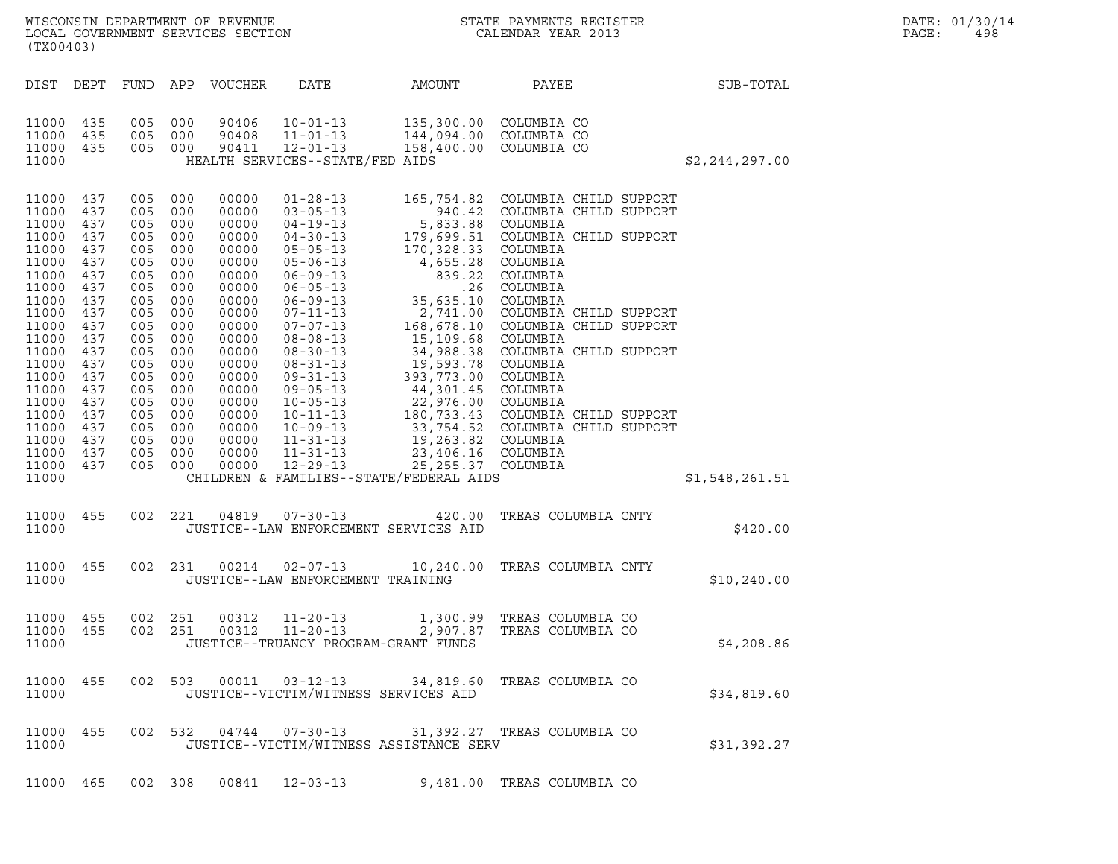|       | DATE: 01/30/14 |
|-------|----------------|
| PAGE: | 498            |

|                                                       | ${\tt WISCOONSIM\ DEPARTMENT\ OF\ REVENUE}\ {\tt LOCAL\ EONDR}\ {\tt SOVERNMENT\ SERVICES\ SECTION}\ {\tt COCAL\ ENDAR\ YEAR\ 2013}$<br>(TX00403)                                                                                             |                                                                                                                                                        |                                                                                                                                                        |                                                                                                                                                                                                    |                                                                                                                                                                                                                                                                                                                                                                                                          |                                                                                                                                                                                                                                                                                                                                                                                                                                        |                                                                                                                                                                                                                                                                                                            |                  | DATE: 01/30/14<br>PAGE:<br>498 |
|-------------------------------------------------------|-----------------------------------------------------------------------------------------------------------------------------------------------------------------------------------------------------------------------------------------------|--------------------------------------------------------------------------------------------------------------------------------------------------------|--------------------------------------------------------------------------------------------------------------------------------------------------------|----------------------------------------------------------------------------------------------------------------------------------------------------------------------------------------------------|----------------------------------------------------------------------------------------------------------------------------------------------------------------------------------------------------------------------------------------------------------------------------------------------------------------------------------------------------------------------------------------------------------|----------------------------------------------------------------------------------------------------------------------------------------------------------------------------------------------------------------------------------------------------------------------------------------------------------------------------------------------------------------------------------------------------------------------------------------|------------------------------------------------------------------------------------------------------------------------------------------------------------------------------------------------------------------------------------------------------------------------------------------------------------|------------------|--------------------------------|
|                                                       |                                                                                                                                                                                                                                               |                                                                                                                                                        |                                                                                                                                                        | DIST DEPT FUND APP VOUCHER                                                                                                                                                                         | DATE                                                                                                                                                                                                                                                                                                                                                                                                     | AMOUNT                                                                                                                                                                                                                                                                                                                                                                                                                                 | PAYEE                                                                                                                                                                                                                                                                                                      | SUB-TOTAL        |                                |
| 11000<br>11000                                        | 11000 435<br>435<br>11000 435                                                                                                                                                                                                                 | 005<br>005<br>005 000                                                                                                                                  | 000<br>000                                                                                                                                             | 90406<br>90408<br>90411                                                                                                                                                                            | $10 - 01 - 13$<br>$11 - 01 - 13$<br>$12 - 01 - 13$<br>HEALTH SERVICES--STATE/FED AIDS                                                                                                                                                                                                                                                                                                                    | 144,094.00<br>158,400.00                                                                                                                                                                                                                                                                                                                                                                                                               | 135,300.00 COLUMBIA CO<br>COLUMBIA CO<br>COLUMBIA CO                                                                                                                                                                                                                                                       | \$2, 244, 297.00 |                                |
| 11000<br>11000 437<br>11000 437<br>11000 437<br>11000 | 11000 437<br>437<br>11000 437<br>11000 437<br>11000 437<br>11000 437<br>11000 437<br>11000 437<br>11000 437<br>11000 437<br>11000 437<br>11000 437<br>11000 437<br>11000 437<br>11000 437<br>11000 437<br>11000 437<br>11000 437<br>11000 437 | 005<br>005<br>005<br>005<br>005<br>005<br>005<br>005<br>005<br>005<br>005<br>005<br>005<br>005<br>005<br>005<br>005<br>005<br>005<br>005<br>005<br>005 | 000<br>000<br>000<br>000<br>000<br>000<br>000<br>000<br>000<br>000<br>000<br>000<br>000<br>000<br>000<br>000<br>000<br>000<br>000<br>000<br>000<br>000 | 00000<br>00000<br>00000<br>00000<br>00000<br>00000<br>00000<br>00000<br>00000<br>00000<br>00000<br>00000<br>00000<br>00000<br>00000<br>00000<br>00000<br>00000<br>00000<br>00000<br>00000<br>00000 | $01 - 28 - 13$<br>$03 - 05 - 13$<br>$04 - 19 - 13$<br>$04 - 30 - 13$<br>$05 - 05 - 13$<br>$05 - 06 - 13$<br>$06 - 09 - 13$<br>$06 - 05 - 13$<br>$06 - 09 - 13$<br>$07 - 11 - 13$<br>$07 - 07 - 13$<br>$08 - 08 - 13$<br>$08 - 30 - 13$<br>$08 - 31 - 13$<br>$09 - 31 - 13$<br>$09 - 05 - 13$<br>$10 - 05 - 13$<br>$10 - 11 - 13$<br>$10 - 09 - 13$<br>$11 - 31 - 13$<br>$11 - 31 - 13$<br>$12 - 29 - 13$ | 940.42<br>5,833.88 COLUMBIA<br>179,699.51<br>170,328.33<br>4,655.28<br>35,635.10<br>$2,741.00$<br>168,678.10<br>15,109.68<br>34,988.38<br>34,988.38 COLUMBIA<br>19,593.78 COLUMBIA<br>393,773.00 COLUMBIA<br>44,301.45 COLUMBIA<br>22,976.00 COLUMBIA<br>180,733.43 COLUMBIA<br>33,754.52 COLUMBIA<br>19,263.82 COLUMBIA<br>23,406.16 COLUMBIA<br>23,406.16 COLUMBIA<br>25, 255.37 COLUMBIA<br>CHILDREN & FAMILIES--STATE/FEDERAL AIDS | 165,754.82 COLUMBIA CHILD SUPPORT<br>COLUMBIA CHILD SUPPORT<br>COLUMBIA CHILD SUPPORT<br>COLUMBIA<br>COLUMBIA<br>839.22 COLUMBIA<br>.26 COLUMBIA<br>COLUMBIA<br>COLUMBIA CHILD SUPPORT<br>COLUMBIA CHILD SUPPORT<br>COLUMBIA<br>COLUMBIA CHILD SUPPORT<br>COLUMBIA CHILD SUPPORT<br>COLUMBIA CHILD SUPPORT | \$1,548,261.51   |                                |
| 11000                                                 | 11000 455                                                                                                                                                                                                                                     | 002 221                                                                                                                                                |                                                                                                                                                        | 04819                                                                                                                                                                                              | $07 - 30 - 13$<br>JUSTICE--LAW ENFORCEMENT SERVICES AID                                                                                                                                                                                                                                                                                                                                                  | 420.00                                                                                                                                                                                                                                                                                                                                                                                                                                 | TREAS COLUMBIA CNTY                                                                                                                                                                                                                                                                                        | \$420.00         |                                |
| 11000                                                 | 11000 455                                                                                                                                                                                                                                     |                                                                                                                                                        | 002 231                                                                                                                                                | 00214                                                                                                                                                                                              | JUSTICE--LAW ENFORCEMENT TRAINING                                                                                                                                                                                                                                                                                                                                                                        | $02 - 07 - 13$ 10, 240.00                                                                                                                                                                                                                                                                                                                                                                                                              | TREAS COLUMBIA CNTY                                                                                                                                                                                                                                                                                        | \$10, 240.00     |                                |
| 11000                                                 | 11000 455<br>11000 455                                                                                                                                                                                                                        | 002 251                                                                                                                                                | 002 251                                                                                                                                                | 00312<br>00312                                                                                                                                                                                     | $11 - 20 - 13$<br>$11 - 20 - 13$<br>JUSTICE--TRUANCY PROGRAM-GRANT FUNDS                                                                                                                                                                                                                                                                                                                                 | 1,300.99<br>2,907.87                                                                                                                                                                                                                                                                                                                                                                                                                   | TREAS COLUMBIA CO<br>TREAS COLUMBIA CO                                                                                                                                                                                                                                                                     | \$4,208.86       |                                |
| 11000                                                 | 11000 455                                                                                                                                                                                                                                     |                                                                                                                                                        |                                                                                                                                                        | 002 503 00011                                                                                                                                                                                      | $03 - 12 - 13$<br>JUSTICE--VICTIM/WITNESS SERVICES AID                                                                                                                                                                                                                                                                                                                                                   | 34,819.60                                                                                                                                                                                                                                                                                                                                                                                                                              | TREAS COLUMBIA CO                                                                                                                                                                                                                                                                                          | \$34,819.60      |                                |
| 11000                                                 | 11000 455                                                                                                                                                                                                                                     |                                                                                                                                                        |                                                                                                                                                        | 002 532 04744                                                                                                                                                                                      | $07 - 30 - 13$                                                                                                                                                                                                                                                                                                                                                                                           | JUSTICE--VICTIM/WITNESS ASSISTANCE SERV                                                                                                                                                                                                                                                                                                                                                                                                | 31,392.27 TREAS COLUMBIA CO                                                                                                                                                                                                                                                                                | \$31,392.27      |                                |

11000 465 002 308 00841 12-03-13 9,481.00 TREAS COLUMBIA CO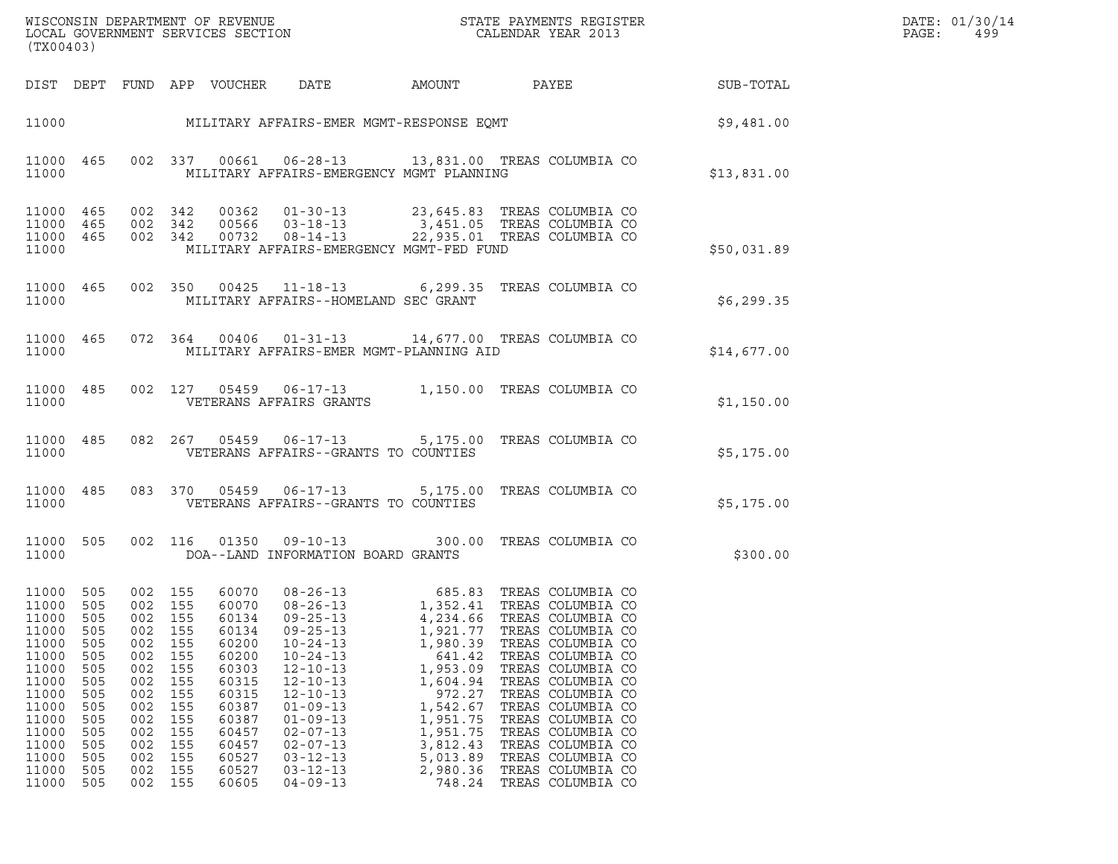| WISCONSIN DEPARTMENT OF REVENUE<br>LOCAL GOVERNMENT SERVICES SECTION<br>CALENDAR YEAR 2013<br>(TX00403)                                              |                                                                                                |                                                                                                                      |                                                                                                |                                                                                                                            |                                                                                                                                                                                                                                                          |                                                                                                                                                                |                                                                                                                                                                                                                                                                                                                                                                                                   |                                                                    | DATE: 01/30/14<br>PAGE:<br>499 |
|------------------------------------------------------------------------------------------------------------------------------------------------------|------------------------------------------------------------------------------------------------|----------------------------------------------------------------------------------------------------------------------|------------------------------------------------------------------------------------------------|----------------------------------------------------------------------------------------------------------------------------|----------------------------------------------------------------------------------------------------------------------------------------------------------------------------------------------------------------------------------------------------------|----------------------------------------------------------------------------------------------------------------------------------------------------------------|---------------------------------------------------------------------------------------------------------------------------------------------------------------------------------------------------------------------------------------------------------------------------------------------------------------------------------------------------------------------------------------------------|--------------------------------------------------------------------|--------------------------------|
|                                                                                                                                                      |                                                                                                |                                                                                                                      |                                                                                                | DIST DEPT FUND APP VOUCHER DATE                                                                                            |                                                                                                                                                                                                                                                          |                                                                                                                                                                |                                                                                                                                                                                                                                                                                                                                                                                                   | AMOUNT PAYEE SUB-TOTAL                                             |                                |
|                                                                                                                                                      |                                                                                                |                                                                                                                      |                                                                                                |                                                                                                                            |                                                                                                                                                                                                                                                          |                                                                                                                                                                |                                                                                                                                                                                                                                                                                                                                                                                                   | 11000 MILITARY AFFAIRS-EMER MGMT-RESPONSE EQMT SOLUTION \$9,481.00 |                                |
| 11000                                                                                                                                                |                                                                                                |                                                                                                                      |                                                                                                |                                                                                                                            | MILITARY AFFAIRS-EMERGENCY MGMT PLANNING                                                                                                                                                                                                                 |                                                                                                                                                                | 11000 465 002 337 00661 06-28-13 13,831.00 TREAS COLUMBIA CO                                                                                                                                                                                                                                                                                                                                      | \$13,831.00                                                        |                                |
| 11000                                                                                                                                                | 11000 465<br>11000 465<br>11000 465                                                            |                                                                                                                      |                                                                                                |                                                                                                                            | MILITARY AFFAIRS-EMERGENCY MGMT-FED FUND                                                                                                                                                                                                                 |                                                                                                                                                                | 002 342 00362 01-30-13 23,645.83 TREAS COLUMBIA CO<br>002 342 00566 03-18-13 3,451.05 TREAS COLUMBIA CO<br>002 342 00732 08-14-13 22,935.01 TREAS COLUMBIA CO                                                                                                                                                                                                                                     | \$50,031.89                                                        |                                |
| 11000                                                                                                                                                |                                                                                                |                                                                                                                      |                                                                                                |                                                                                                                            | MILITARY AFFAIRS--HOMELAND SEC GRANT                                                                                                                                                                                                                     |                                                                                                                                                                | 11000 465 002 350 00425 11-18-13 6,299.35 TREAS COLUMBIA CO                                                                                                                                                                                                                                                                                                                                       | \$6,299.35                                                         |                                |
|                                                                                                                                                      |                                                                                                |                                                                                                                      |                                                                                                |                                                                                                                            |                                                                                                                                                                                                                                                          |                                                                                                                                                                | 11000 465 072 364 00406 01-31-13 14,677.00 TREAS COLUMBIA CO<br>11000 MILITARY AFFAIRS-EMER MGMT-PLANNING AID                                                                                                                                                                                                                                                                                     | \$14,677.00                                                        |                                |
|                                                                                                                                                      |                                                                                                |                                                                                                                      |                                                                                                |                                                                                                                            |                                                                                                                                                                                                                                                          |                                                                                                                                                                | 11000 485 002 127 05459 06-17-13 1,150.00 TREAS COLUMBIA CO                                                                                                                                                                                                                                                                                                                                       | \$1,150.00                                                         |                                |
|                                                                                                                                                      |                                                                                                |                                                                                                                      |                                                                                                |                                                                                                                            | 11000 VETERANS AFFAIRS--GRANTS TO COUNTIES                                                                                                                                                                                                               |                                                                                                                                                                | 11000 485 082 267 05459 06-17-13 5,175.00 TREAS COLUMBIA CO                                                                                                                                                                                                                                                                                                                                       | \$5,175.00                                                         |                                |
| 11000                                                                                                                                                |                                                                                                |                                                                                                                      |                                                                                                |                                                                                                                            | VETERANS AFFAIRS--GRANTS TO COUNTIES                                                                                                                                                                                                                     |                                                                                                                                                                | 11000 485 083 370 05459 06-17-13 5,175.00 TREAS COLUMBIA CO                                                                                                                                                                                                                                                                                                                                       | \$5,175.00                                                         |                                |
| 11000                                                                                                                                                |                                                                                                |                                                                                                                      |                                                                                                |                                                                                                                            | DOA--LAND INFORMATION BOARD GRANTS                                                                                                                                                                                                                       |                                                                                                                                                                | 11000 505 002 116 01350 09-10-13 300.00 TREAS COLUMBIA CO                                                                                                                                                                                                                                                                                                                                         | \$300.00                                                           |                                |
| 11000 505<br>11000 505<br>11000<br>11000<br>11000<br>11000<br>11000<br>11000<br>11000<br>11000<br>11000<br>11000<br>11000<br>11000<br>11000<br>11000 | 505<br>505<br>505<br>505<br>505<br>505<br>505<br>505<br>505<br>505<br>505<br>505<br>505<br>505 | 002 155<br>002 155<br>002<br>002<br>002<br>002<br>002<br>002<br>002<br>002<br>002<br>002<br>002<br>002<br>002<br>002 | 155<br>155<br>155<br>155<br>155<br>155<br>155<br>155<br>155<br>155<br>155<br>155<br>155<br>155 | 60134<br>60134<br>60200<br>60200<br>60303<br>60315<br>60315<br>60387<br>60387<br>60457<br>60457<br>60527<br>60527<br>60605 | $09 - 25 - 13$<br>$09 - 25 - 13$<br>$10 - 24 - 13$<br>$10 - 24 - 13$<br>$12 - 10 - 13$<br>$12 - 10 - 13$<br>$12 - 10 - 13$<br>$01 - 09 - 13$<br>$01 - 09 - 13$<br>$02 - 07 - 13$<br>$02 - 07 - 13$<br>$03 - 12 - 13$<br>$03 - 12 - 13$<br>$04 - 09 - 13$ | 4,234.66<br>1,921.77<br>1,980.39<br>641.42<br>1,953.09<br>1,604.94<br>972.27<br>1,542.67<br>1,951.75<br>1,951.75<br>3,812.43<br>5,013.89<br>2,980.36<br>748.24 | 60070  08-26-13  685.83  TREAS COLUMBIA CO<br>60070  08-26-13   1,352.41  TREAS COLUMBIA CO<br>TREAS COLUMBIA CO<br>TREAS COLUMBIA CO<br>TREAS COLUMBIA CO<br>TREAS COLUMBIA CO<br>TREAS COLUMBIA CO<br>TREAS COLUMBIA CO<br>TREAS COLUMBIA CO<br>TREAS COLUMBIA CO<br>TREAS COLUMBIA CO<br>TREAS COLUMBIA CO<br>TREAS COLUMBIA CO<br>TREAS COLUMBIA CO<br>TREAS COLUMBIA CO<br>TREAS COLUMBIA CO |                                                                    |                                |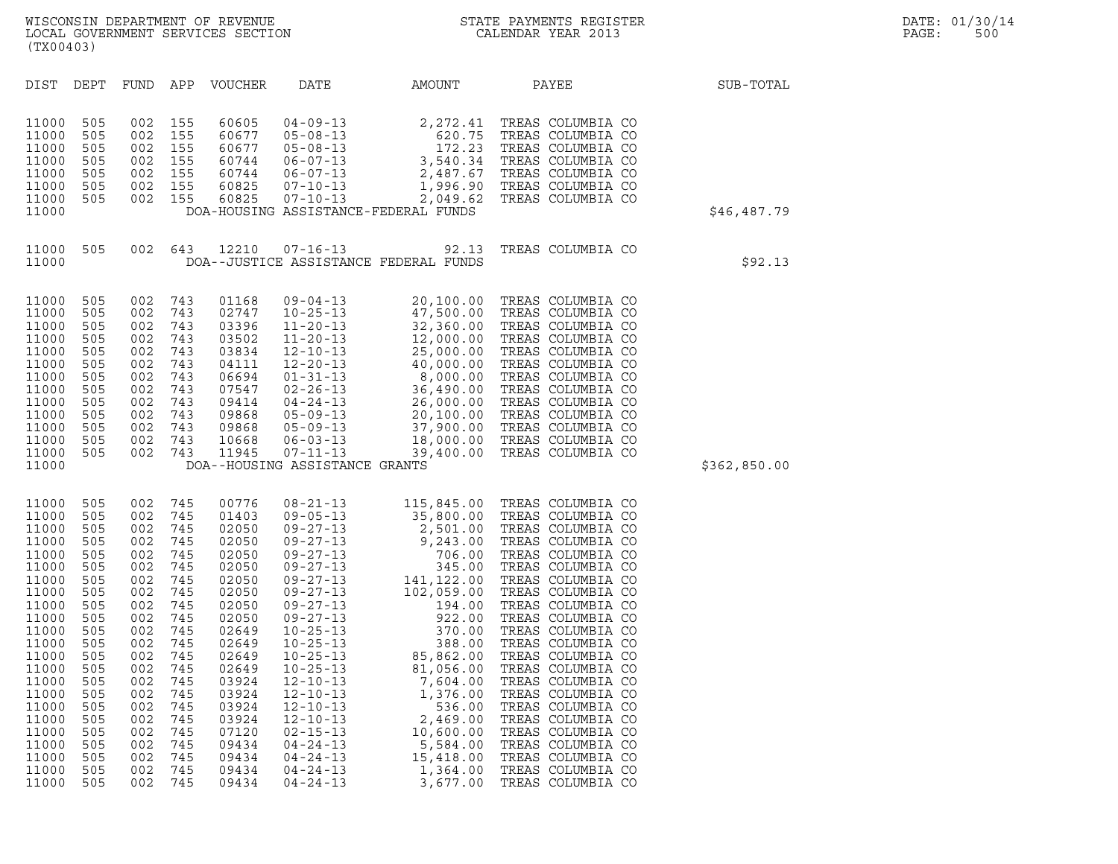| (TX00403)                                                                                                                                                                                                   |                                                                                                                                                               |                                                                                                                                                               |                                                                                                                                                               |                                                                                                                                                                                                             |                                                                                                                                                                                                                                                                                                                                                                                                                            |                                                                                                                                                                                                                                                                                                    |                                                                                                                                                                                                                                                                                                                                                                                                                                                                                                                      |              |
|-------------------------------------------------------------------------------------------------------------------------------------------------------------------------------------------------------------|---------------------------------------------------------------------------------------------------------------------------------------------------------------|---------------------------------------------------------------------------------------------------------------------------------------------------------------|---------------------------------------------------------------------------------------------------------------------------------------------------------------|-------------------------------------------------------------------------------------------------------------------------------------------------------------------------------------------------------------|----------------------------------------------------------------------------------------------------------------------------------------------------------------------------------------------------------------------------------------------------------------------------------------------------------------------------------------------------------------------------------------------------------------------------|----------------------------------------------------------------------------------------------------------------------------------------------------------------------------------------------------------------------------------------------------------------------------------------------------|----------------------------------------------------------------------------------------------------------------------------------------------------------------------------------------------------------------------------------------------------------------------------------------------------------------------------------------------------------------------------------------------------------------------------------------------------------------------------------------------------------------------|--------------|
| DIST                                                                                                                                                                                                        | DEPT                                                                                                                                                          | FUND                                                                                                                                                          | APP                                                                                                                                                           | <b>VOUCHER</b>                                                                                                                                                                                              | DATE                                                                                                                                                                                                                                                                                                                                                                                                                       | AMOUNT                                                                                                                                                                                                                                                                                             | PAYEE                                                                                                                                                                                                                                                                                                                                                                                                                                                                                                                | SUB-TOTAL    |
| 11000<br>11000<br>11000<br>11000<br>11000<br>11000<br>11000<br>11000                                                                                                                                        | 505<br>505<br>505<br>505<br>505<br>505<br>505                                                                                                                 | 002<br>002<br>002<br>002<br>002<br>002<br>002                                                                                                                 | 155<br>155<br>155<br>155<br>155<br>155<br>155                                                                                                                 | 60605<br>60677<br>60677<br>60744<br>60744<br>60825<br>60825                                                                                                                                                 | $04 - 09 - 13$ $05 - 08 - 13$ $05 - 08 - 13$ $06 - 07 - 13$ $07 - 10 - 13$ $07 - 10 - 13$ $07 - 10 - 13$ $07 - 10 - 13$ $07 - 13$ $07 - 107 - 13$ $08 - 07 - 07$ $08 - 07 - 07$ $08 - 07 - 07$ $08 - 07 - 07$ $08 - 07 - 07$ $08 - 07 - 07$ $08 - 07 - 07$ $08$                                                                                                                                                            | $2, 272.41$<br>620.75<br>172.23<br>2,049.62<br>DOA-HOUSING ASSISTANCE-FEDERAL FUNDS                                                                                                                                                                                                                | TREAS COLUMBIA CO<br>TREAS COLUMBIA CO<br>TREAS COLUMBIA CO<br>3,540.34 TREAS COLUMBIA CO<br>2,487.67 TREAS COLUMBIA CO<br>1,996.90 TREAS COLUMBIA CO<br>TREAS COLUMBIA CO                                                                                                                                                                                                                                                                                                                                           | \$46,487.79  |
| 11000<br>11000                                                                                                                                                                                              | 505                                                                                                                                                           | 002                                                                                                                                                           | 643                                                                                                                                                           | 12210                                                                                                                                                                                                       | $07 - 16 - 13$                                                                                                                                                                                                                                                                                                                                                                                                             | 92.13<br>DOA--JUSTICE ASSISTANCE FEDERAL FUNDS                                                                                                                                                                                                                                                     | TREAS COLUMBIA CO                                                                                                                                                                                                                                                                                                                                                                                                                                                                                                    | \$92.13      |
| 11000<br>11000<br>11000<br>11000<br>11000<br>11000<br>11000<br>11000<br>11000<br>11000<br>11000<br>11000<br>11000<br>11000                                                                                  | 505<br>505<br>505<br>505<br>505<br>505<br>505<br>505<br>505<br>505<br>505<br>505<br>505                                                                       | 002<br>002<br>002<br>002<br>002<br>002<br>002<br>002<br>002<br>002<br>002<br>002<br>002                                                                       | 743<br>743<br>743<br>743<br>743<br>743<br>743<br>743<br>743<br>743<br>743<br>743<br>743                                                                       | 01168<br>02747<br>03396<br>03502<br>03834<br>04111<br>06694<br>07547<br>09414<br>09868<br>09868<br>10668<br>11945                                                                                           | $09 - 04 - 13$<br>$10 - 25 - 13$<br>$11 - 20 - 13$<br>$11 - 20 - 13$<br>$12 - 10 - 13$<br>$12 - 20 - 13$<br>$01 - 31 - 13$<br>$02 - 26 - 13$<br>$04 - 24 - 13$<br>$05 - 09 - 13$<br>$05 - 09 - 13$<br>$06 - 03 - 13$<br>$07 - 11 - 13$<br>DOA--HOUSING ASSISTANCE GRANTS                                                                                                                                                   | 20,100.00                                                                                                                                                                                                                                                                                          | TREAS COLUMBIA CO<br>$\begin{tabular}{ccccc} 4 & 47 & , & & & \\ 3 & 32 & , 360 & , \cup \\ .3 & 12 & , 000 & .00 & \text{TREAS} & \cup \\ 13 & 25 & , 000 & .00 & \text{TREAS} & \text{COLUM}_{b+1} \\ .13 & 40 & , 000 & .00 & \text{TREAS} & \text{COLUMBL} \\ .13 & 8 & , 000 & .00 & \text{TREAS} & \text{COLUMBIA} & \text{CO} \\ 6 & -13 & 36 & , 490 & .00 & \text{TREAS} & \text{COLUMBIA} & \text{CO}$                                                                                                     | \$362,850.00 |
| 11000<br>11000<br>11000<br>11000<br>11000<br>11000<br>11000<br>11000<br>11000<br>11000<br>11000<br>11000<br>11000<br>11000<br>11000<br>11000<br>11000<br>11000<br>11000<br>11000<br>11000<br>11000<br>11000 | 505<br>505<br>505<br>505<br>505<br>505<br>505<br>505<br>505<br>505<br>505<br>505<br>505<br>505<br>505<br>505<br>505<br>505<br>505<br>505<br>505<br>505<br>505 | 002<br>002<br>002<br>002<br>002<br>002<br>002<br>002<br>002<br>002<br>002<br>002<br>002<br>002<br>002<br>002<br>002<br>002<br>002<br>002<br>002<br>002<br>002 | 745<br>745<br>745<br>745<br>745<br>745<br>745<br>745<br>745<br>745<br>745<br>745<br>745<br>745<br>745<br>745<br>745<br>745<br>745<br>745<br>745<br>745<br>745 | 00776<br>01403<br>02050<br>02050<br>02050<br>02050<br>02050<br>02050<br>02050<br>02050<br>02649<br>02649<br>02649<br>02649<br>03924<br>03924<br>03924<br>03924<br>07120<br>09434<br>09434<br>09434<br>09434 | $08 - 21 - 13$<br>$09 - 05 - 13$<br>$09 - 27 - 13$<br>$09 - 27 - 13$<br>$09 - 27 - 13$<br>$09 - 27 - 13$<br>$09 - 27 - 13$<br>$09 - 27 - 13$<br>$09 - 27 - 13$<br>$09 - 27 - 13$<br>$10 - 25 - 13$<br>$10 - 25 - 13$<br>$10 - 25 - 13$<br>$10 - 25 - 13$<br>$12 - 10 - 13$<br>$12 - 10 - 13$<br>$12 - 10 - 13$<br>$12 - 10 - 13$<br>$02 - 15 - 13$<br>$04 - 24 - 13$<br>$04 - 24 - 13$<br>$04 - 24 - 13$<br>$04 - 24 - 13$ | $2,500.00$<br>$35,800.00$<br>$2,501.00$<br>$9,243.00$<br>$706.00$<br>$345.00$<br>$141,122.00$<br>$194.00$<br>$922.00$<br>$370.00$<br>$85.862.00$<br>2,501.00<br>85,862.00<br>81,056.00<br>7,604.00<br>1,376.00<br>536.00<br>2,469.00<br>10,600.00<br>5,584.00<br>15,418.00<br>1,364.00<br>3,677.00 | 115,845.00 TREAS COLUMBIA CO<br>35,800.00 TREAS COLUMBIA CO<br>TREAS COLUMBIA CO<br>TREAS COLUMBIA CO<br>TREAS COLUMBIA CO<br>TREAS COLUMBIA CO<br>TREAS COLUMBIA CO<br>TREAS COLUMBIA CO<br>TREAS COLUMBIA CO<br>TREAS COLUMBIA CO<br>TREAS COLUMBIA CO<br>TREAS COLUMBIA CO<br>TREAS COLUMBIA CO<br>TREAS COLUMBIA CO<br>TREAS COLUMBIA CO<br>TREAS COLUMBIA CO<br>TREAS COLUMBIA CO<br>TREAS COLUMBIA CO<br>TREAS COLUMBIA CO<br>TREAS COLUMBIA CO<br>TREAS COLUMBIA CO<br>TREAS COLUMBIA CO<br>TREAS COLUMBIA CO |              |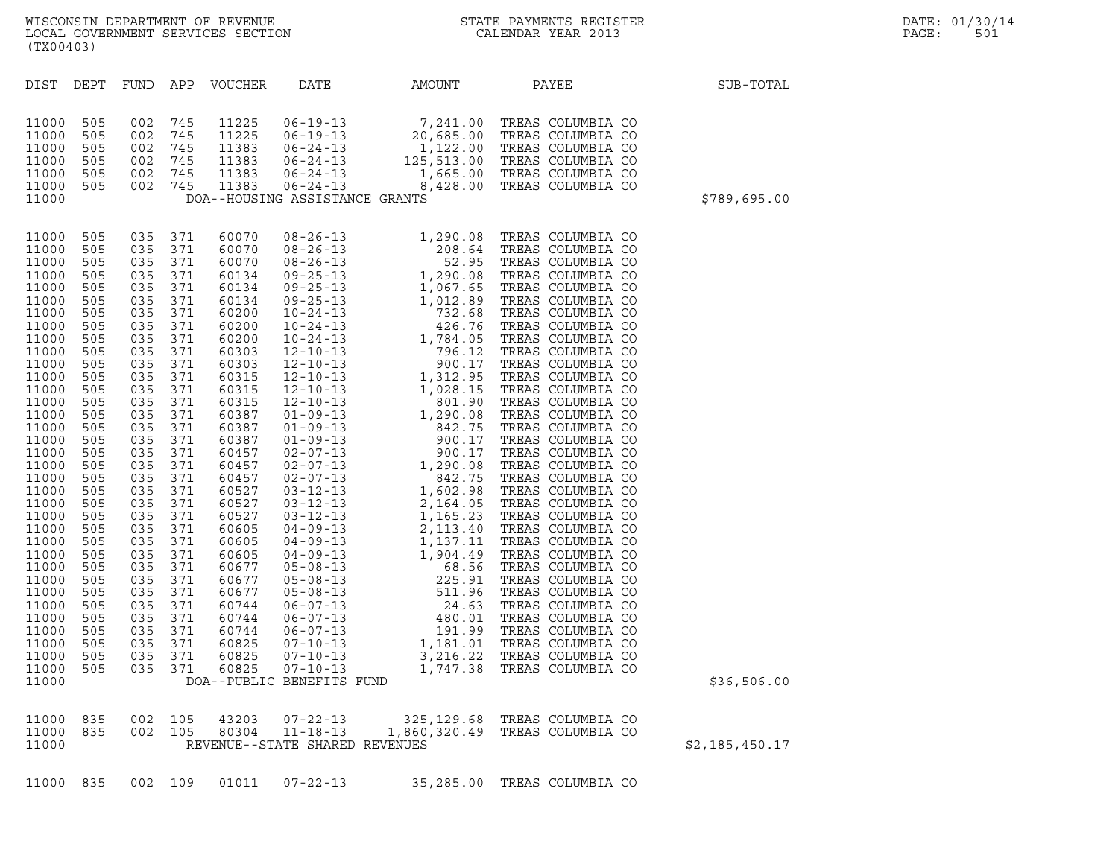| (TX00403)                                                                                                                                                                                                                                                                                                                        |                                                                                                                                                                                                                                                   |                                                                                                                                                                                                                                                       |                                                                                                                                                                                                                                            |                                                                                                                                                                                                                                                                                                                         |                                                                                                   |                                            | WISCONSIN DEPARTMENT OF REVENUE<br>LOCAL GOVERNMENT SERVICES SECTION<br>(TY00403) |                | DATE: 01/30/14<br>PAGE:<br>501 |
|----------------------------------------------------------------------------------------------------------------------------------------------------------------------------------------------------------------------------------------------------------------------------------------------------------------------------------|---------------------------------------------------------------------------------------------------------------------------------------------------------------------------------------------------------------------------------------------------|-------------------------------------------------------------------------------------------------------------------------------------------------------------------------------------------------------------------------------------------------------|--------------------------------------------------------------------------------------------------------------------------------------------------------------------------------------------------------------------------------------------|-------------------------------------------------------------------------------------------------------------------------------------------------------------------------------------------------------------------------------------------------------------------------------------------------------------------------|---------------------------------------------------------------------------------------------------|--------------------------------------------|-----------------------------------------------------------------------------------|----------------|--------------------------------|
| DIST DEPT                                                                                                                                                                                                                                                                                                                        |                                                                                                                                                                                                                                                   |                                                                                                                                                                                                                                                       |                                                                                                                                                                                                                                            | FUND APP VOUCHER                                                                                                                                                                                                                                                                                                        | DATE                                                                                              | AMOUNT PAYEE                               |                                                                                   | SUB-TOTAL      |                                |
| 11000<br>11000<br>11000<br>11000<br>11000<br>11000<br>11000                                                                                                                                                                                                                                                                      | 505<br>505<br>505<br>505<br>505<br>505                                                                                                                                                                                                            | 002<br>002<br>002<br>002<br>002<br>002                                                                                                                                                                                                                | 745<br>745<br>745<br>745<br>745<br>745                                                                                                                                                                                                     |                                                                                                                                                                                                                                                                                                                         | DOA--HOUSING ASSISTANCE GRANTS                                                                    |                                            |                                                                                   | \$789,695.00   |                                |
| 11000<br>11000<br>11000<br>11000<br>11000<br>11000<br>11000<br>11000<br>11000<br>11000<br>11000<br>11000<br>11000<br>11000<br>11000<br>11000<br>11000<br>11000<br>11000<br>11000<br>11000<br>11000<br>11000<br>11000<br>11000<br>11000<br>11000<br>11000<br>11000<br>11000<br>11000<br>11000<br>11000<br>11000<br>11000<br>11000 | 505<br>505<br>505<br>505<br>505<br>505<br>505<br>505<br>505<br>505<br>505<br>505<br>505<br>505<br>505<br>505<br>505<br>505<br>505<br>505<br>505<br>505<br>505<br>505<br>505<br>505<br>505<br>505<br>505<br>505<br>505<br>505<br>505<br>505<br>505 | 035 371<br>035<br>035<br>035<br>035<br>035<br>035<br>035<br>035<br>035<br>035<br>035<br>035<br>035<br>035<br>035<br>035<br>035<br>035<br>035<br>035<br>035<br>035<br>035<br>035<br>035<br>035<br>035<br>035<br>035<br>035<br>035<br>035<br>035<br>035 | 371<br>371<br>371<br>371<br>371<br>371<br>371<br>371<br>371<br>371<br>371<br>371<br>371<br>371<br>371<br>371<br>371<br>371<br>371<br>371<br>371<br>371<br>371<br>371<br>371<br>371<br>371<br>371<br>371<br>371<br>371<br>371<br>371<br>371 | 60070<br>60070<br>60070<br>60134<br>60134<br>60134<br>60200<br>60200<br>60200<br>60303<br>60303<br>60315<br>60315<br>60315<br>60387<br>60387<br>60387<br>60457<br>60457<br>60457<br>60527<br>60527<br>60527<br>60605<br>60605<br>60605<br>60677<br>60677<br>60677<br>60744<br>60744<br>60744<br>60825<br>60825<br>60825 | $06 - 07 - 13$<br>$07 - 10 - 13$<br>$07 - 10 - 13$<br>$07 - 10 - 13$<br>DOA--PUBLIC BENEFITS FUND | 191.99<br>1,181.01<br>3,216.22<br>1,747.38 | TREAS COLUMBIA CO<br>TREAS COLUMBIA CO<br>TREAS COLUMBIA CO<br>TREAS COLUMBIA CO  | \$36,506.00    |                                |
| 11000<br>11000<br>11000                                                                                                                                                                                                                                                                                                          | 835<br>835                                                                                                                                                                                                                                        | 002<br>002                                                                                                                                                                                                                                            | 105<br>105                                                                                                                                                                                                                                 | 43203<br>80304                                                                                                                                                                                                                                                                                                          | $07 - 22 - 13$<br>$11 - 18 - 13$<br>REVENUE--STATE SHARED REVENUES                                | 325, 129.68<br>1,860,320.49                | TREAS COLUMBIA CO<br>TREAS COLUMBIA CO                                            | \$2,185,450.17 |                                |

11000 835 002 109 01011 07-22-13 35,285.00 TREAS COLUMBIA CO

## WISCONSIN DEPARTMENT OF REVENUE<br>LOCAL GOVERNMENT SERVICES SECTION STATE PAYMENTS REGISTER SOLUT DATE: 01/30/14<br>DOCAL GOVERNMENT SERVICES SECTION STATE SOLUT DATE: DEALENDAR YEAR 2013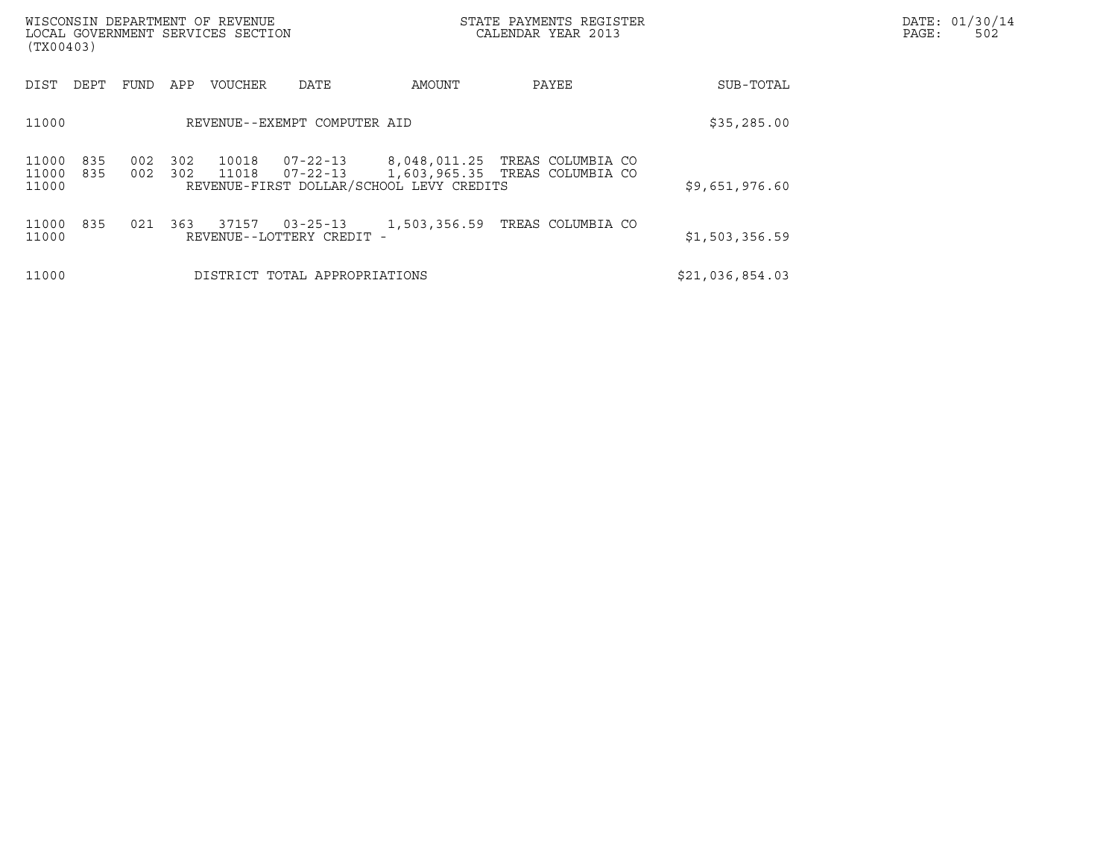| (TX00403)               |            |            |            | WISCONSIN DEPARTMENT OF REVENUE<br>LOCAL GOVERNMENT SERVICES SECTION |                                             |                                          | STATE PAYMENTS REGISTER<br>CALENDAR YEAR 2013                    |                 | DATE: 01/30/14<br>PAGE:<br>502 |
|-------------------------|------------|------------|------------|----------------------------------------------------------------------|---------------------------------------------|------------------------------------------|------------------------------------------------------------------|-----------------|--------------------------------|
| DIST                    | DEPT       | FUND       | APP        | <b>VOUCHER</b>                                                       | DATE                                        | AMOUNT                                   | PAYEE                                                            | SUB-TOTAL       |                                |
| 11000                   |            |            |            |                                                                      | REVENUE--EXEMPT COMPUTER AID                | \$35,285.00                              |                                                                  |                 |                                |
| 11000<br>11000<br>11000 | 835<br>835 | 002<br>002 | 302<br>302 | 10018<br>11018                                                       | $07 - 22 - 13$<br>07-22-13                  | REVENUE-FIRST DOLLAR/SCHOOL LEVY CREDITS | 8,048,011.25 TREAS COLUMBIA CO<br>1,603,965.35 TREAS COLUMBIA CO | \$9,651,976.60  |                                |
| 11000<br>11000          | 835        | 021        | 363        | 37157                                                                | $03 - 25 - 13$<br>REVENUE--LOTTERY CREDIT - |                                          | 1,503,356.59 TREAS COLUMBIA CO                                   | \$1,503,356.59  |                                |
| 11000                   |            |            |            |                                                                      | DISTRICT TOTAL APPROPRIATIONS               |                                          |                                                                  | \$21,036,854.03 |                                |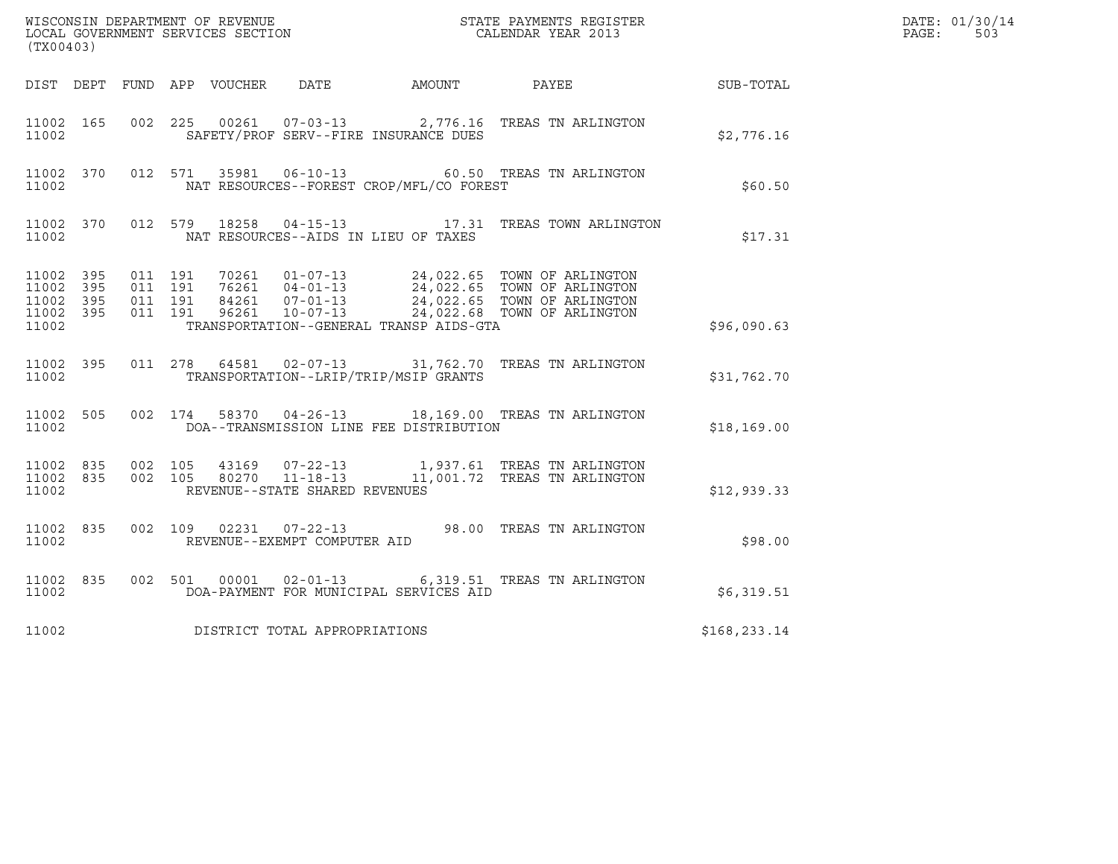| (TX00403)                                         |                        |                               |         |               |                                                  |                                          |                                                                                 |              | DATE: 01/30/14<br>$\mathtt{PAGE}$ :<br>503 |
|---------------------------------------------------|------------------------|-------------------------------|---------|---------------|--------------------------------------------------|------------------------------------------|---------------------------------------------------------------------------------|--------------|--------------------------------------------|
|                                                   |                        |                               |         |               |                                                  | DIST DEPT FUND APP VOUCHER DATE AMOUNT   | PAYEE                                                                           | SUB-TOTAL    |                                            |
| 11002 165<br>11002                                |                        |                               |         |               |                                                  | SAFETY/PROF SERV--FIRE INSURANCE DUES    | 002  225  00261  07-03-13  2,776.16  TREAS TN ARLINGTON                         | \$2,776.16   |                                            |
| 11002                                             | 11002 370              |                               |         | 012 571 35981 | $06 - 10 - 13$                                   | NAT RESOURCES--FOREST CROP/MFL/CO FOREST | 60.50 TREAS TN ARLINGTON                                                        | \$60.50      |                                            |
| 11002                                             | 11002 370              |                               | 012 579 | 18258         |                                                  | NAT RESOURCES--AIDS IN LIEU OF TAXES     | 04-15-13 17.31 TREAS TOWN ARLINGTON                                             | \$17.31      |                                            |
| 11002 395<br>11002<br>11002<br>11002 395<br>11002 | 395<br>395             | 011 191<br>011 191<br>011 191 | 011 191 |               |                                                  | TRANSPORTATION--GENERAL TRANSP AIDS-GTA  |                                                                                 | \$96,090.63  |                                            |
| 11002 395<br>11002                                |                        |                               |         |               | 011 278 64581 02-07-13                           | TRANSPORTATION--LRIP/TRIP/MSIP GRANTS    | 31,762.70 TREAS TN ARLINGTON                                                    | \$31,762.70  |                                            |
| 11002                                             | 11002 505              |                               | 002 174 |               |                                                  | DOA--TRANSMISSION LINE FEE DISTRIBUTION  | 58370  04-26-13  18,169.00  TREAS TN ARLINGTON                                  | \$18, 169.00 |                                            |
| 11002                                             | 11002 835<br>11002 835 | 002 105                       | 002 105 | 80270         | $11 - 18 - 13$<br>REVENUE--STATE SHARED REVENUES |                                          | 43169  07-22-13   1,937.61   TREAS TN ARLINGTON<br>11,001.72 TREAS TN ARLINGTON | \$12,939.33  |                                            |
| 11002 835<br>11002                                |                        |                               | 002 109 | 02231         | $07 - 22 - 13$<br>REVENUE--EXEMPT COMPUTER AID   |                                          | 98.00 TREAS TN ARLINGTON                                                        | \$98.00      |                                            |
| 11002                                             | 11002 835              |                               |         |               |                                                  | DOA-PAYMENT FOR MUNICIPAL SERVICES AID   | 002 501 00001 02-01-13 6,319.51 TREAS TN ARLINGTON                              | \$6,319.51   |                                            |
| 11002                                             |                        |                               |         |               | DISTRICT TOTAL APPROPRIATIONS                    |                                          |                                                                                 | \$168,233.14 |                                            |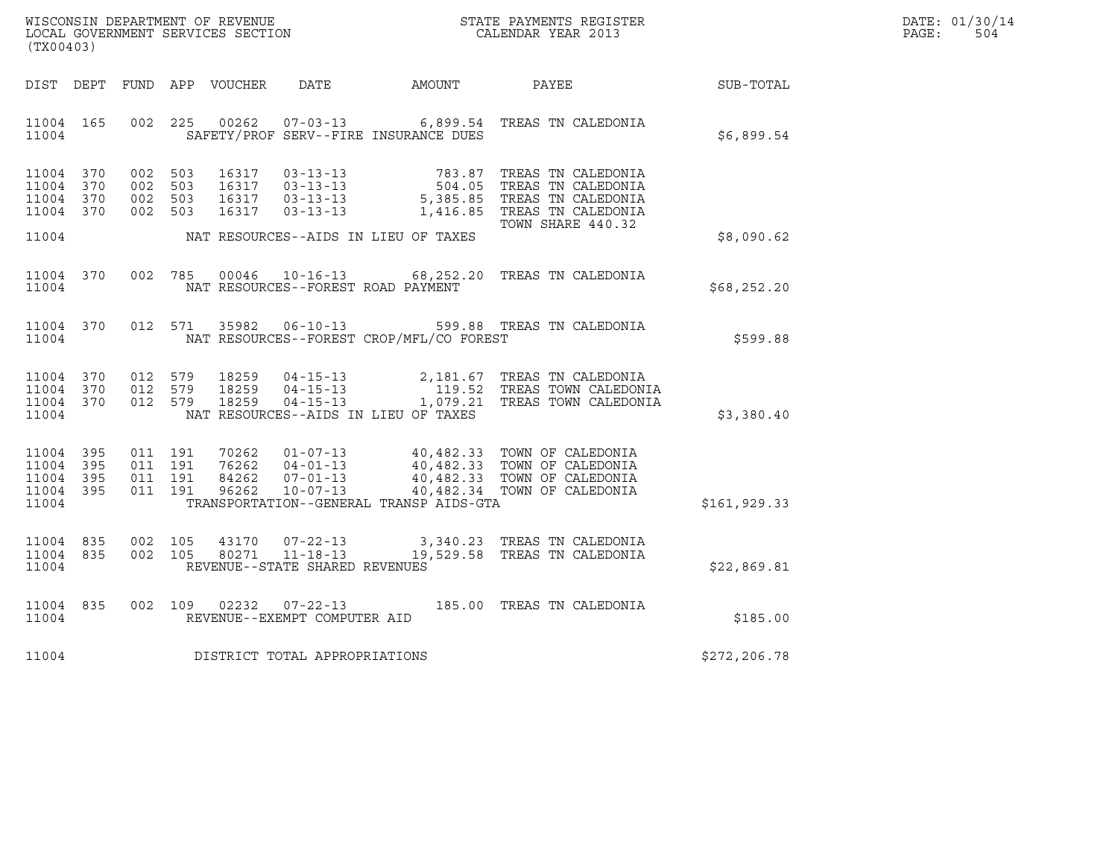|       | DATE: 01/30/14 |
|-------|----------------|
| PAGE: | 504            |

| WISCONSIN DEPARTMENT OF REVENUE<br>LOCAL GOVERNMENT SERVICES SECTION TERMS CONFIDENT STATE PAYMENTS REGISTER<br>(TX00403) |  |         |                    |               |                                |                                          |                                                                                                                                                                                                                                                            |               | DATE: 01/30/14<br>PAGE:<br>504 |
|---------------------------------------------------------------------------------------------------------------------------|--|---------|--------------------|---------------|--------------------------------|------------------------------------------|------------------------------------------------------------------------------------------------------------------------------------------------------------------------------------------------------------------------------------------------------------|---------------|--------------------------------|
|                                                                                                                           |  |         |                    |               |                                |                                          | DIST DEPT FUND APP VOUCHER DATE AMOUNT PAYEE TO SUB-TOTAL                                                                                                                                                                                                  |               |                                |
| 11004 165<br>11004                                                                                                        |  |         |                    |               |                                | SAFETY/PROF SERV--FIRE INSURANCE DUES    | 002 225 00262 07-03-13 6,899.54 TREAS TN CALEDONIA                                                                                                                                                                                                         | \$6,899.54    |                                |
| 11004 370<br>11004 370<br>11004 370<br>11004 370                                                                          |  | 002 503 |                    |               |                                |                                          | 002 503 16317 03-13-13 783.87 TREAS TN CALEDONIA<br>002 503 16317 03-13-13 504.05 TREAS TN CALEDONIA<br>002 503 16317 03-13-13 5,385.85 TREAS TN CALEDONIA<br>002 503 16317 03-13-13 1,416.85 TREAS TN CALEDONIA<br>1,416.85 TREAS TN<br>TOWN SHARE 440.32 |               |                                |
| 11004                                                                                                                     |  |         |                    |               |                                | NAT RESOURCES--AIDS IN LIEU OF TAXES     |                                                                                                                                                                                                                                                            | \$8,090.62    |                                |
| 11004 370<br>11004                                                                                                        |  |         |                    |               |                                | NAT RESOURCES--FOREST ROAD PAYMENT       | 002 785 00046 10-16-13 68,252.20 TREAS TN CALEDONIA                                                                                                                                                                                                        | \$68,252.20   |                                |
| 11004 370<br>11004                                                                                                        |  |         |                    | 012 571 35982 |                                | NAT RESOURCES--FOREST CROP/MFL/CO FOREST | 06-10-13 599.88 TREAS TN CALEDONIA                                                                                                                                                                                                                         | \$599.88      |                                |
| 11004 370<br>11004 370<br>11004 370<br>11004                                                                              |  |         |                    |               |                                | NAT RESOURCES--AIDS IN LIEU OF TAXES     | 012 579 18259 04-15-13 2,181.67 TREAS TN CALEDONIA<br>012 579 18259 04-15-13 119.52 TREAS TOWN CALEDONIA<br>012 579 18259 04-15-13 1,079.21 TREAS TOWN CALEDONIA                                                                                           | \$3,380.40    |                                |
| 11004 395<br>11004 395<br>11004 395<br>11004 395<br>11004                                                                 |  |         |                    |               |                                | TRANSPORTATION--GENERAL TRANSP AIDS-GTA  |                                                                                                                                                                                                                                                            | \$161, 929.33 |                                |
| 11004 835<br>11004 835<br>11004                                                                                           |  |         | 002 105<br>002 105 |               | REVENUE--STATE SHARED REVENUES |                                          | $\begin{array}{cccc} 43170 & 07\hbox{-}22\hbox{-}13 & 3,340.23 & \hbox{TREAS TN CALEDONIA}\\ 80271 & 11\hbox{-}18\hbox{-}13 & 19,529.58 & \hbox{TREAS TN CALEDONIA}\\ \end{array}$                                                                         | \$22,869.81   |                                |
| 11004 835<br>11004                                                                                                        |  |         |                    |               | REVENUE--EXEMPT COMPUTER AID   |                                          | 002 109 02232 07-22-13 185.00 TREAS TN CALEDONIA                                                                                                                                                                                                           | \$185.00      |                                |
| 11004                                                                                                                     |  |         |                    |               | DISTRICT TOTAL APPROPRIATIONS  |                                          |                                                                                                                                                                                                                                                            | \$272, 206.78 |                                |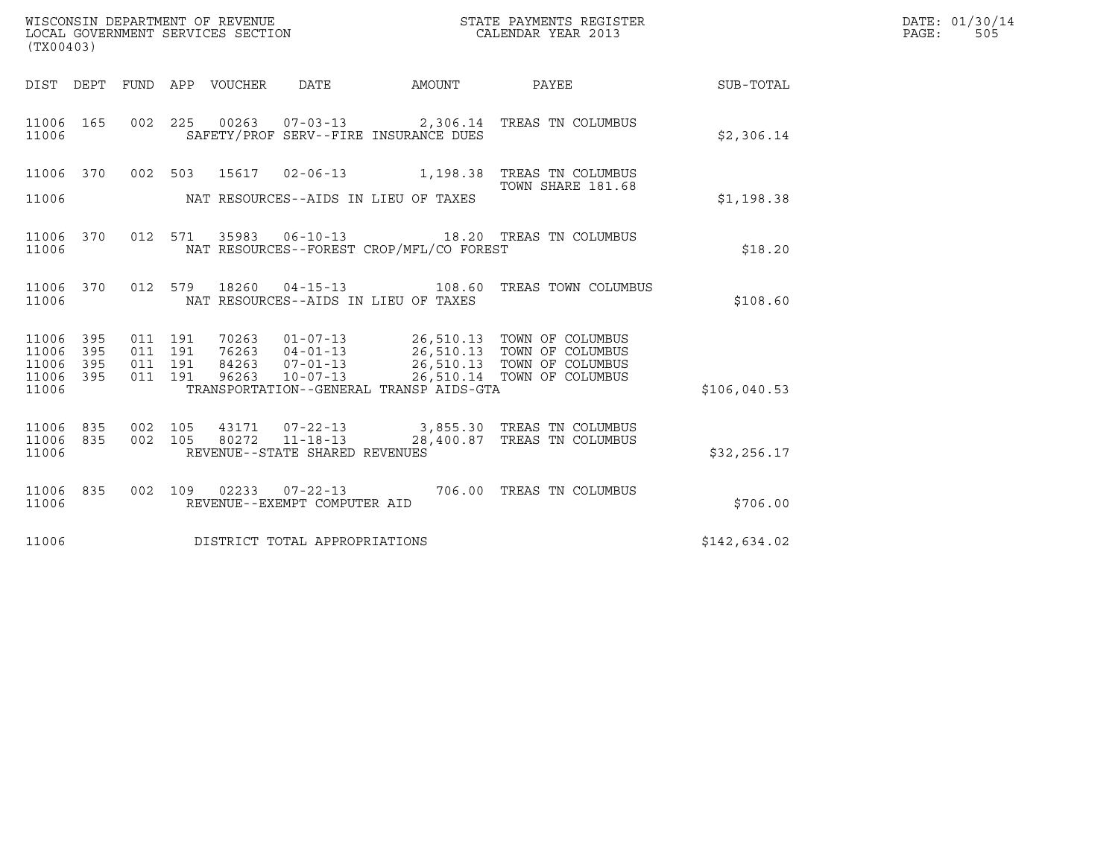| DATE: | 01/30/14 |
|-------|----------|
| PAGE: | 505      |

| WISCONSIN DEPARTMENT OF REVENUE<br>LOCAL GOVERNMENT SERVICES SECTION<br>(TX00403) |                   |                               |  |                            |                                                                    |                                          | STATE PAYMENTS REGISTER<br>CALENDAR YEAR 2013                                                                                                |              | DATE: 01/30/14<br>PAGE:<br>505 |
|-----------------------------------------------------------------------------------|-------------------|-------------------------------|--|----------------------------|--------------------------------------------------------------------|------------------------------------------|----------------------------------------------------------------------------------------------------------------------------------------------|--------------|--------------------------------|
|                                                                                   |                   |                               |  | DIST DEPT FUND APP VOUCHER | DATE                                                               | AMOUNT                                   | PAYEE SUB-TOTAL                                                                                                                              |              |                                |
| 11006 165<br>11006                                                                |                   |                               |  |                            |                                                                    | SAFETY/PROF SERV--FIRE INSURANCE DUES    | 002  225  00263  07-03-13  2,306.14  TREAS TN COLUMBUS                                                                                       | \$2,306.14   |                                |
|                                                                                   |                   |                               |  |                            |                                                                    |                                          | 11006 370 002 503 15617 02-06-13 1,198.38 TREAS TN COLUMBUS                                                                                  |              |                                |
| 11006                                                                             |                   |                               |  |                            |                                                                    | NAT RESOURCES--AIDS IN LIEU OF TAXES     | TOWN SHARE 181.68                                                                                                                            | \$1,198.38   |                                |
| 11006 370<br>11006                                                                |                   |                               |  |                            |                                                                    | NAT RESOURCES--FOREST CROP/MFL/CO FOREST | 012 571 35983 06-10-13 18.20 TREAS TN COLUMBUS                                                                                               | \$18.20      |                                |
| 11006 370<br>11006                                                                |                   |                               |  | 012 579 18260              |                                                                    | NAT RESOURCES--AIDS IN LIEU OF TAXES     | 04-15-13 108.60 TREAS TOWN COLUMBUS                                                                                                          | \$108.60     |                                |
| 11006<br>11006<br>11006                                                           | 395<br>395<br>395 | 011 191<br>011 191<br>011 191 |  |                            |                                                                    |                                          | 70263  01-07-13  26,510.13  TOWN OF COLUMBUS<br>76263  04-01-13  26,510.13  TOWN OF COLUMBUS<br>84263  07-01-13  26,510.13  TOWN OF COLUMBUS |              |                                |
| 11006<br>11006                                                                    | 395               | 011 191                       |  | 96263                      | $10 - 07 - 13$                                                     | TRANSPORTATION--GENERAL TRANSP AIDS-GTA  | 26,510.14 TOWN OF COLUMBUS                                                                                                                   | \$106,040.53 |                                |
| 11006 835<br>11006 835<br>11006                                                   |                   | 002 105<br>002 105            |  | 80272                      | 43171 07-22-13<br>$11 - 18 - 13$<br>REVENUE--STATE SHARED REVENUES |                                          | 3,855.30 TREAS TN COLUMBUS<br>28,400.87 TREAS TN COLUMBUS                                                                                    | \$32,256.17  |                                |
| 11006 835<br>11006                                                                |                   |                               |  |                            | REVENUE--EXEMPT COMPUTER AID                                       |                                          | 002 109 02233 07-22-13 706.00 TREAS TN COLUMBUS                                                                                              | \$706.00     |                                |
| 11006                                                                             |                   |                               |  |                            | DISTRICT TOTAL APPROPRIATIONS                                      |                                          |                                                                                                                                              | \$142,634.02 |                                |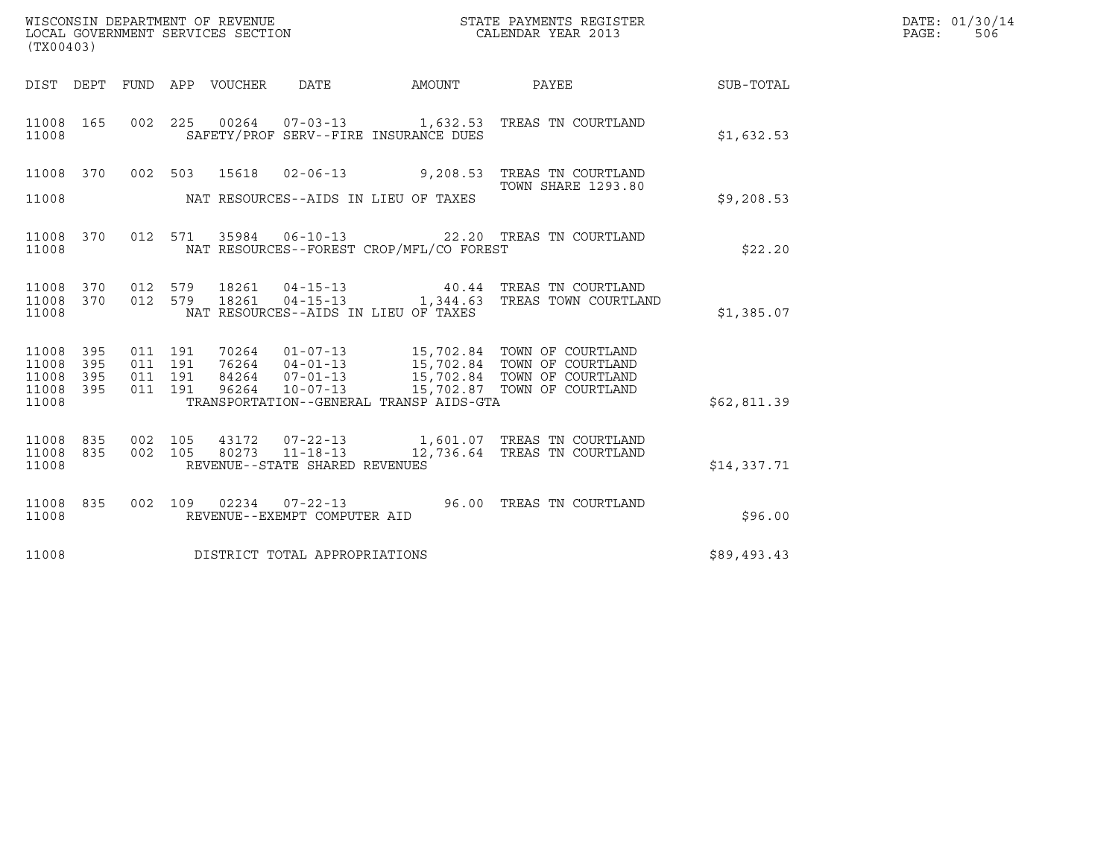| WISCONSIN DEPARTMENT OF REVENUE<br>LOCAL GOVERNMENT SERVICES SECTION<br>(TX00403) |                   |  |  |                                 |                                |                                          | STATE PAYMENTS REGISTER<br>CALENDAR YEAR 2013                                                                                                                                                                                                                                                                                             |             | DATE: 01/30/14<br>$\mathtt{PAGE:}$<br>506 |
|-----------------------------------------------------------------------------------|-------------------|--|--|---------------------------------|--------------------------------|------------------------------------------|-------------------------------------------------------------------------------------------------------------------------------------------------------------------------------------------------------------------------------------------------------------------------------------------------------------------------------------------|-------------|-------------------------------------------|
|                                                                                   |                   |  |  | DIST DEPT FUND APP VOUCHER DATE |                                | AMOUNT                                   | <b>PAYEE</b>                                                                                                                                                                                                                                                                                                                              | SUB-TOTAL   |                                           |
| 11008 165<br>11008                                                                |                   |  |  |                                 |                                | SAFETY/PROF SERV--FIRE INSURANCE DUES    | 002  225  00264  07-03-13  1,632.53  TREAS TN COURTLAND                                                                                                                                                                                                                                                                                   | \$1,632.53  |                                           |
| 11008                                                                             |                   |  |  |                                 |                                | NAT RESOURCES--AIDS IN LIEU OF TAXES     | 11008    370      002    503      15618      02-06-13                  9,208.53    TREAS  TN  COURTLAND<br><b>TOWN SHARE 1293.80</b>                                                                                                                                                                                                      | \$9,208.53  |                                           |
| 11008                                                                             | 11008 370         |  |  |                                 |                                | NAT RESOURCES--FOREST CROP/MFL/CO FOREST | 012 571 35984 06-10-13 22.20 TREAS TN COURTLAND                                                                                                                                                                                                                                                                                           | \$22.20     |                                           |
| 11008                                                                             |                   |  |  |                                 |                                | NAT RESOURCES--AIDS IN LIEU OF TAXES     |                                                                                                                                                                                                                                                                                                                                           | \$1,385.07  |                                           |
| 11008 395<br>11008<br>11008<br>11008<br>11008                                     | 395<br>395<br>395 |  |  |                                 |                                | TRANSPORTATION--GENERAL TRANSP AIDS-GTA  | $\begin{array}{cccc} 011 & 191 & 70264 & 01\hbox{-}07\hbox{-}13 & 15\hbox{/}702.84 & \text{TOWN OF COURTLAND} \\ 011 & 191 & 76264 & 04\hbox{-}01\hbox{-}13 & 15\hbox{/}702.84 & \text{TOWN OF COURTLAND} \\ 011 & 191 & 84264 & 07\hbox{-}01\hbox{-}13 & 15\hbox{/}702.84 & \text{TOWN OF COURTLAND} \\ 011 & 191 & 96264 & 10\hbox{-}0$ | \$62,811.39 |                                           |
| 11008 835<br>11008 835<br>11008                                                   |                   |  |  |                                 | REVENUE--STATE SHARED REVENUES |                                          | 002 105 43172 07-22-13 1,601.07 TREAS TN COURTLAND<br>002 105 80273 11-18-13 12,736.64 TREAS TN COURTLAND                                                                                                                                                                                                                                 | \$14,337.71 |                                           |
| 11008                                                                             | 11008 835         |  |  |                                 | REVENUE--EXEMPT COMPUTER AID   |                                          | 002 109 02234 07-22-13 96.00 TREAS TN COURTLAND                                                                                                                                                                                                                                                                                           | \$96.00     |                                           |
| 11008                                                                             |                   |  |  |                                 | DISTRICT TOTAL APPROPRIATIONS  |                                          |                                                                                                                                                                                                                                                                                                                                           | \$89,493.43 |                                           |
|                                                                                   |                   |  |  |                                 |                                |                                          |                                                                                                                                                                                                                                                                                                                                           |             |                                           |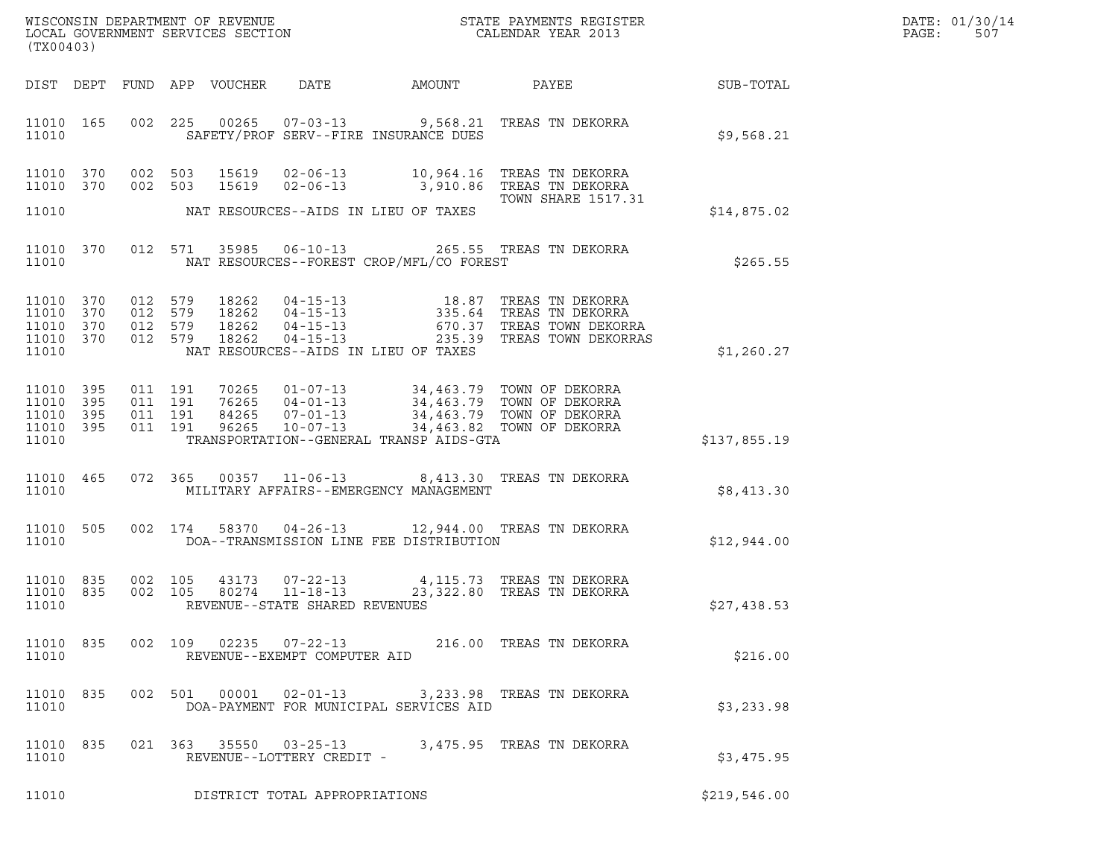| DATE: | 01/30/14 |
|-------|----------|
| PAGE: | 507      |

| (TX00403)                                             |            |                                          |                  |       |                                                                     |                                          |                                                                                                                                                                                          | DATE: 01/30/14<br>PAGE:<br>507 |  |
|-------------------------------------------------------|------------|------------------------------------------|------------------|-------|---------------------------------------------------------------------|------------------------------------------|------------------------------------------------------------------------------------------------------------------------------------------------------------------------------------------|--------------------------------|--|
| DIST DEPT                                             |            |                                          | FUND APP VOUCHER |       | DATE                                                                | AMOUNT                                   | PAYEE                                                                                                                                                                                    | SUB-TOTAL                      |  |
| 11010 165<br>11010                                    |            |                                          |                  |       |                                                                     | SAFETY/PROF SERV--FIRE INSURANCE DUES    | 002 225 00265 07-03-13 9,568.21 TREAS TN DEKORRA                                                                                                                                         | \$9,568.21                     |  |
| 11010 370<br>11010 370                                |            | 002 503                                  | 002 503          | 15619 |                                                                     |                                          | 02-06-13 3,910.86 TREAS TN DEKORRA                                                                                                                                                       |                                |  |
| 11010                                                 |            |                                          |                  |       |                                                                     | NAT RESOURCES--AIDS IN LIEU OF TAXES     | TOWN SHARE 1517.31                                                                                                                                                                       | \$14,875.02                    |  |
| 11010 370<br>11010                                    |            |                                          | 012 571 35985    |       | $06 - 10 - 13$                                                      | NAT RESOURCES--FOREST CROP/MFL/CO FOREST | 265.55 TREAS TN DEKORRA                                                                                                                                                                  | \$265.55                       |  |
| 11010 370<br>11010<br>11010 370<br>11010 370<br>11010 | 370        | 012 579<br>012 579<br>012 579<br>012 579 |                  |       |                                                                     | NAT RESOURCES--AIDS IN LIEU OF TAXES     | 18262  04-15-13  18.87 TREAS TN DEKORRA<br>18262  04-15-13  335.64 TREAS TN DEKORRA<br>18262  04-15-13  670.37 TREAS TOWN DEKORRA<br>18262  04-15-13  235.39 TREAS TOWN DEKORRAS         | \$1,260.27                     |  |
| 11010<br>11010<br>11010 395<br>11010 395<br>11010     | 395<br>395 | 011 191<br>011 191<br>011 191            | 011 191          |       |                                                                     | TRANSPORTATION--GENERAL TRANSP AIDS-GTA  | 10265  01-07-13  34,463.79  TOWN OF DEKORRA<br>16265  04-01-13  34,463.79  TOWN OF DEKORRA<br>84265  07-01-13  34,463.79  TOWN OF DEKORRA<br>96265  10-07-13  34,463.82  TOWN OF DEKORRA | \$137,855.19                   |  |
| 11010 465<br>11010                                    |            |                                          |                  |       |                                                                     | MILITARY AFFAIRS--EMERGENCY MANAGEMENT   |                                                                                                                                                                                          | \$8,413.30                     |  |
| 11010 505<br>11010                                    |            |                                          | 002 174          |       |                                                                     | DOA--TRANSMISSION LINE FEE DISTRIBUTION  | 58370  04-26-13  12,944.00  TREAS TN DEKORRA                                                                                                                                             | \$12,944.00                    |  |
| 11010 835<br>11010 835<br>11010                       |            | 002 105<br>002 105                       |                  | 43173 | $07 - 22 - 13$<br>80274  11-18-13<br>REVENUE--STATE SHARED REVENUES |                                          | 4,115.73 TREAS TN DEKORRA<br>23,322.80 TREAS TN DEKORRA                                                                                                                                  | \$27,438.53                    |  |
| 11010 835<br>11010                                    |            |                                          | 002 109          | 02235 | REVENUE--EXEMPT COMPUTER AID                                        |                                          |                                                                                                                                                                                          | \$216.00                       |  |
| 11010 835<br>11010                                    |            |                                          | 002 501          | 00001 | $02 - 01 - 13$                                                      | DOA-PAYMENT FOR MUNICIPAL SERVICES AID   | 3,233.98 TREAS TN DEKORRA                                                                                                                                                                | \$3,233.98                     |  |
| 11010 835<br>11010                                    |            |                                          |                  |       | 021 363 35550 03-25-13<br>REVENUE--LOTTERY CREDIT -                 |                                          | 3,475.95   TREAS  TN  DEKORRA                                                                                                                                                            | \$3,475.95                     |  |
| 11010                                                 |            |                                          |                  |       | DISTRICT TOTAL APPROPRIATIONS                                       |                                          |                                                                                                                                                                                          | \$219,546.00                   |  |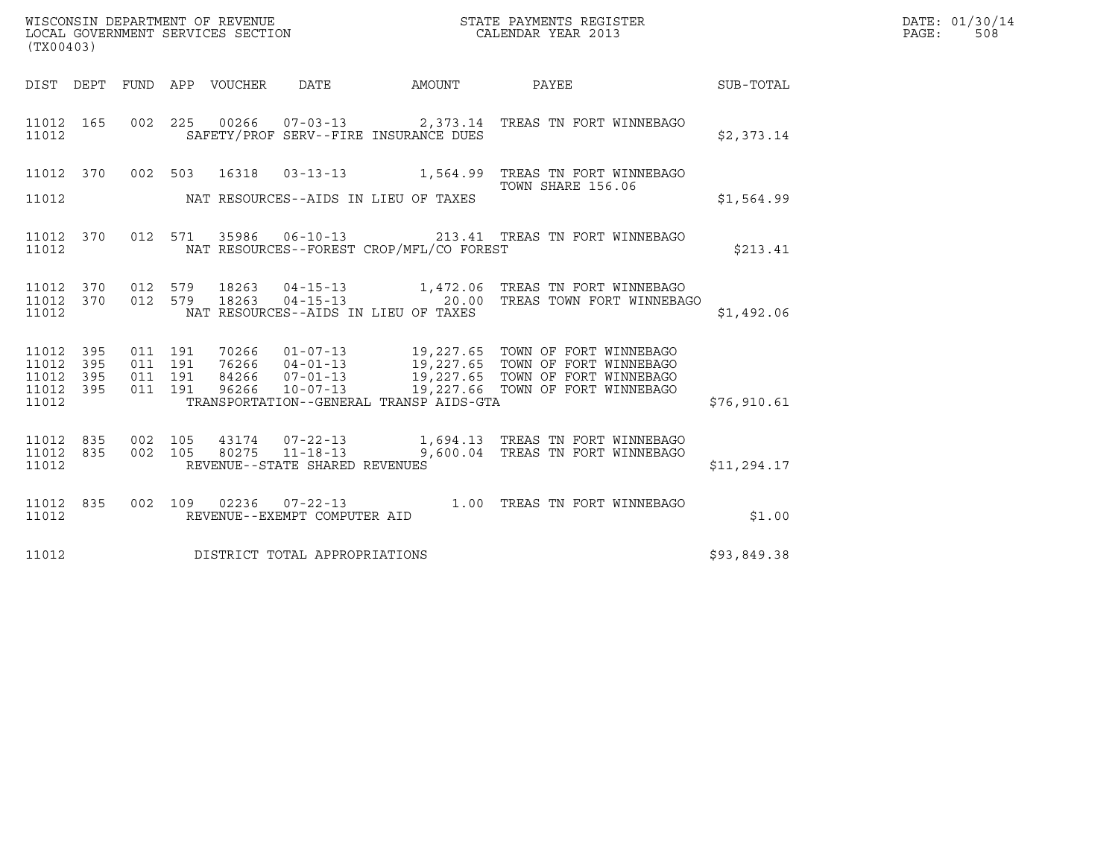| WISCONSIN DEPARTMENT OF REVENUE<br>LOCAL GOVERNMENT SERVICES SECTION<br>STATE PAYMENTS REGISTER<br>CALENDAR YEAR 2013<br>(TX00403) |                          |  |  |                                 |                                |                                          |                                                                                                                                                                                                                                                                                                                                                  |             | DATE: 01/30/14<br>$\mathtt{PAGE:}$<br>508 |
|------------------------------------------------------------------------------------------------------------------------------------|--------------------------|--|--|---------------------------------|--------------------------------|------------------------------------------|--------------------------------------------------------------------------------------------------------------------------------------------------------------------------------------------------------------------------------------------------------------------------------------------------------------------------------------------------|-------------|-------------------------------------------|
|                                                                                                                                    |                          |  |  | DIST DEPT FUND APP VOUCHER DATE |                                | AMOUNT PAYEE                             | <b>SUB-TOTAL</b>                                                                                                                                                                                                                                                                                                                                 |             |                                           |
| 11012 165<br>11012                                                                                                                 |                          |  |  |                                 |                                | SAFETY/PROF SERV--FIRE INSURANCE DUES    | 002  225  00266  07-03-13  2,373.14  TREAS TN FORT WINNEBAGO                                                                                                                                                                                                                                                                                     | \$2,373.14  |                                           |
|                                                                                                                                    |                          |  |  |                                 |                                |                                          | 11012 370 002 503 16318 03-13-13 1,564.99 TREAS TN FORT WINNEBAGO                                                                                                                                                                                                                                                                                |             |                                           |
| 11012                                                                                                                              |                          |  |  |                                 |                                | NAT RESOURCES--AIDS IN LIEU OF TAXES     | TOWN SHARE 156.06                                                                                                                                                                                                                                                                                                                                | \$1,564.99  |                                           |
| 11012                                                                                                                              |                          |  |  |                                 |                                | NAT RESOURCES--FOREST CROP/MFL/CO FOREST | 11012 370 012 571 35986 06-10-13 213.41 TREAS TN FORT WINNEBAGO                                                                                                                                                                                                                                                                                  | \$213.41    |                                           |
| 11012                                                                                                                              |                          |  |  |                                 |                                | NAT RESOURCES--AIDS IN LIEU OF TAXES     | $\begin{array}{cccccc} 11012 & 370 & 012 & 579 & 18263 & 04-15-13 & & 1,472.06 & \text{TREAS TN FORT WINNEBAGO} \\ 11012 & 370 & 012 & 579 & 18263 & 04-15-13 & & 20.00 & \text{TREAS TOWN FORT WINNEBAGO} \end{array}$                                                                                                                          | \$1,492.06  |                                           |
| 11012<br>11012<br>11012<br>11012<br>11012                                                                                          | 395<br>395<br>395<br>395 |  |  |                                 |                                | TRANSPORTATION--GENERAL TRANSP AIDS-GTA  | $\begin{array}{cccc} 011 & 191 & 70266 & 01\text{--}07\text{--}13 \\ 011 & 191 & 76266 & 04\text{--}01\text{--}13 \\ 011 & 191 & 84266 & 07\text{--}01\text{--}13 \\ 011 & 191 & 96266 & 10\text{--}07\text{--}13 \\ 011 & 191 & 96266 & 10\text{--}07\text{--}13 \\ \end{array} \qquad \quad \begin{array}{c} 19,227.65 & \text{TOMN OF FORT W$ | \$76,910.61 |                                           |
| 11012<br>11012 835<br>11012                                                                                                        | 835                      |  |  |                                 | REVENUE--STATE SHARED REVENUES |                                          | 002 105 43174 07-22-13 1,694.13 TREAS TN FORT WINNEBAGO<br>002 105 80275 11-18-13 9,600.04 TREAS TN FORT WINNEBAGO                                                                                                                                                                                                                               | \$11,294.17 |                                           |
| 11012 835<br>11012                                                                                                                 |                          |  |  |                                 | REVENUE--EXEMPT COMPUTER AID   |                                          | 002 109 02236 07-22-13 1.00 TREAS TN FORT WINNEBAGO                                                                                                                                                                                                                                                                                              | \$1.00      |                                           |
| 11012                                                                                                                              |                          |  |  |                                 | DISTRICT TOTAL APPROPRIATIONS  |                                          |                                                                                                                                                                                                                                                                                                                                                  | \$93,849.38 |                                           |
|                                                                                                                                    |                          |  |  |                                 |                                |                                          |                                                                                                                                                                                                                                                                                                                                                  |             |                                           |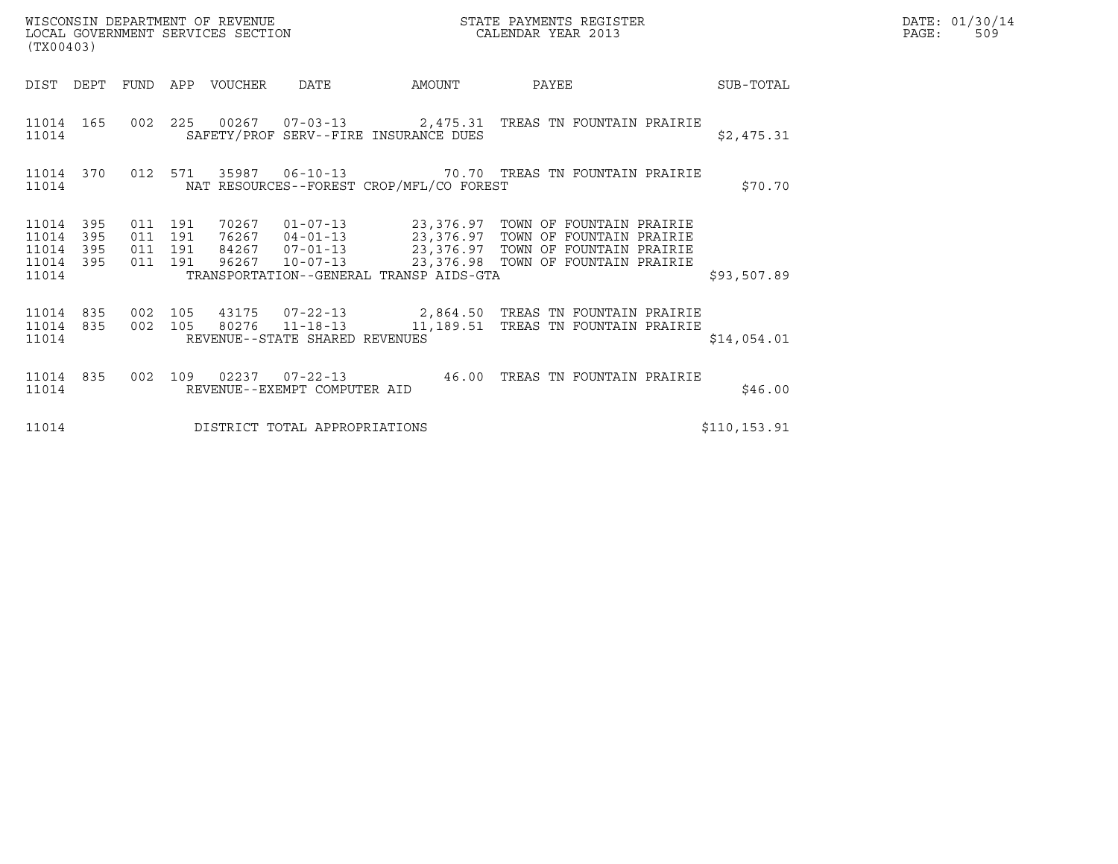| DATE: | 01/30/14 |
|-------|----------|
| PAGE: | 509      |

| WISCONSIN DEPARTMENT OF REVENUE<br>WISCONSIN DEPARTMENT OF REVENUE<br>LOCAL GOVERNMENT SERVICES SECTION<br>(TX00403) |                          |                               |         |                       |                                |                                          | STATE PAYMENTS REGISTER<br>CALENDAR YEAR 2013                                                                                                                                                                                |  | DATE: 01/30/14<br>PAGE:<br>509 |  |
|----------------------------------------------------------------------------------------------------------------------|--------------------------|-------------------------------|---------|-----------------------|--------------------------------|------------------------------------------|------------------------------------------------------------------------------------------------------------------------------------------------------------------------------------------------------------------------------|--|--------------------------------|--|
|                                                                                                                      | DIST DEPT                |                               |         | FUND APP VOUCHER DATE |                                | AMOUNT                                   | PAYEE                                                                                                                                                                                                                        |  | SUB-TOTAL                      |  |
| 11014                                                                                                                | 11014 165                |                               |         |                       |                                | SAFETY/PROF SERV--FIRE INSURANCE DUES    | 002 225 00267 07-03-13 2,475.31 TREAS TN FOUNTAIN PRAIRIE                                                                                                                                                                    |  | \$2,475.31                     |  |
| 11014                                                                                                                | 11014 370                | 012 571                       |         |                       |                                | NAT RESOURCES--FOREST CROP/MFL/CO FOREST |                                                                                                                                                                                                                              |  | \$70.70                        |  |
| 11014<br>11014<br>11014<br>11014<br>11014                                                                            | 395<br>395<br>395<br>395 | 011 191<br>011 191<br>011 191 | 011 191 |                       |                                | TRANSPORTATION--GENERAL TRANSP AIDS-GTA  | 70267  01-07-13  23,376.97  TOWN OF FOUNTAIN PRAIRIE<br>76267  04-01-13  23,376.97  TOWN OF FOUNTAIN PRAIRIE<br>84267  07-01-13  23,376.97  TOWN OF FOUNTAIN PRAIRIE<br>96267  10-07-13  23,376.98  TOWN OF FOUNTAIN PRAIRIE |  | \$93,507.89                    |  |
| 11014 835<br>11014 835<br>11014                                                                                      |                          | 002 105<br>002 105            |         |                       | REVENUE--STATE SHARED REVENUES |                                          | 80276  11-18-13  11,189.51  TREAS TN FOUNTAIN PRAIRIE                                                                                                                                                                        |  | \$14,054.01                    |  |
| 11014 835<br>11014                                                                                                   |                          |                               |         |                       | REVENUE--EXEMPT COMPUTER AID   | $002$ 109 02237 07-22-13 46.00           | TREAS TN FOUNTAIN PRAIRIE                                                                                                                                                                                                    |  | \$46.00                        |  |
| 11014                                                                                                                |                          |                               |         |                       | DISTRICT TOTAL APPROPRIATIONS  |                                          |                                                                                                                                                                                                                              |  | \$110,153.91                   |  |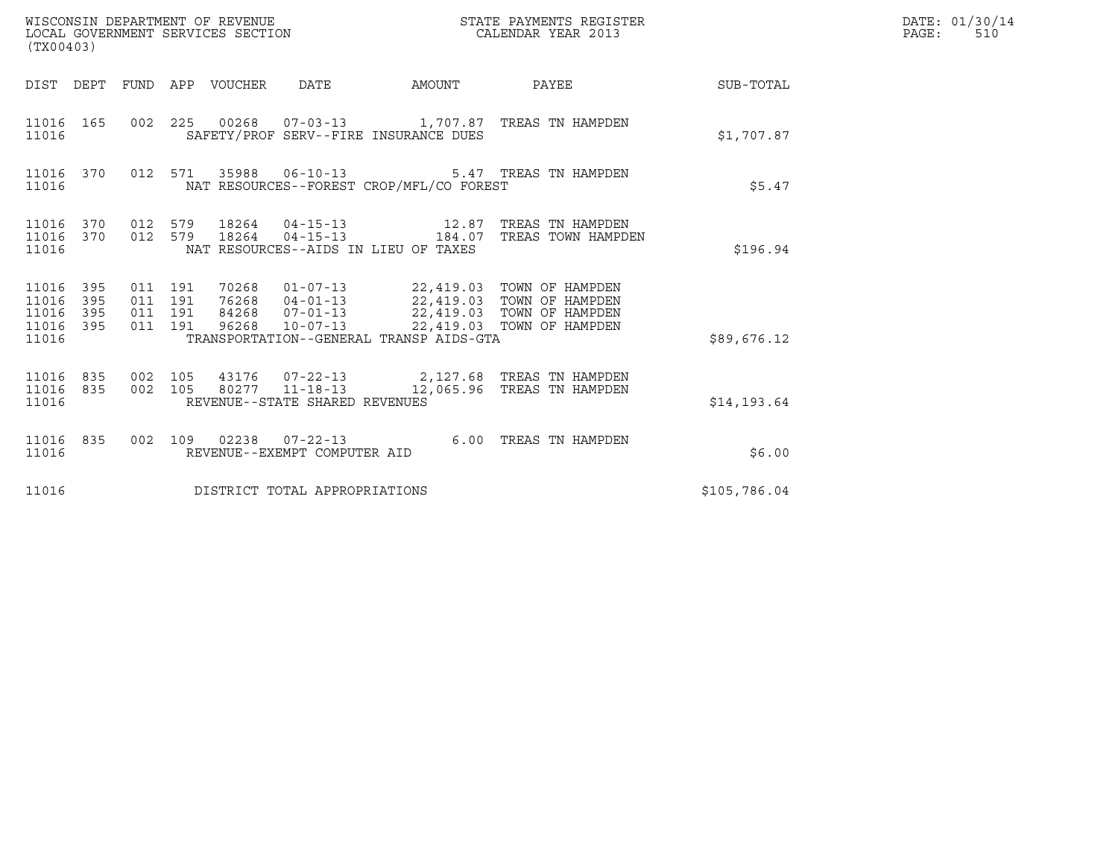| WISCONSIN DEPARTMENT OF REVENUE<br>LOCAL GOVERNMENT SERVICES SECTION<br>(TX00403) |                   |                                          |  |                                 |                                |                                                                                                                                                                                                                   | STATE PAYMENTS REGISTER<br>CALENDAR YEAR 2013                                            |              | DATE: 01/30/14<br>PAGE:<br>510 |
|-----------------------------------------------------------------------------------|-------------------|------------------------------------------|--|---------------------------------|--------------------------------|-------------------------------------------------------------------------------------------------------------------------------------------------------------------------------------------------------------------|------------------------------------------------------------------------------------------|--------------|--------------------------------|
|                                                                                   |                   |                                          |  | DIST DEPT FUND APP VOUCHER DATE |                                | AMOUNT                                                                                                                                                                                                            | PAYEE                                                                                    | SUB-TOTAL    |                                |
| 11016 165<br>11016                                                                |                   |                                          |  |                                 |                                | SAFETY/PROF SERV--FIRE INSURANCE DUES                                                                                                                                                                             | 002 225 00268 07-03-13 1,707.87 TREAS TN HAMPDEN                                         | \$1,707.87   |                                |
| 11016 370<br>11016                                                                |                   |                                          |  |                                 |                                | NAT RESOURCES--FOREST CROP/MFL/CO FOREST                                                                                                                                                                          | 012 571 35988 06-10-13 5.47 TREAS TN HAMPDEN                                             | \$5.47       |                                |
| 11016 370<br>11016 370<br>11016                                                   |                   |                                          |  |                                 |                                | 012 579 18264 04-15-13 12.87<br>NAT RESOURCES--AIDS IN LIEU OF TAXES                                                                                                                                              | TREAS TN HAMPDEN<br>012 579 18264 04-15-13 184.07 TREAS TOWN HAMPDEN                     | \$196.94     |                                |
| 11016 395<br>11016<br>11016<br>11016<br>11016                                     | 395<br>395<br>395 | 011 191<br>011 191<br>011 191<br>011 191 |  | 96268                           | $10 - 07 - 13$                 | 70268  01-07-13  22,419.03  TOWN OF HAMPDEN<br>76268  04-01-13  22,419.03  TOWN OF HAMPDEN<br>84268  07-01-13  22,419.03  TOWN OF HAMPDEN<br>22,419.03 TOWN OF HAMPDEN<br>TRANSPORTATION--GENERAL TRANSP AIDS-GTA |                                                                                          | \$89,676.12  |                                |
| 11016<br>11016 835<br>11016                                                       | 835               | 002 105<br>002 105                       |  |                                 | REVENUE--STATE SHARED REVENUES |                                                                                                                                                                                                                   | 43176  07-22-13  2,127.68  TREAS TN HAMPDEN<br>80277 11-18-13 12,065.96 TREAS TN HAMPDEN | \$14, 193.64 |                                |
| 11016 835<br>11016                                                                |                   | 002 109                                  |  |                                 | REVENUE--EXEMPT COMPUTER AID   |                                                                                                                                                                                                                   | 02238  07-22-13  6.00  TREAS TN HAMPDEN                                                  | \$6.00       |                                |
| 11016                                                                             |                   |                                          |  |                                 | DISTRICT TOTAL APPROPRIATIONS  |                                                                                                                                                                                                                   |                                                                                          | \$105,786.04 |                                |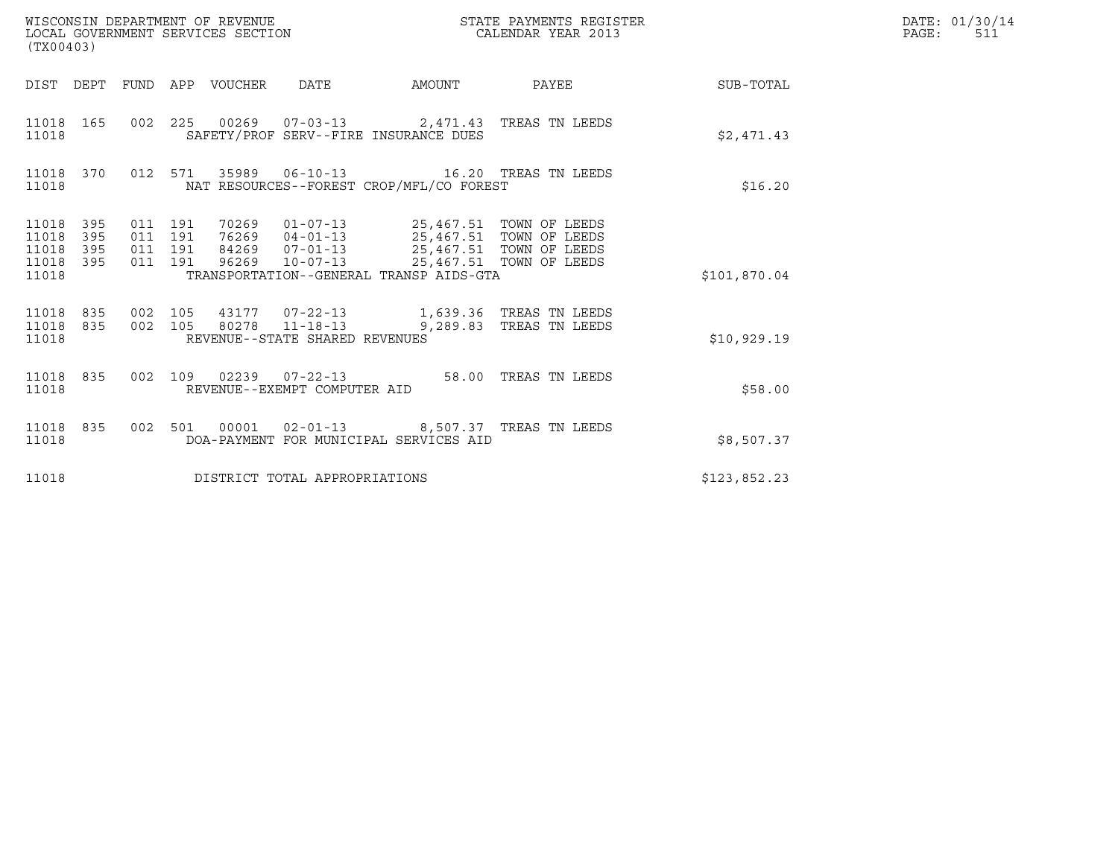| WISCONSIN DEPARTMENT OF REVENUE<br>(TX00403)                       | LOCAL GOVERNMENT SERVICES SECTION                                                                                                                                                                                                                                                      |        | STATE PAYMENTS REGISTER<br>CALENDAR YEAR 2013 |              | DATE: 01/30/14<br>$\mathtt{PAGE}$ :<br>511 |
|--------------------------------------------------------------------|----------------------------------------------------------------------------------------------------------------------------------------------------------------------------------------------------------------------------------------------------------------------------------------|--------|-----------------------------------------------|--------------|--------------------------------------------|
|                                                                    | DIST DEPT FUND APP VOUCHER DATE                                                                                                                                                                                                                                                        | AMOUNT | PAYEE SUB-TOTAL                               |              |                                            |
| 11018 165<br>11018                                                 | 002 225 00269 07-03-13 2,471.43 TREAS TN LEEDS<br>SAFETY/PROF SERV--FIRE INSURANCE DUES                                                                                                                                                                                                |        |                                               | \$2,471.43   |                                            |
| 11018 370<br>11018                                                 | 012 571 35989 06-10-13 16.20 TREAS TN LEEDS<br>NAT RESOURCES--FOREST CROP/MFL/CO FOREST                                                                                                                                                                                                |        |                                               | \$16.20      |                                            |
| 11018 395<br>11018<br>395<br>395<br>11018<br>395<br>11018<br>11018 | 011 191<br>70269  01-07-13  25,467.51  TOWN OF LEEDS<br>76269     04-01-13     25,467.51 TOWN OF LEEDS<br>84269     07-01-13     25,467.51 TOWN OF LEEDS<br>96269     10-07-13     25,467.51 TOWN OF LEEDS<br>011 191<br>011 191<br>011 191<br>TRANSPORTATION--GENERAL TRANSP AIDS-GTA |        |                                               | \$101,870.04 |                                            |
| 11018 835<br>11018 835<br>11018                                    | 002 105<br>002 105<br>80278  11-18-13  9,289.83  TREAS TN LEEDS<br>REVENUE--STATE SHARED REVENUES                                                                                                                                                                                      |        |                                               | \$10,929.19  |                                            |
| 11018 835<br>11018                                                 | 002 109 02239 07-22-13 58.00 TREAS TN LEEDS<br>REVENUE--EXEMPT COMPUTER AID                                                                                                                                                                                                            |        |                                               | \$58.00      |                                            |
| 11018                                                              | 11018 835 002 501 00001 02-01-13 8,507.37 TREAS TN LEEDS<br>DOA-PAYMENT FOR MUNICIPAL SERVICES AID                                                                                                                                                                                     |        |                                               | \$8,507.37   |                                            |
| 11018                                                              | DISTRICT TOTAL APPROPRIATIONS                                                                                                                                                                                                                                                          |        |                                               | \$123,852.23 |                                            |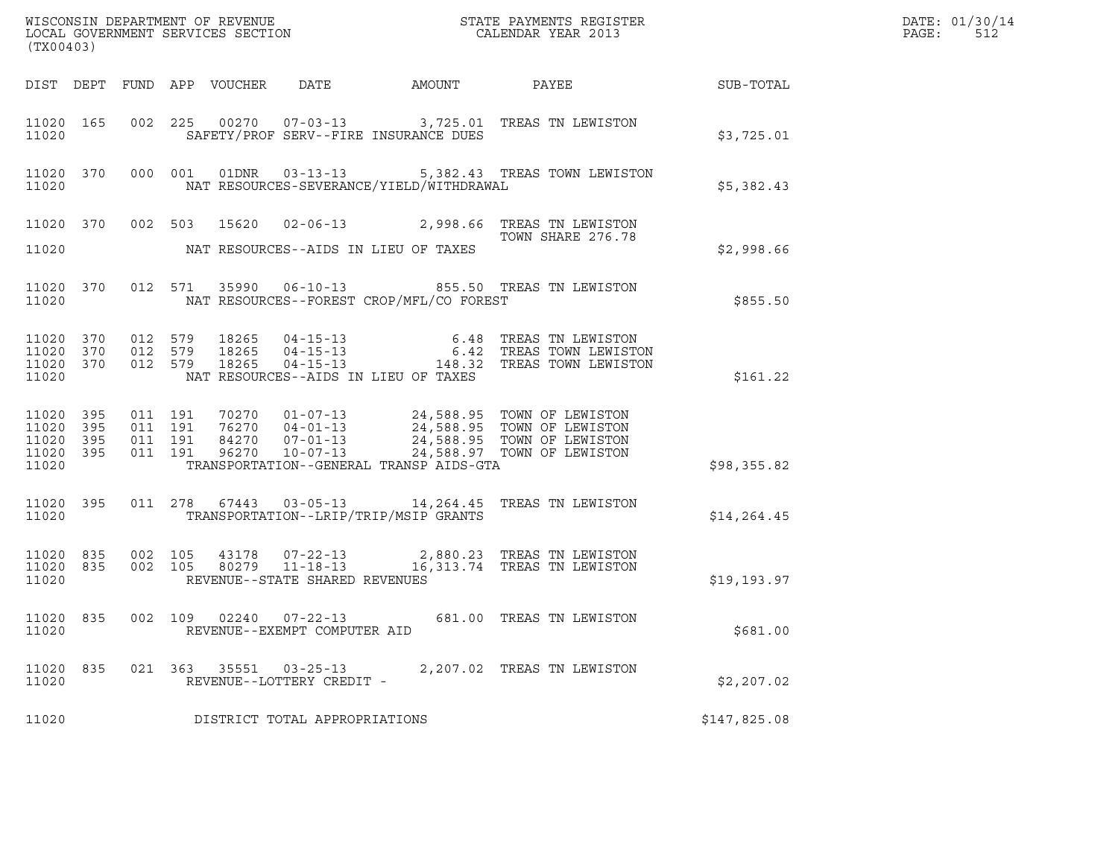| (TX00403)                                                 |                               |         |                                                        |                                          | DATE: 01/30/14<br>$\mathtt{PAGE}$ :<br>512                                                                                                                                                   |              |  |
|-----------------------------------------------------------|-------------------------------|---------|--------------------------------------------------------|------------------------------------------|----------------------------------------------------------------------------------------------------------------------------------------------------------------------------------------------|--------------|--|
|                                                           |                               |         |                                                        |                                          |                                                                                                                                                                                              |              |  |
| 11020 165<br>11020                                        |                               |         |                                                        | SAFETY/PROF SERV--FIRE INSURANCE DUES    | 002 225 00270 07-03-13 3,725.01 TREAS TN LEWISTON                                                                                                                                            | \$3,725.01   |  |
| 11020                                                     |                               |         |                                                        | NAT RESOURCES-SEVERANCE/YIELD/WITHDRAWAL | 11020 370 000 001 01DNR 03-13-13 5,382.43 TREAS TOWN LEWISTON                                                                                                                                | \$5,382.43   |  |
|                                                           |                               |         |                                                        |                                          | 11020 370 002 503 15620 02-06-13 2,998.66 TREAS TN LEWISTON                                                                                                                                  |              |  |
| 11020                                                     |                               |         |                                                        | NAT RESOURCES--AIDS IN LIEU OF TAXES     |                                                                                                                                                                                              | \$2,998.66   |  |
| 11020 370<br>11020                                        |                               |         |                                                        | NAT RESOURCES--FOREST CROP/MFL/CO FOREST | 012 571 35990 06-10-13 855.50 TREAS TN LEWISTON                                                                                                                                              | \$855.50     |  |
| 11020 370 012 579<br>11020 370<br>11020 370<br>11020      | 012 579<br>012 579            |         |                                                        | NAT RESOURCES--AIDS IN LIEU OF TAXES     | 18265   04-15-13   6.48   TREAS TN LEWISTON<br>18265   04-15-13   6.42   TREAS TOWN LEWISTON<br>18265   04-15-13   148.32   TREAS TOWN LEWISTON                                              | \$161.22     |  |
| 11020 395<br>11020 395<br>11020 395<br>11020 395<br>11020 | 011 191<br>011 191<br>011 191 | 011 191 |                                                        | TRANSPORTATION--GENERAL TRANSP AIDS-GTA  | 70270  01-07-13  24,588.95  TOWN OF LEWISTON<br>76270  04-01-13  24,588.95  TOWN OF LEWISTON<br>84270  07-01-13  24,588.95  TOWN OF LEWISTON<br>96270  10-07-13  24,588.97  TOWN OF LEWISTON | \$98,355.82  |  |
| 11020                                                     |                               |         |                                                        | TRANSPORTATION--LRIP/TRIP/MSIP GRANTS    | 11020 395 011 278 67443 03-05-13 14,264.45 TREAS TN LEWISTON                                                                                                                                 | \$14, 264.45 |  |
| 11020 835<br>11020 835<br>11020                           | 002 105<br>002 105            |         | REVENUE--STATE SHARED REVENUES                         |                                          |                                                                                                                                                                                              | \$19,193.97  |  |
| 11020 835<br>11020                                        |                               |         | 002 109 02240 07-22-13<br>REVENUE--EXEMPT COMPUTER AID |                                          | 681.00 TREAS TN LEWISTON                                                                                                                                                                     | \$681.00     |  |
| 11020 835<br>11020                                        |                               |         | 021 363 35551 03-25-13<br>REVENUE--LOTTERY CREDIT -    |                                          | 2,207.02 TREAS TN LEWISTON                                                                                                                                                                   | \$2,207.02   |  |
| 11020                                                     |                               |         | DISTRICT TOTAL APPROPRIATIONS                          |                                          |                                                                                                                                                                                              | \$147,825.08 |  |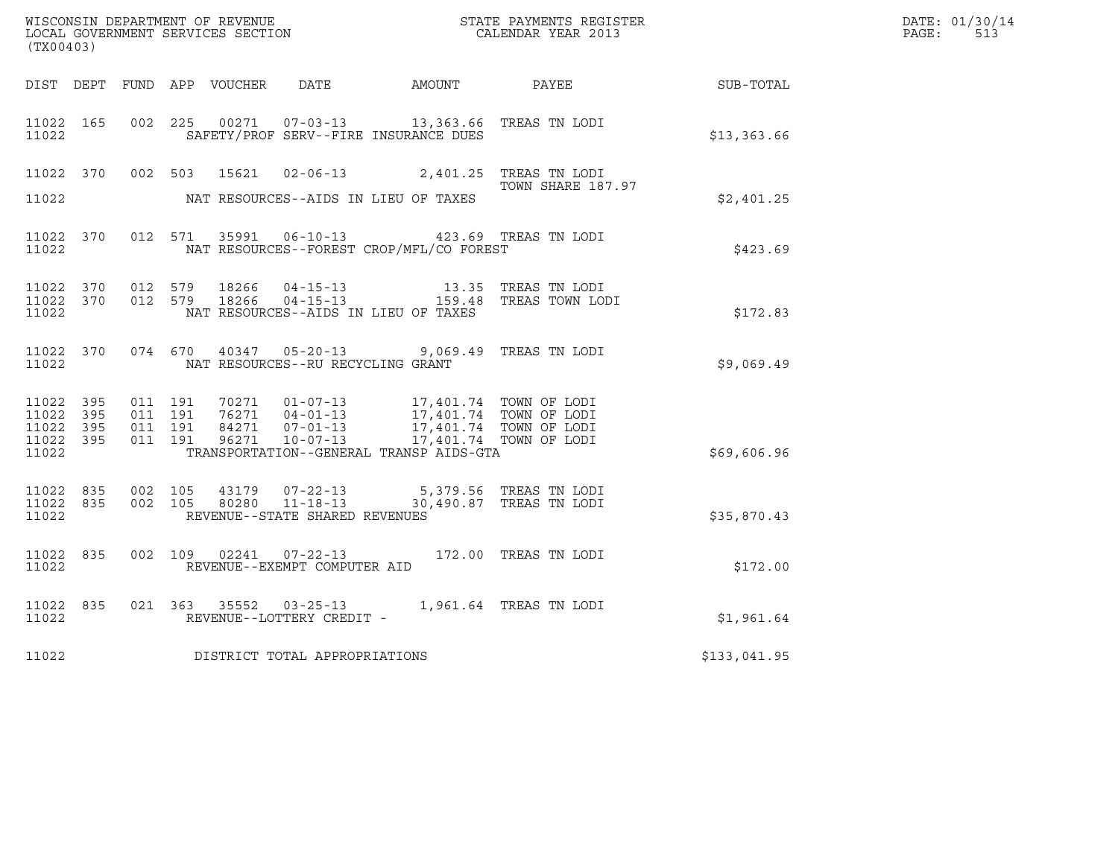| (TX00403)                                                 |                                |                                          |  |                                   |                                                                                                                                                                                                                                                                              | WISCONSIN DEPARTMENT OF REVENUE<br>LOCAL GOVERNMENT SERVICES SECTION CALENDAR YEAR 2013                                                                                                                                        |              | DATE: 01/30/14<br>$\mathtt{PAGE:}$<br>513 |
|-----------------------------------------------------------|--------------------------------|------------------------------------------|--|-----------------------------------|------------------------------------------------------------------------------------------------------------------------------------------------------------------------------------------------------------------------------------------------------------------------------|--------------------------------------------------------------------------------------------------------------------------------------------------------------------------------------------------------------------------------|--------------|-------------------------------------------|
|                                                           |                                |                                          |  |                                   |                                                                                                                                                                                                                                                                              | DIST DEPT FUND APP VOUCHER DATE AMOUNT PAYEE SUB-TOTAL                                                                                                                                                                         |              |                                           |
| 11022 165<br>11022                                        |                                |                                          |  |                                   | 002 225 00271 07-03-13 13,363.66 TREAS TN LODI<br>SAFETY/PROF SERV--FIRE INSURANCE DUES                                                                                                                                                                                      |                                                                                                                                                                                                                                | \$13,363.66  |                                           |
|                                                           |                                |                                          |  |                                   | 11022 370 002 503 15621 02-06-13 2,401.25 TREAS TN LODI                                                                                                                                                                                                                      | TOWN SHARE 187.97                                                                                                                                                                                                              |              |                                           |
| 11022                                                     |                                |                                          |  |                                   | NAT RESOURCES--AIDS IN LIEU OF TAXES                                                                                                                                                                                                                                         |                                                                                                                                                                                                                                | \$2,401.25   |                                           |
| 11022                                                     |                                |                                          |  |                                   | 11022 370 012 571 35991 06-10-13 423.69 TREAS TN LODI<br>NAT RESOURCES--FOREST CROP/MFL/CO FOREST                                                                                                                                                                            |                                                                                                                                                                                                                                | \$423.69     |                                           |
| 11022                                                     |                                |                                          |  |                                   | NAT RESOURCES--AIDS IN LIEU OF TAXES                                                                                                                                                                                                                                         | $11022 \quad 370 \qquad 012 \quad 579 \qquad 18266 \qquad 04-15-13 \qquad 13.35 \quad \text{TREAS TN LODI} \\ 11022 \quad 370 \qquad 012 \quad 579 \qquad 18266 \qquad 04-15-13 \qquad 159.48 \quad \text{TREAS TOWN LODI} \\$ | \$172.83     |                                           |
| 11022                                                     |                                |                                          |  | NAT RESOURCES--RU RECYCLING GRANT | 11022 370 074 670 40347 05-20-13 9,069.49 TREAS TN LODI                                                                                                                                                                                                                      |                                                                                                                                                                                                                                | \$9,069.49   |                                           |
| 11022 395<br>11022 395<br>11022 395<br>11022 395<br>11022 |                                | 011 191<br>011 191<br>011 191<br>011 191 |  |                                   | $\begin{tabular}{cccc} 70271 & 01-07-13 & 17,401.74 & TOWN OF LODI \\ 76271 & 04-01-13 & 17,401.74 & TOWN OF LODI \\ 84271 & 07-01-13 & 17,401.74 & TOWN OF LODI \\ 96271 & 10-07-13 & 17,401.74 & TOWN OF LODI \\ \end{tabular}$<br>TRANSPORTATION--GENERAL TRANSP AIDS-GTA |                                                                                                                                                                                                                                | \$69,606.96  |                                           |
| 11022                                                     | 11022 835 002 105<br>11022 835 | 002 105                                  |  | REVENUE--STATE SHARED REVENUES    |                                                                                                                                                                                                                                                                              |                                                                                                                                                                                                                                | \$35,870.43  |                                           |
| 11022                                                     | 11022 835                      |                                          |  | REVENUE--EXEMPT COMPUTER AID      | 002 109 02241 07-22-13 172.00 TREAS TN LODI                                                                                                                                                                                                                                  |                                                                                                                                                                                                                                | \$172.00     |                                           |
| 11022                                                     | 11022 835                      |                                          |  | REVENUE--LOTTERY CREDIT -         | 021 363 35552 03-25-13 1,961.64 TREAS TN LODI                                                                                                                                                                                                                                |                                                                                                                                                                                                                                | \$1,961.64   |                                           |
| 11022                                                     |                                |                                          |  | DISTRICT TOTAL APPROPRIATIONS     |                                                                                                                                                                                                                                                                              |                                                                                                                                                                                                                                | \$133,041.95 |                                           |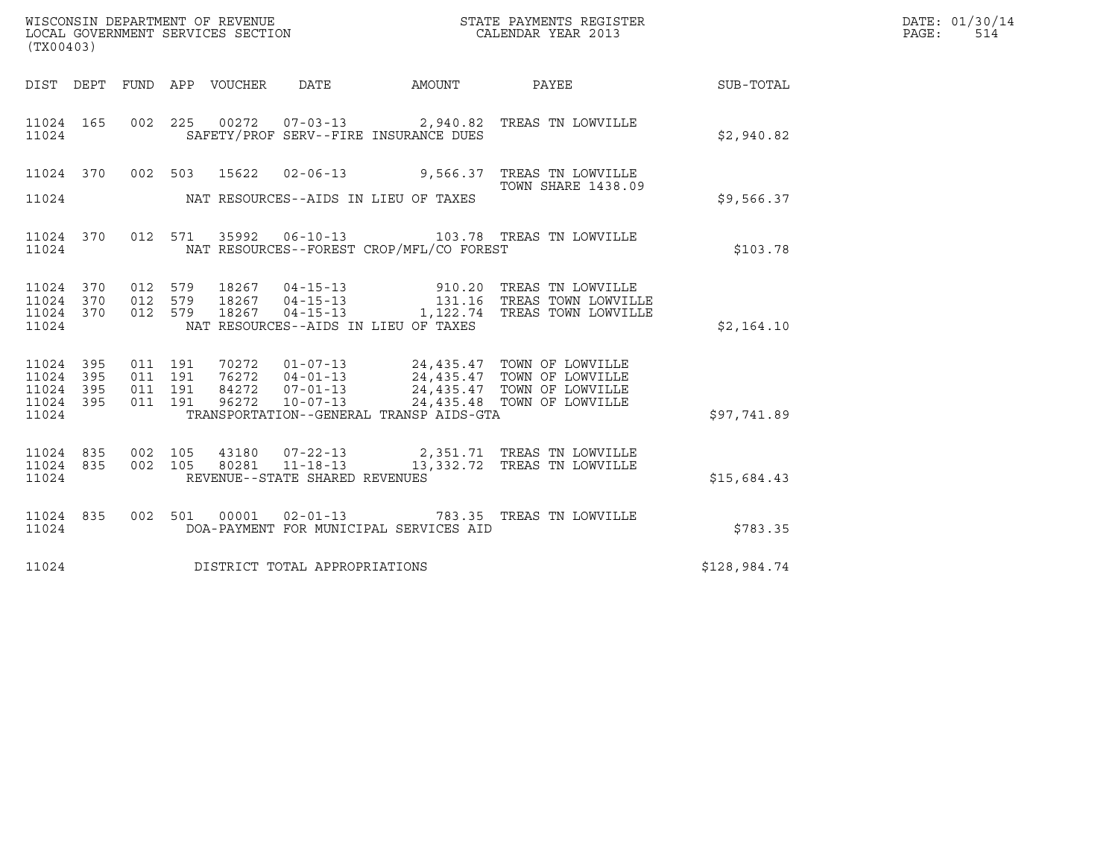| (TX00403)                                     |                   |                    |                    | WISCONSIN DEPARTMENT OF REVENUE<br>LOCAL GOVERNMENT SERVICES SECTION |                                |                                          | STATE PAYMENTS REGISTER<br>CALENDAR YEAR 2013                                                                                                                                                |              | DATE: 01/30/14<br>PAGE:<br>514 |
|-----------------------------------------------|-------------------|--------------------|--------------------|----------------------------------------------------------------------|--------------------------------|------------------------------------------|----------------------------------------------------------------------------------------------------------------------------------------------------------------------------------------------|--------------|--------------------------------|
|                                               |                   |                    |                    | DIST DEPT FUND APP VOUCHER DATE                                      |                                | AMOUNT PAYEE                             |                                                                                                                                                                                              | SUB-TOTAL    |                                |
| 11024 165<br>11024                            |                   |                    |                    |                                                                      |                                | SAFETY/PROF SERV--FIRE INSURANCE DUES    | 002 225 00272 07-03-13 2,940.82 TREAS TN LOWVILLE                                                                                                                                            | \$2,940.82   |                                |
|                                               |                   |                    |                    |                                                                      |                                |                                          | 11024 370 002 503 15622 02-06-13 9,566.37 TREAS TN LOWVILLE                                                                                                                                  |              |                                |
| 11024                                         |                   |                    |                    |                                                                      |                                | NAT RESOURCES--AIDS IN LIEU OF TAXES     | <b>TOWN SHARE 1438.09</b>                                                                                                                                                                    | \$9,566.37   |                                |
| 11024                                         | 11024 370         |                    |                    |                                                                      |                                | NAT RESOURCES--FOREST CROP/MFL/CO FOREST | 012 571 35992 06-10-13 103.78 TREAS TN LOWVILLE                                                                                                                                              | \$103.78     |                                |
| 11024 370<br>11024<br>11024<br>11024          | 370<br>370        | 012 579            |                    |                                                                      |                                | NAT RESOURCES--AIDS IN LIEU OF TAXES     | 18267  04-15-13   1,122.74   TREAS TOWN LOWVILLE                                                                                                                                             | \$2,164.10   |                                |
| 11024 395<br>11024<br>11024<br>11024<br>11024 | 395<br>395<br>395 | 011 191<br>011 191 | 011 191<br>011 191 |                                                                      |                                | TRANSPORTATION--GENERAL TRANSP AIDS-GTA  | 70272  01-07-13  24,435.47  TOWN OF LOWVILLE<br>76272  04-01-13  24,435.47  TOWN OF LOWVILLE<br>84272  07-01-13  24,435.47  TOWN OF LOWVILLE<br>96272  10-07-13  24,435.48  TOWN OF LOWVILLE | \$97,741.89  |                                |
| 11024<br>11024                                | 11024 835<br>835  |                    |                    |                                                                      | REVENUE--STATE SHARED REVENUES |                                          | 002 105 43180 07-22-13 2,351.71 TREAS TN LOWVILLE<br>002 105 80281 11-18-13 13,332.72 TREAS TN LOWVILLE                                                                                      | \$15,684.43  |                                |
| 11024 835<br>11024                            |                   |                    |                    |                                                                      |                                | DOA-PAYMENT FOR MUNICIPAL SERVICES AID   | 002 501 00001 02-01-13 783.35 TREAS TN LOWVILLE                                                                                                                                              | \$783.35     |                                |
| 11024                                         |                   |                    |                    |                                                                      | DISTRICT TOTAL APPROPRIATIONS  |                                          |                                                                                                                                                                                              | \$128,984.74 |                                |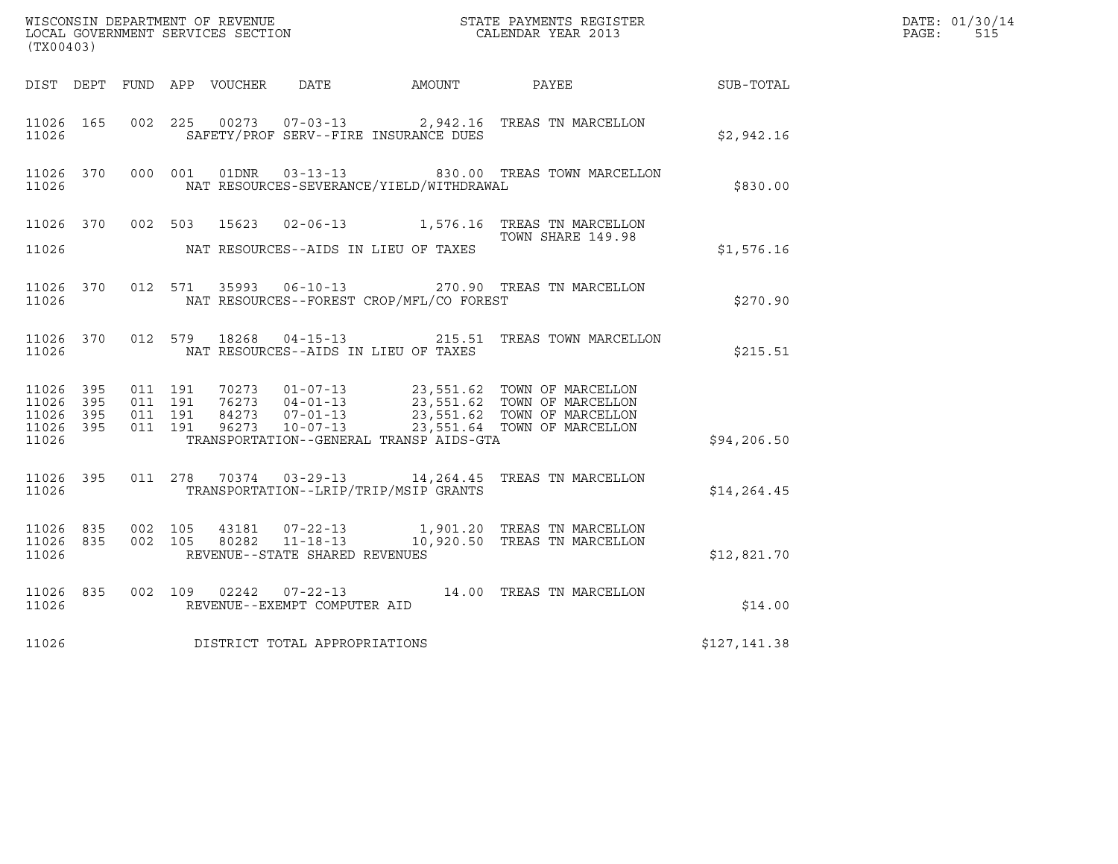| (TX00403)                       |     |                               |         |                         |                                |                                              |                                                                                                                                                                                                  |                  | DATE: 01/30/14<br>PAGE:<br>515 |
|---------------------------------|-----|-------------------------------|---------|-------------------------|--------------------------------|----------------------------------------------|--------------------------------------------------------------------------------------------------------------------------------------------------------------------------------------------------|------------------|--------------------------------|
|                                 |     |                               |         |                         |                                | DIST DEPT FUND APP VOUCHER DATE AMOUNT PAYEE |                                                                                                                                                                                                  | <b>SUB-TOTAL</b> |                                |
| 11026 165<br>11026              |     |                               |         |                         |                                | SAFETY/PROF SERV--FIRE INSURANCE DUES        | 002 225 00273 07-03-13 2,942.16 TREAS TN MARCELLON                                                                                                                                               | \$2,942.16       |                                |
| 11026 370<br>11026              |     |                               |         |                         |                                | NAT RESOURCES-SEVERANCE/YIELD/WITHDRAWAL     | 000 001 01DNR  03-13-13  830.00 TREAS TOWN MARCELLON                                                                                                                                             | \$830.00         |                                |
|                                 |     |                               |         |                         |                                |                                              | 11026 370 002 503 15623 02-06-13 1,576.16 TREAS TN MARCELLON<br>TOWN SHARE 149.98                                                                                                                |                  |                                |
| 11026                           |     |                               |         |                         |                                | NAT RESOURCES--AIDS IN LIEU OF TAXES         |                                                                                                                                                                                                  | \$1,576.16       |                                |
| 11026                           |     |                               |         |                         |                                | NAT RESOURCES--FOREST CROP/MFL/CO FOREST     | 11026 370 012 571 35993 06-10-13 270.90 TREAS TN MARCELLON                                                                                                                                       | \$270.90         |                                |
| 11026                           |     |                               |         | 11026 370 012 579 18268 |                                | NAT RESOURCES--AIDS IN LIEU OF TAXES         | 04-15-13 215.51 TREAS TOWN MARCELLON                                                                                                                                                             | \$215.51         |                                |
| 11026 395<br>11026<br>11026 395 | 395 | 011 191<br>011 191<br>011 191 |         |                         |                                |                                              | 70273  01-07-13  23,551.62  TOWN OF MARCELLON<br>76273  04-01-13  23,551.62  TOWN OF MARCELLON<br>84273  07-01-13  23,551.62  TOWN OF MARCELLON<br>96273  10-07-13  23,551.64  TOWN OF MARCELLON |                  |                                |
| 11026 395<br>11026              |     |                               | 011 191 |                         |                                | TRANSPORTATION--GENERAL TRANSP AIDS-GTA      |                                                                                                                                                                                                  | \$94, 206.50     |                                |
| 11026                           |     |                               |         |                         |                                | TRANSPORTATION--LRIP/TRIP/MSIP GRANTS        | 11026 395 011 278 70374 03-29-13 14, 264.45 TREAS TN MARCELLON                                                                                                                                   | \$14, 264.45     |                                |
| 11026 835<br>11026              |     | 11026 835 002 105             |         |                         | REVENUE--STATE SHARED REVENUES |                                              | 43181  07-22-13    1,901.20    TREAS TN MARCELLON<br>002 105 80282 11-18-13 10,920.50 TREAS TN MARCELLON                                                                                         | \$12,821.70      |                                |
| 11026 835<br>11026              |     |                               |         |                         | REVENUE--EXEMPT COMPUTER AID   |                                              | 002 109 02242 07-22-13 14.00 TREAS TN MARCELLON                                                                                                                                                  | \$14.00          |                                |
| 11026                           |     |                               |         |                         | DISTRICT TOTAL APPROPRIATIONS  |                                              |                                                                                                                                                                                                  | \$127,141.38     |                                |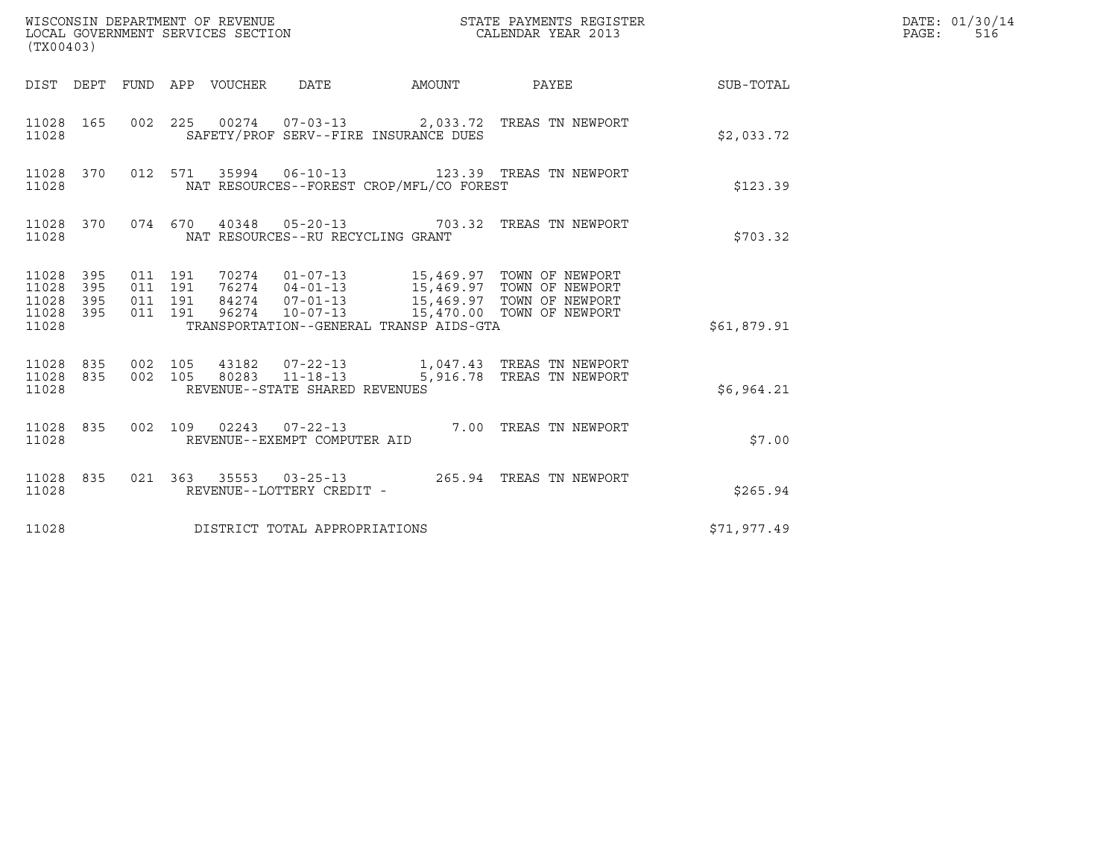| (TX00403)                                         |            |                               |         |                                   |                                              | $\tt WISCONSIM$ DEPARTMENT OF REVENUE $$\tt STATE$ PAYMENTS REGISTER LOCAL GOVERNMENT SERVICES SECTION $$\tt CALENDAR$ YEAR 2013 |             | DATE: 01/30/14<br>PAGE:<br>516 |
|---------------------------------------------------|------------|-------------------------------|---------|-----------------------------------|----------------------------------------------|----------------------------------------------------------------------------------------------------------------------------------|-------------|--------------------------------|
|                                                   |            |                               |         |                                   | DIST DEPT FUND APP VOUCHER DATE AMOUNT PAYEE |                                                                                                                                  | SUB-TOTAL   |                                |
| 11028                                             |            |                               |         |                                   | SAFETY/PROF SERV--FIRE INSURANCE DUES        | 11028 165 002 225 00274 07-03-13 2,033.72 TREAS TN NEWPORT                                                                       | \$2,033.72  |                                |
| 11028                                             |            |                               |         |                                   | NAT RESOURCES--FOREST CROP/MFL/CO FOREST     | 11028 370 012 571 35994 06-10-13 123.39 TREAS TN NEWPORT                                                                         | \$123.39    |                                |
| 11028                                             |            |                               |         | NAT RESOURCES--RU RECYCLING GRANT |                                              | 11028 370 074 670 40348 05-20-13 703.32 TREAS TN NEWPORT                                                                         | \$703.32    |                                |
| 11028 395<br>11028<br>11028<br>11028 395<br>11028 | 395<br>395 | 011 191<br>011 191<br>011 191 | 011 191 |                                   | TRANSPORTATION--GENERAL TRANSP AIDS-GTA      |                                                                                                                                  | \$61,879.91 |                                |
| 11028                                             |            |                               |         | REVENUE--STATE SHARED REVENUES    |                                              | $11028 835 002 105 43182 07-22-13 1,047.43 TREAS TN NEWPORT11028 835 002 105 80283 11-18-13 5,916.78 TREAS TN NEWPORT$           | \$6,964.21  |                                |
| 11028                                             |            |                               |         | REVENUE--EXEMPT COMPUTER AID      |                                              | 11028 835 002 109 02243 07-22-13 7.00 TREAS TN NEWPORT                                                                           | \$7.00      |                                |
| 11028 835<br>11028                                |            |                               |         | REVENUE--LOTTERY CREDIT -         |                                              | 021  363  35553  03-25-13  265.94  TREAS TN NEWPORT                                                                              | \$265.94    |                                |
| 11028                                             |            |                               |         | DISTRICT TOTAL APPROPRIATIONS     |                                              |                                                                                                                                  | \$71,977.49 |                                |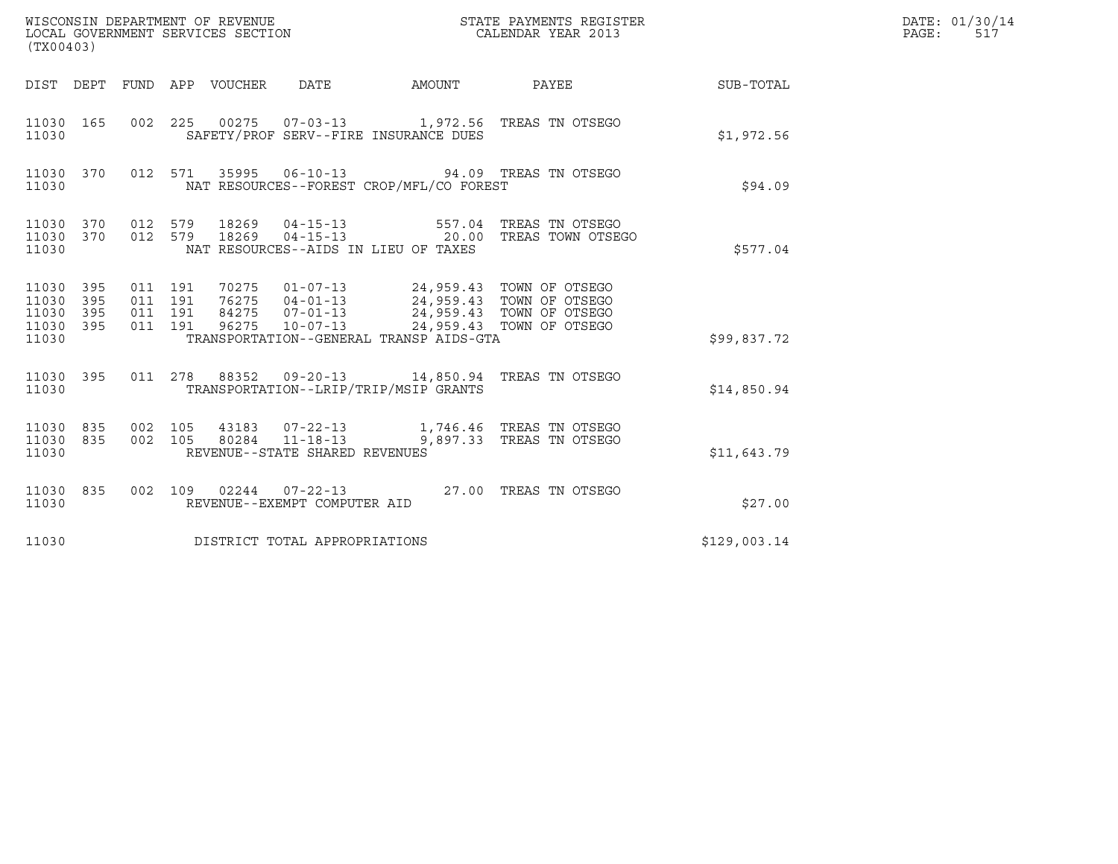| (TX00403)                                |            |                                          |  | WISCONSIN DEPARTMENT OF REVENUE<br>LOCAL GOVERNMENT SERVICES SECTION |                                                                                                                                                                                      | STATE PAYMENTS REGISTER<br>CALENDAR YEAR 2013                                         |              | DATE: 01/30/14<br>PAGE:<br>517 |
|------------------------------------------|------------|------------------------------------------|--|----------------------------------------------------------------------|--------------------------------------------------------------------------------------------------------------------------------------------------------------------------------------|---------------------------------------------------------------------------------------|--------------|--------------------------------|
|                                          |            |                                          |  |                                                                      |                                                                                                                                                                                      | DIST DEPT FUND APP VOUCHER DATE AMOUNT PAYEE TO SUB-TOTAL                             |              |                                |
| 11030 165<br>11030                       |            |                                          |  |                                                                      | SAFETY/PROF SERV--FIRE INSURANCE DUES                                                                                                                                                | 002 225 00275 07-03-13 1,972.56 TREAS TN OTSEGO                                       | \$1,972.56   |                                |
| 11030 370<br>11030                       |            |                                          |  |                                                                      | NAT RESOURCES--FOREST CROP/MFL/CO FOREST                                                                                                                                             | 012 571 35995 06-10-13 94.09 TREAS TN OTSEGO                                          | \$94.09      |                                |
| 11030 370<br>11030 370<br>11030          |            | 012 579<br>012 579                       |  |                                                                      | NAT RESOURCES--AIDS IN LIEU OF TAXES                                                                                                                                                 | 18269  04-15-13  557.04  TREAS TN OTSEGO<br>18269  04-15-13  20.00  TREAS TOWN OTSEGO | \$577.04     |                                |
| 11030 395<br>11030<br>11030<br>11030 395 | 395<br>395 | 011 191<br>011 191<br>011 191<br>011 191 |  |                                                                      | 70275  01-07-13  24,959.43  TOWN OF OTSEGO<br>76275  04-01-13  24,959.43  TOWN OF OTSEGO<br>84275  07-01-13  24,959.43  TOWN OF OTSEGO<br>96275  10-07-13  24,959.43  TOWN OF OTSEGO |                                                                                       |              |                                |
| 11030                                    |            |                                          |  |                                                                      | TRANSPORTATION--GENERAL TRANSP AIDS-GTA                                                                                                                                              |                                                                                       | \$99,837.72  |                                |
| 11030 395<br>11030                       |            | 011 278                                  |  |                                                                      | TRANSPORTATION--LRIP/TRIP/MSIP GRANTS                                                                                                                                                | 88352  09-20-13  14,850.94  TREAS TN OTSEGO                                           | \$14,850.94  |                                |
| 11030 835 002 105<br>11030 835<br>11030  |            | 002 105                                  |  | 80284 11-18-13<br>REVENUE--STATE SHARED REVENUES                     |                                                                                                                                                                                      | 43183  07-22-13  1,746.46  TREAS TN OTSEGO<br>9,897.33 TREAS TN OTSEGO                | \$11,643.79  |                                |
| 11030 835<br>11030                       |            |                                          |  | REVENUE--EXEMPT COMPUTER AID                                         |                                                                                                                                                                                      | 002 109 02244 07-22-13 27.00 TREAS TN OTSEGO                                          | \$27.00      |                                |
| 11030                                    |            |                                          |  | DISTRICT TOTAL APPROPRIATIONS                                        |                                                                                                                                                                                      |                                                                                       | \$129,003.14 |                                |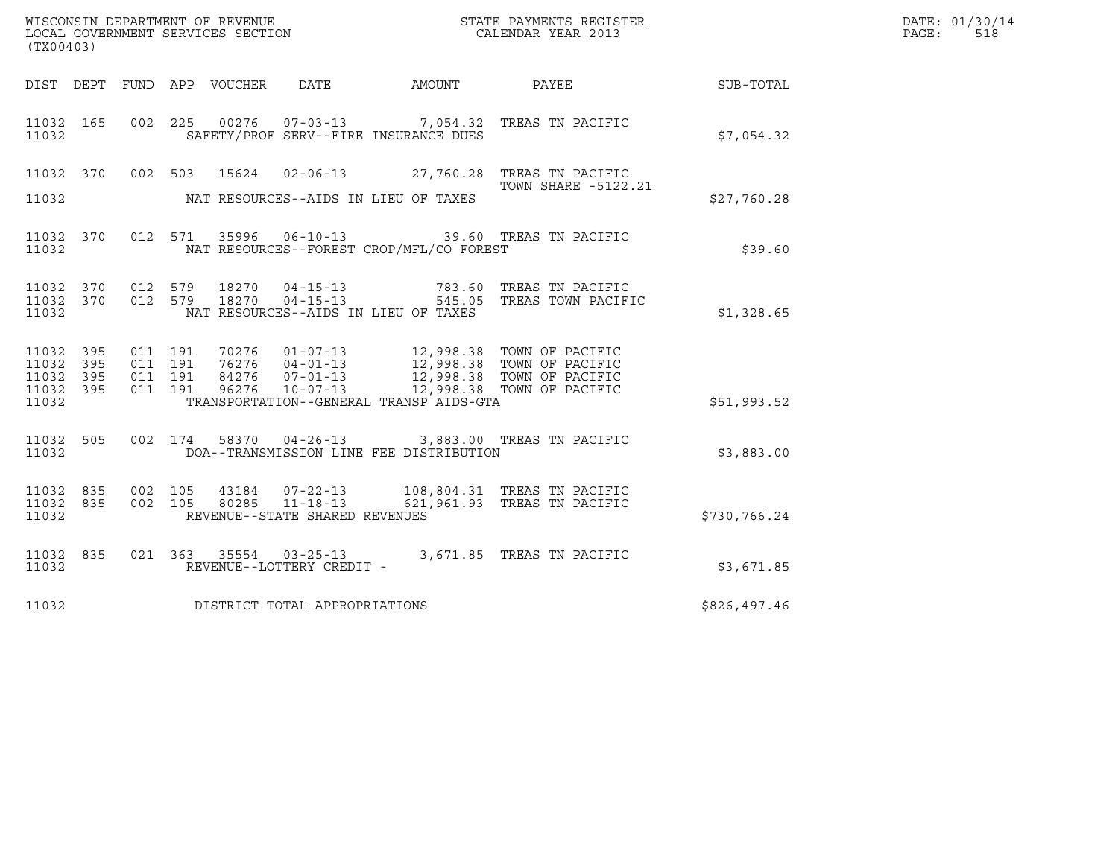|                                                       |                   |                               |         |                |                                                  |                                              | %WISCONSIN DEPARTMENT OF REVENUE $$\tt STATE~PAYMEMTS~REGISTER~LOCAL~GOVERNMENT~SERVICS~SECTION~CALENDAR~YEAR~2013$                                           |              | DATE: 01/30/14<br>PAGE:<br>518 |
|-------------------------------------------------------|-------------------|-------------------------------|---------|----------------|--------------------------------------------------|----------------------------------------------|---------------------------------------------------------------------------------------------------------------------------------------------------------------|--------------|--------------------------------|
| (TX00403)                                             |                   |                               |         |                |                                                  |                                              |                                                                                                                                                               |              |                                |
|                                                       |                   |                               |         |                |                                                  | DIST DEPT FUND APP VOUCHER DATE AMOUNT PAYEE |                                                                                                                                                               | SUB-TOTAL    |                                |
| 11032 165<br>11032                                    |                   |                               |         |                |                                                  | SAFETY/PROF SERV--FIRE INSURANCE DUES        | 002 225 00276 07-03-13 7,054.32 TREAS TN PACIFIC                                                                                                              | \$7.054.32   |                                |
| 11032 370<br>11032                                    |                   |                               | 002 503 | 15624          |                                                  | NAT RESOURCES--AIDS IN LIEU OF TAXES         | 02-06-13 27,760.28 TREAS TN PACIFIC<br>TOWN SHARE -5122.21                                                                                                    | \$27,760.28  |                                |
| 11032                                                 |                   |                               |         |                |                                                  | NAT RESOURCES--FOREST CROP/MFL/CO FOREST     | 11032 370 012 571 35996 06-10-13 39.60 TREAS TN PACIFIC                                                                                                       | \$39.60      |                                |
| 11032 370<br>11032                                    | 11032 370 012 579 | 012 579                       |         | 18270<br>18270 | 04-15-13<br>04-15-13                             | NAT RESOURCES--AIDS IN LIEU OF TAXES         | 783.60 TREAS TN PACIFIC<br>545.05 TREAS TOWN PACIFIC                                                                                                          | \$1,328.65   |                                |
| 11032 395<br>11032 395<br>11032<br>11032 395<br>11032 | 395               | 011 191<br>011 191<br>011 191 | 011 191 |                |                                                  | TRANSPORTATION--GENERAL TRANSP AIDS-GTA      | 12,998.38 TOWN OF PACIFIC<br>76276 04-01-13 12,998.38 TOWN OF PACIFIC<br>84276 07-01-13 12,998.38 TOWN OF PACIFIC<br>96276 10-07-13 12,998.38 TOWN OF PACIFIC | \$51,993.52  |                                |
| 11032                                                 | 11032 505         |                               | 002 174 |                |                                                  | DOA--TRANSMISSION LINE FEE DISTRIBUTION      | 58370  04-26-13  3,883.00  TREAS TN PACIFIC                                                                                                                   | \$3,883.00   |                                |
| 11032 835<br>11032 835<br>11032                       |                   | 002 105<br>002 105            |         | 80285          | $11 - 18 - 13$<br>REVENUE--STATE SHARED REVENUES |                                              | 43184  07-22-13  108,804.31  TREAS TN PACIFIC<br>621,961.93 TREAS TN PACIFIC                                                                                  | \$730,766.24 |                                |
| 11032 835<br>11032                                    |                   |                               |         |                | REVENUE--LOTTERY CREDIT -                        |                                              | 021 $363$ $35554$ 03-25-13<br>PRIEAS TN PACIFIC                                                                                                               | \$3,671.85   |                                |
| 11032                                                 |                   |                               |         |                | DISTRICT TOTAL APPROPRIATIONS                    |                                              |                                                                                                                                                               | \$826,497.46 |                                |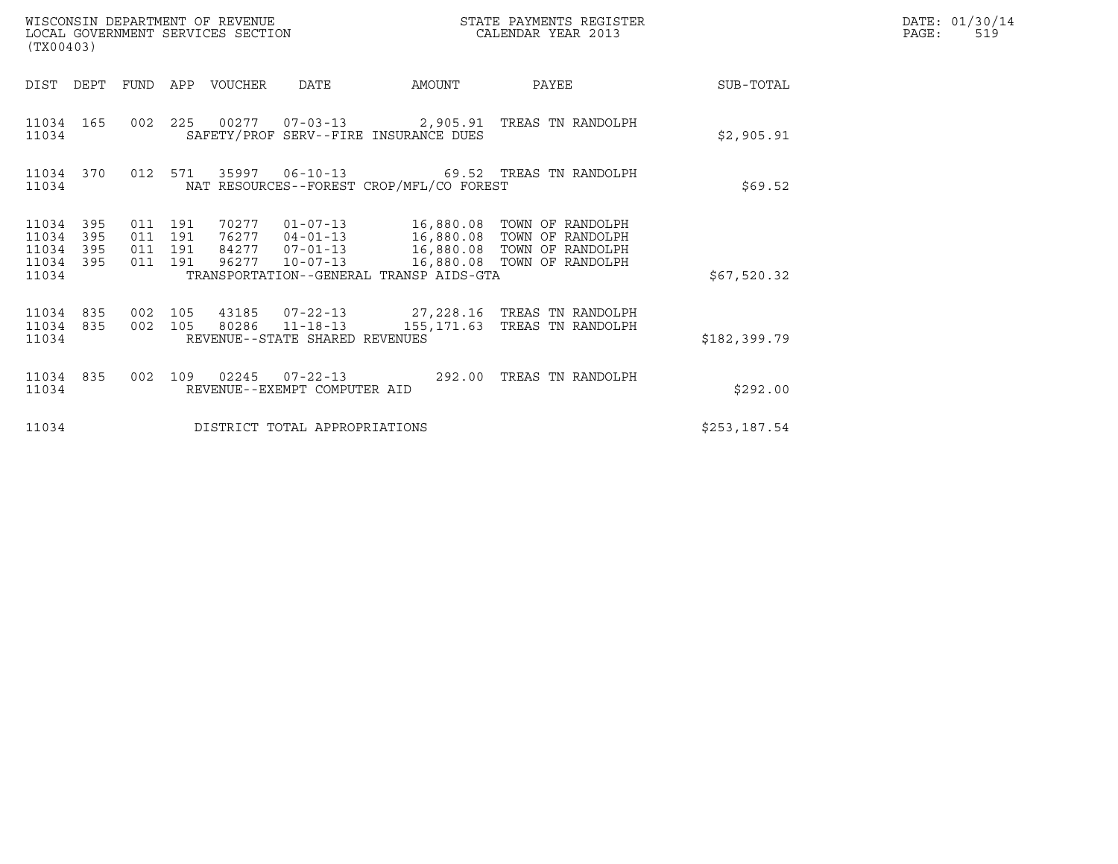| WISCONSIN DEPARTMENT OF REVENUE<br>LOCAL GOVERNMENT SERVICES SECTION<br>(TX00403) |                          |                                      |     |             |                                                  |                                          | STATE PAYMENTS REGISTER<br>CALENDAR YEAR 2013                                                                                                                                   |              | DATE: 01/30/14<br>PAGE:<br>519 |
|-----------------------------------------------------------------------------------|--------------------------|--------------------------------------|-----|-------------|--------------------------------------------------|------------------------------------------|---------------------------------------------------------------------------------------------------------------------------------------------------------------------------------|--------------|--------------------------------|
| DIST                                                                              | DEPT                     | FUND                                 |     | APP VOUCHER | <b>DATE</b>                                      | AMOUNT                                   | PAYEE                                                                                                                                                                           | SUB-TOTAL    |                                |
| 11034 165<br>11034                                                                |                          |                                      |     |             |                                                  | SAFETY/PROF SERV--FIRE INSURANCE DUES    | 002  225  00277  07-03-13  2,905.91  TREAS TN RANDOLPH                                                                                                                          | \$2,905.91   |                                |
| 11034 370<br>11034                                                                |                          | 012 571                              |     |             |                                                  | NAT RESOURCES--FOREST CROP/MFL/CO FOREST | 35997   06-10-13   69.52   TREAS TN RANDOLPH                                                                                                                                    | \$69.52      |                                |
| 11034<br>11034<br>11034<br>11034<br>11034                                         | 395<br>395<br>395<br>395 | 011 191<br>011<br>011 191<br>011 191 | 191 |             | 96277 10-07-13                                   | TRANSPORTATION--GENERAL TRANSP AIDS-GTA  | 70277  01-07-13   16,880.08   TOWN OF RANDOLPH<br>76277  04-01-13   16,880.08   TOWN OF RANDOLPH<br>84277  07-01-13   16,880.08  TOWN OF RANDOLPH<br>16,880.08 TOWN OF RANDOLPH | \$67,520.32  |                                |
| 11034 835<br>11034 835<br>11034                                                   |                          | 002 105<br>002 105                   |     |             | 80286 11-18-13<br>REVENUE--STATE SHARED REVENUES |                                          | 43185  07-22-13  27,228.16  TREAS TN RANDOLPH<br>155,171.63 TREAS TN RANDOLPH                                                                                                   | \$182,399.79 |                                |
| 11034 835<br>11034                                                                |                          | 002 109                              |     |             | REVENUE--EXEMPT COMPUTER AID                     | 292.00                                   | TREAS TN RANDOLPH                                                                                                                                                               | \$292.00     |                                |
| 11034                                                                             |                          |                                      |     |             | DISTRICT TOTAL APPROPRIATIONS                    |                                          |                                                                                                                                                                                 | \$253,187.54 |                                |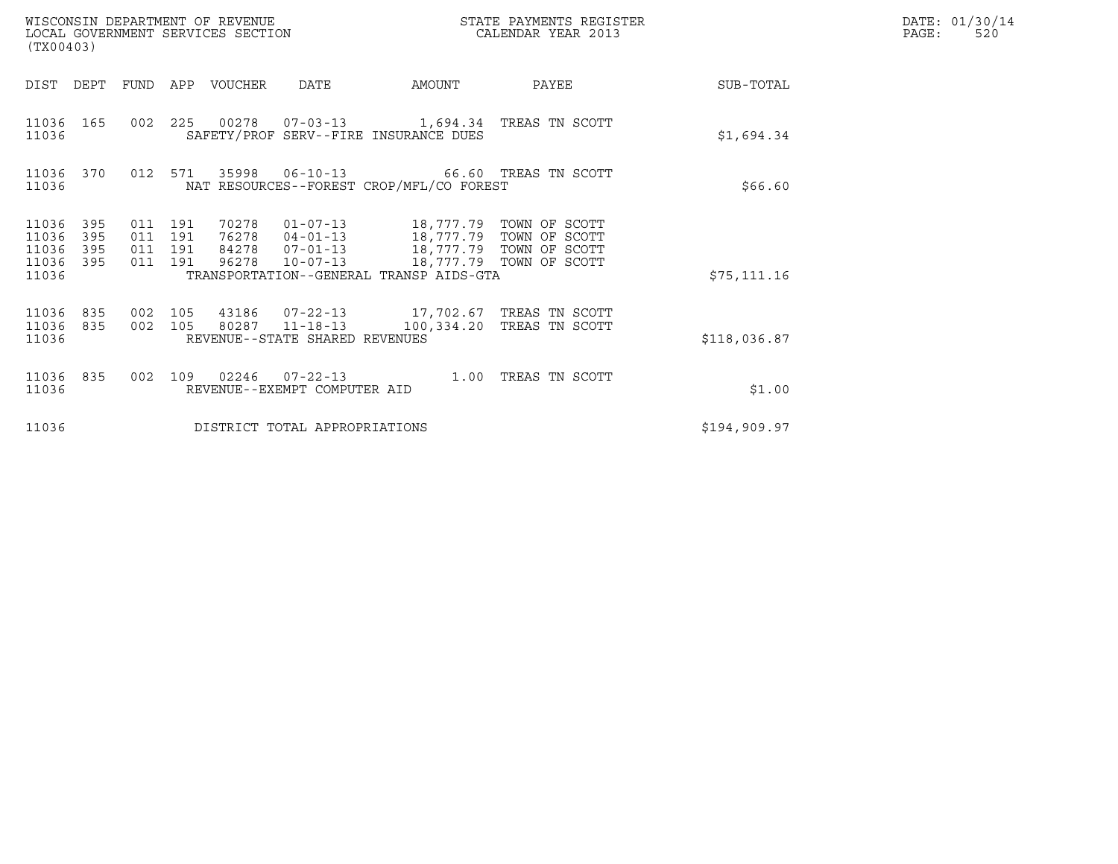| (TX00403)                                 |                          |                                          | WISCONSIN DEPARTMENT OF REVENUE<br>LOCAL GOVERNMENT SERVICES SECTION |                                                        |                                                                                                                                                                                                                             | STATE PAYMENTS REGISTER<br>CALENDAR YEAR 2013       | DATE: 01/30/14<br>PAGE:<br>520 |  |
|-------------------------------------------|--------------------------|------------------------------------------|----------------------------------------------------------------------|--------------------------------------------------------|-----------------------------------------------------------------------------------------------------------------------------------------------------------------------------------------------------------------------------|-----------------------------------------------------|--------------------------------|--|
| DIST DEPT                                 |                          | FUND                                     | APP VOUCHER                                                          | <b>DATE</b>                                            | AMOUNT                                                                                                                                                                                                                      | PAYEE                                               | SUB-TOTAL                      |  |
| 11036 165<br>11036                        |                          |                                          |                                                                      |                                                        | SAFETY/PROF SERV--FIRE INSURANCE DUES                                                                                                                                                                                       | 002  225  00278  07-03-13  1,694.34  TREAS TN SCOTT | \$1,694.34                     |  |
| 11036 370<br>11036                        |                          | 012 571                                  |                                                                      |                                                        | NAT RESOURCES--FOREST CROP/MFL/CO FOREST                                                                                                                                                                                    |                                                     | \$66.60                        |  |
| 11036<br>11036<br>11036<br>11036<br>11036 | 395<br>395<br>395<br>395 | 011 191<br>011 191<br>011 191<br>011 191 |                                                                      |                                                        | 70278  01-07-13  18,777.79  TOWN OF SCOTT<br>76278  04-01-13  18,777.79  TOWN OF SCOTT<br>84278  07-01-13  18,777.79  TOWN OF SCOTT<br>96278  10-07-13  18,777.79  TOWN OF SCOTT<br>TRANSPORTATION--GENERAL TRANSP AIDS-GTA |                                                     | \$75, 111.16                   |  |
| 11036<br>11036<br>11036                   | 835<br>835               | 002 105<br>002 105                       |                                                                      | 80287 11-18-13<br>REVENUE--STATE SHARED REVENUES       | 43186  07-22-13  17,702.67  TREAS TN SCOTT                                                                                                                                                                                  | 100,334.20 TREAS TN SCOTT                           | \$118,036.87                   |  |
| 11036<br>11036                            | 835                      | 002 109                                  |                                                                      | $02246$ $07 - 22 - 13$<br>REVENUE--EXEMPT COMPUTER AID | 1.00                                                                                                                                                                                                                        | TREAS TN SCOTT                                      | \$1.00                         |  |
| 11036                                     |                          |                                          |                                                                      | DISTRICT TOTAL APPROPRIATIONS                          |                                                                                                                                                                                                                             |                                                     | \$194,909.97                   |  |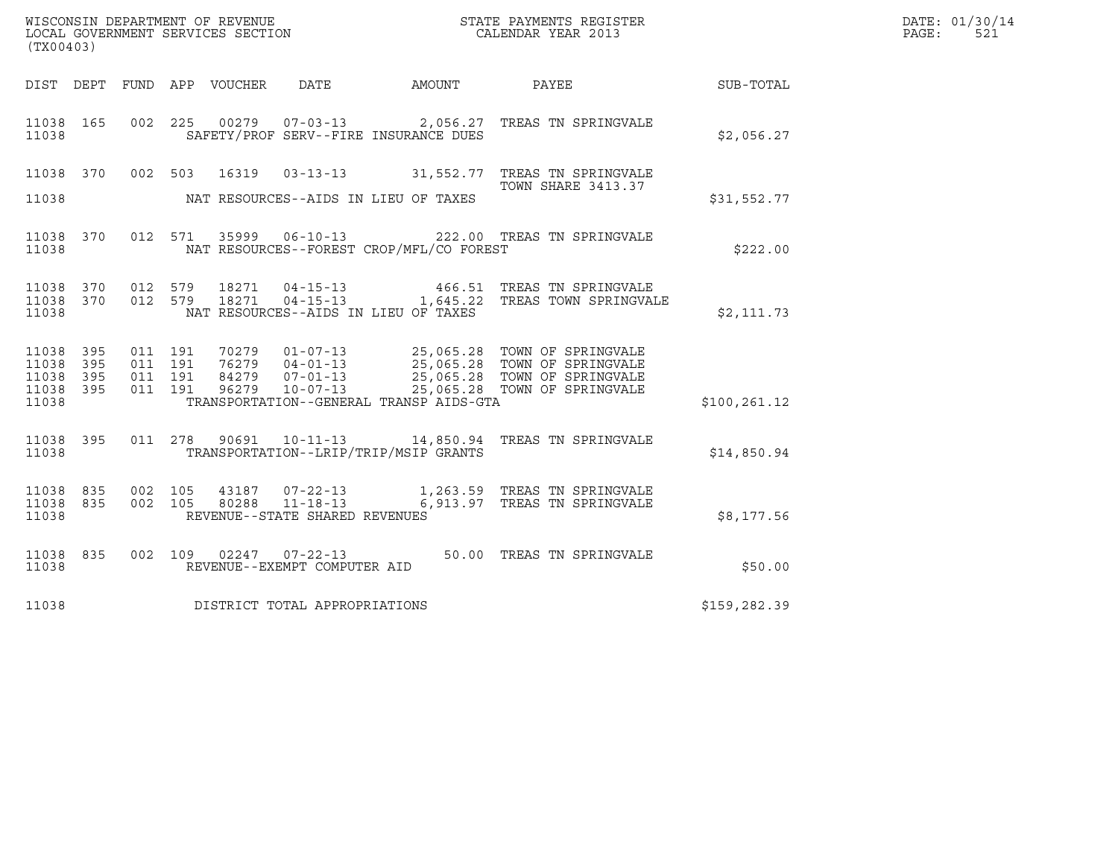|       | DATE: 01/30/14 |
|-------|----------------|
| PAGE: | 521            |

| (TX00403)                                             |     |                                          |                               |                                                  |                                          |                                                                                                                                                                                                      |               | DATE: 01/30/14<br>PAGE:<br>521 |
|-------------------------------------------------------|-----|------------------------------------------|-------------------------------|--------------------------------------------------|------------------------------------------|------------------------------------------------------------------------------------------------------------------------------------------------------------------------------------------------------|---------------|--------------------------------|
|                                                       |     |                                          | DIST DEPT FUND APP VOUCHER    | DATE                                             | AMOUNT                                   | PAYEE                                                                                                                                                                                                | SUB-TOTAL     |                                |
| 11038 165<br>11038                                    |     | 002 225                                  |                               |                                                  | SAFETY/PROF SERV--FIRE INSURANCE DUES    | 00279  07-03-13  2,056.27  TREAS TN SPRINGVALE                                                                                                                                                       | \$2,056.27    |                                |
| 11038 370<br>11038                                    |     |                                          | 002 503<br>16319              |                                                  | NAT RESOURCES--AIDS IN LIEU OF TAXES     | 03-13-13 31,552.77 TREAS TN SPRINGVALE<br><b>TOWN SHARE 3413.37</b>                                                                                                                                  | \$31,552.77   |                                |
| 11038 370<br>11038                                    |     |                                          |                               |                                                  | NAT RESOURCES--FOREST CROP/MFL/CO FOREST | 012 571 35999 06-10-13 222.00 TREAS TN SPRINGVALE                                                                                                                                                    | \$222.00      |                                |
| 11038 370<br>11038 370<br>11038                       |     | 012 579<br>012 579                       | 18271<br>18271                | $04 - 15 - 13$                                   | NAT RESOURCES--AIDS IN LIEU OF TAXES     | 466.51 TREAS TN SPRINGVALE<br>04-15-13 1,645.22 TREAS TOWN SPRINGVALE                                                                                                                                | \$2,111.73    |                                |
| 11038 395<br>11038 395<br>11038<br>11038 395<br>11038 | 395 | 011 191<br>011 191<br>011 191<br>011 191 |                               |                                                  | TRANSPORTATION--GENERAL TRANSP AIDS-GTA  | 70279  01-07-13  25,065.28  TOWN OF SPRINGVALE<br>76279  04-01-13  25,065.28  TOWN OF SPRINGVALE<br>84279  07-01-13  25,065.28  TOWN OF SPRINGVALE<br>96279  10-07-13  25,065.28  TOWN OF SPRINGVALE | \$100, 261.12 |                                |
| 11038 395<br>11038                                    |     | 011 278                                  | 90691                         |                                                  | TRANSPORTATION--LRIP/TRIP/MSIP GRANTS    | 10-11-13 14,850.94 TREAS TN SPRINGVALE                                                                                                                                                               | \$14,850.94   |                                |
| 11038 835<br>11038 835<br>11038                       |     | 002 105<br>002 105                       | 43187<br>80288                | $11 - 18 - 13$<br>REVENUE--STATE SHARED REVENUES |                                          | 07-22-13 1,263.59 TREAS TN SPRINGVALE<br>6,913.97 TREAS TN SPRINGVALE                                                                                                                                | \$8,177.56    |                                |
| 11038 835<br>11038                                    |     |                                          | 002 109 02247 07-22-13        | REVENUE--EXEMPT COMPUTER AID                     |                                          | 50.00 TREAS TN SPRINGVALE                                                                                                                                                                            | \$50.00       |                                |
| 11038                                                 |     |                                          | DISTRICT TOTAL APPROPRIATIONS |                                                  |                                          |                                                                                                                                                                                                      | \$159,282.39  |                                |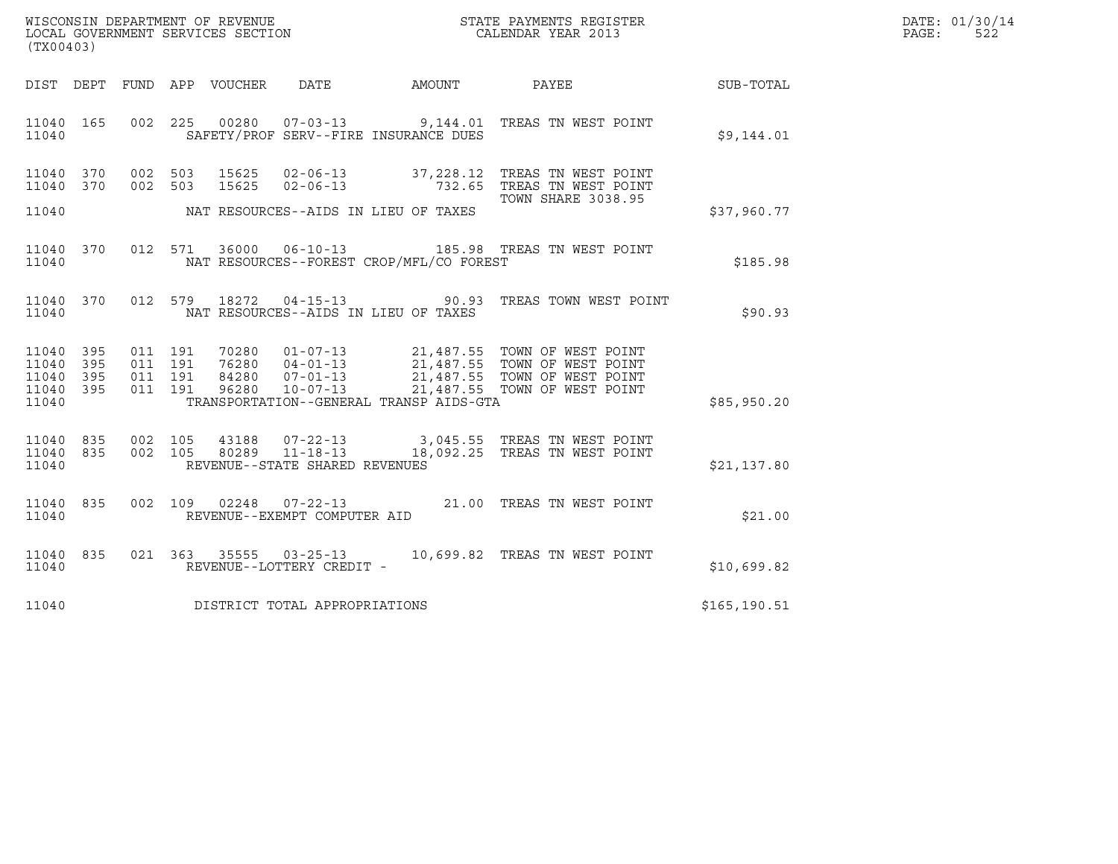| WISCONSIN DEPARTMENT OF REVENUE<br>LOCAL GOVERNMENT SERVICES SECTION<br>(TX00403) | STATE PAYMENTS REGISTER<br>CALENDAR YEAR 2013 | DATE: 01/30/14<br>522<br>PAGE: |
|-----------------------------------------------------------------------------------|-----------------------------------------------|--------------------------------|

| (TX00403)                                                             |                                                                                                                                                                          |                                                                                                                                       |               |
|-----------------------------------------------------------------------|--------------------------------------------------------------------------------------------------------------------------------------------------------------------------|---------------------------------------------------------------------------------------------------------------------------------------|---------------|
| DIST<br>DEPT                                                          | FUND APP VOUCHER<br>DATE<br>AMOUNT                                                                                                                                       | PAYEE                                                                                                                                 | SUB-TOTAL     |
| 165<br>002<br>11040<br>11040                                          | 225<br>SAFETY/PROF SERV--FIRE INSURANCE DUES                                                                                                                             | 00280  07-03-13  9,144.01 TREAS TN WEST POINT                                                                                         | \$9,144.01    |
| 002<br>370<br>11040<br>370<br>11040                                   | 503<br>002 503<br>15625<br>$02 - 06 - 13$                                                                                                                                | 15625  02-06-13  37,228.12  TREAS TN WEST POINT<br>732.65<br>TREAS TN WEST POINT<br><b>TOWN SHARE 3038.95</b>                         |               |
| 11040                                                                 | NAT RESOURCES--AIDS IN LIEU OF TAXES                                                                                                                                     |                                                                                                                                       | \$37,960.77   |
| 012<br>11040<br>370<br>11040                                          | NAT RESOURCES--FOREST CROP/MFL/CO FOREST                                                                                                                                 |                                                                                                                                       | \$185.98      |
| 012<br>11040<br>370<br>11040                                          | 579<br>18272<br>$04 - 15 - 13$ 90.93<br>NAT RESOURCES--AIDS IN LIEU OF TAXES                                                                                             | TREAS TOWN WEST POINT                                                                                                                 | \$90.93       |
| 11040<br>395<br>11040<br>395<br>11040<br>395<br>11040<br>395<br>11040 | 011 191<br>70280   01-07-13<br>76280   04-01-13<br>011 191<br>76280<br>011 191<br>84280<br>011 191<br>96280<br>$10 - 07 - 13$<br>TRANSPORTATION--GENERAL TRANSP AIDS-GTA | 21,487.55 TOWN OF WEST POINT<br>21,487.55 TOWN OF WEST POINT<br>07-01-13 21,487.55 TOWN OF WEST POINT<br>21,487.55 TOWN OF WEST POINT | \$85,950.20   |
| 835<br>11040<br>11040<br>835<br>11040                                 | 002 105<br>43188<br>002 105<br>$11 - 18 - 13$<br>80289<br>REVENUE--STATE SHARED REVENUES                                                                                 | 07-22-13 3,045.55 TREAS TN WEST POINT<br>18,092.25 TREAS TN WEST POINT                                                                | \$21,137.80   |
| 002<br>11040<br>835<br>11040                                          | $07 - 22 - 13$<br>109<br>02248<br>REVENUE--EXEMPT COMPUTER AID                                                                                                           | TREAS TN WEST POINT<br>21.00                                                                                                          | \$21.00       |
| 835<br>11040<br>11040                                                 | 021 363 35555 03-25-13<br>REVENUE--LOTTERY CREDIT -                                                                                                                      | TREAS TN WEST POINT<br>10,699.82                                                                                                      | \$10,699.82   |
| 11040                                                                 | DISTRICT TOTAL APPROPRIATIONS                                                                                                                                            |                                                                                                                                       | \$165, 190.51 |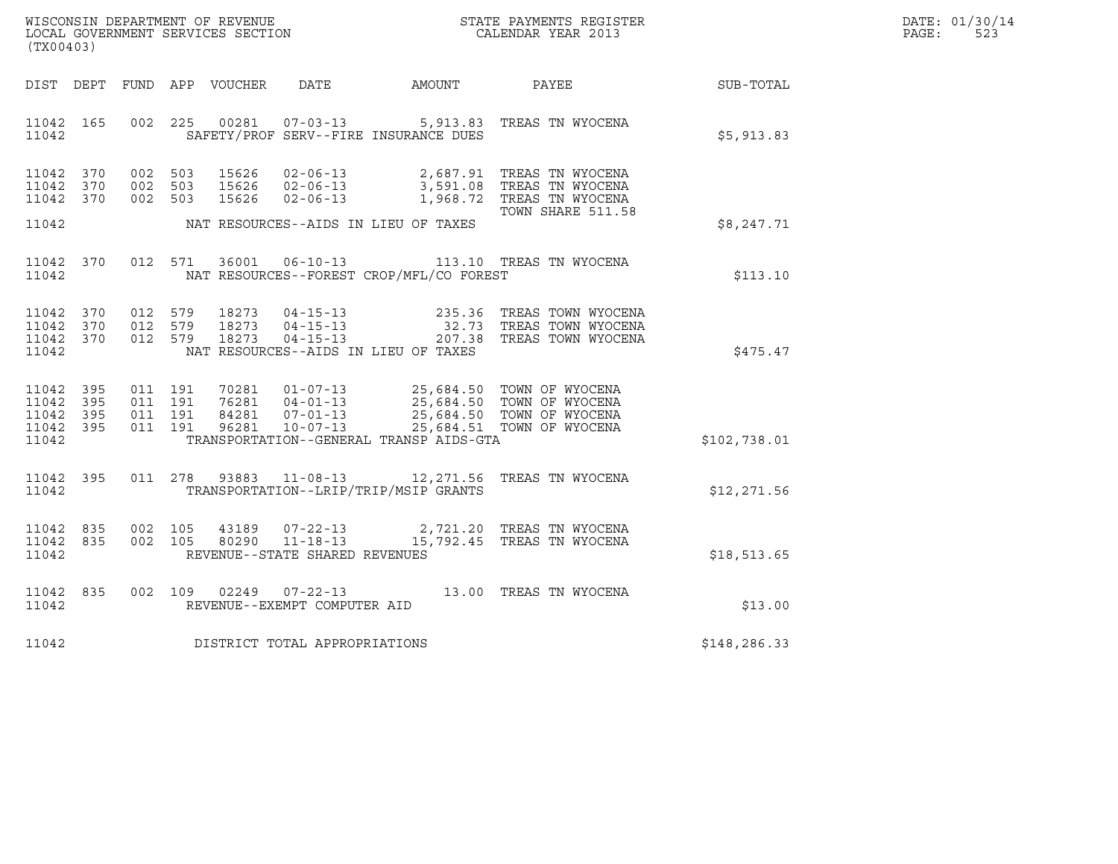| WISCONSIN DEPARTMENT OF REVENUE   | STATE PAYMENTS REGISTER | DATE: 01/30/14 |
|-----------------------------------|-------------------------|----------------|
| LOCAL GOVERNMENT SERVICES SECTION | CALENDAR YEAR 2013      | 523<br>PAGE:   |

| WISCONSIN DEPARTMENT OF REVENUE<br>LOCAL GOVERNMENT SERVICES SECTION<br>(TWO0403)<br>(TX00403) |  |  |  |  |                                     |                                          |                                                                                                                                                                                                                                                                                                                                                            | DATE: 01/30/14<br>$\mathtt{PAGE}$ :<br>523 |  |
|------------------------------------------------------------------------------------------------|--|--|--|--|-------------------------------------|------------------------------------------|------------------------------------------------------------------------------------------------------------------------------------------------------------------------------------------------------------------------------------------------------------------------------------------------------------------------------------------------------------|--------------------------------------------|--|
|                                                                                                |  |  |  |  |                                     |                                          | DIST DEPT FUND APP VOUCHER DATE AMOUNT PAYEE                                                                                                                                                                                                                                                                                                               | SUB-TOTAL                                  |  |
| 11042 165<br>11042                                                                             |  |  |  |  |                                     | SAFETY/PROF SERV--FIRE INSURANCE DUES    | 002 225 00281 07-03-13 5,913.83 TREAS TN WYOCENA                                                                                                                                                                                                                                                                                                           | \$5,913.83                                 |  |
| 11042 370<br>11042 370<br>11042 370                                                            |  |  |  |  |                                     |                                          | 002 503 15626 02-06-13 2,687.91 TREAS TN WYOCENA<br>002 503 15626 02-06-13 3,591.08 TREAS TN WYOCENA<br>002 503 15626 02-06-13 1,968.72 TREAS TN WYOCENA<br>TOWN SHARE 511.58                                                                                                                                                                              |                                            |  |
| 11042                                                                                          |  |  |  |  |                                     | NAT RESOURCES--AIDS IN LIEU OF TAXES     |                                                                                                                                                                                                                                                                                                                                                            | \$8,247.71                                 |  |
| 11042                                                                                          |  |  |  |  |                                     | NAT RESOURCES--FOREST CROP/MFL/CO FOREST | 11042 370 012 571 36001 06-10-13 113.10 TREAS TN WYOCENA                                                                                                                                                                                                                                                                                                   | \$113.10                                   |  |
| 11042 370<br>11042 370<br>11042 370<br>11042                                                   |  |  |  |  |                                     | NAT RESOURCES--AIDS IN LIEU OF TAXES     | 012 579 18273 04-15-13 235.36 TREASTOWNWYOCENA<br>012 579 18273 04-15-13 32.73 TREASTOWNWYOCENA<br>012 579 18273 04-15-13 207.38 TREASTOWNWYOCENA                                                                                                                                                                                                          | \$475.47                                   |  |
| 11042 395<br>11042 395<br>11042 395<br>11042 395<br>11042                                      |  |  |  |  |                                     |                                          | $\begin{array}{cccccc} 011 & 191 & 70281 & 01\! 07\! -\! 13 & 25\! 684\! 50 & \text{TOWN OF WYOCENA} \\ 011 & 191 & 76281 & 04\! -\! 01\! -\! 13 & 25\! 684\! 50 & \text{TOWN OF WYOCENA} \\ 011 & 191 & 84281 & 07\! -\! 01\! -\! 13 & 25\! 684\! 50 & \text{TOWN OF WYOCENA} \\ 011 & 191 & 96281 & 10\! -\!$<br>TRANSPORTATION--GENERAL TRANSP AIDS-GTA | \$102,738.01                               |  |
| 11042 395<br>11042                                                                             |  |  |  |  |                                     | TRANSPORTATION--LRIP/TRIP/MSIP GRANTS    | 011 278 93883 11-08-13 12, 271.56 TREAS TN WYOCENA                                                                                                                                                                                                                                                                                                         | \$12,271.56                                |  |
| 11042 835<br>11042 835<br>11042                                                                |  |  |  |  | REVENUE--STATE SHARED REVENUES      |                                          | 002 105 43189 07-22-13 2,721.20 TREAS TN WYOCENA<br>002 105 80290 11-18-13 15,792.45 TREAS TN WYOCENA                                                                                                                                                                                                                                                      | \$18,513.65                                |  |
| 11042 835<br>11042                                                                             |  |  |  |  | REVENUE--EXEMPT COMPUTER AID        |                                          | 002 109 02249 07-22-13 13.00 TREAS TN WYOCENA                                                                                                                                                                                                                                                                                                              | \$13.00                                    |  |
|                                                                                                |  |  |  |  | 11042 DISTRICT TOTAL APPROPRIATIONS |                                          |                                                                                                                                                                                                                                                                                                                                                            | \$148,286.33                               |  |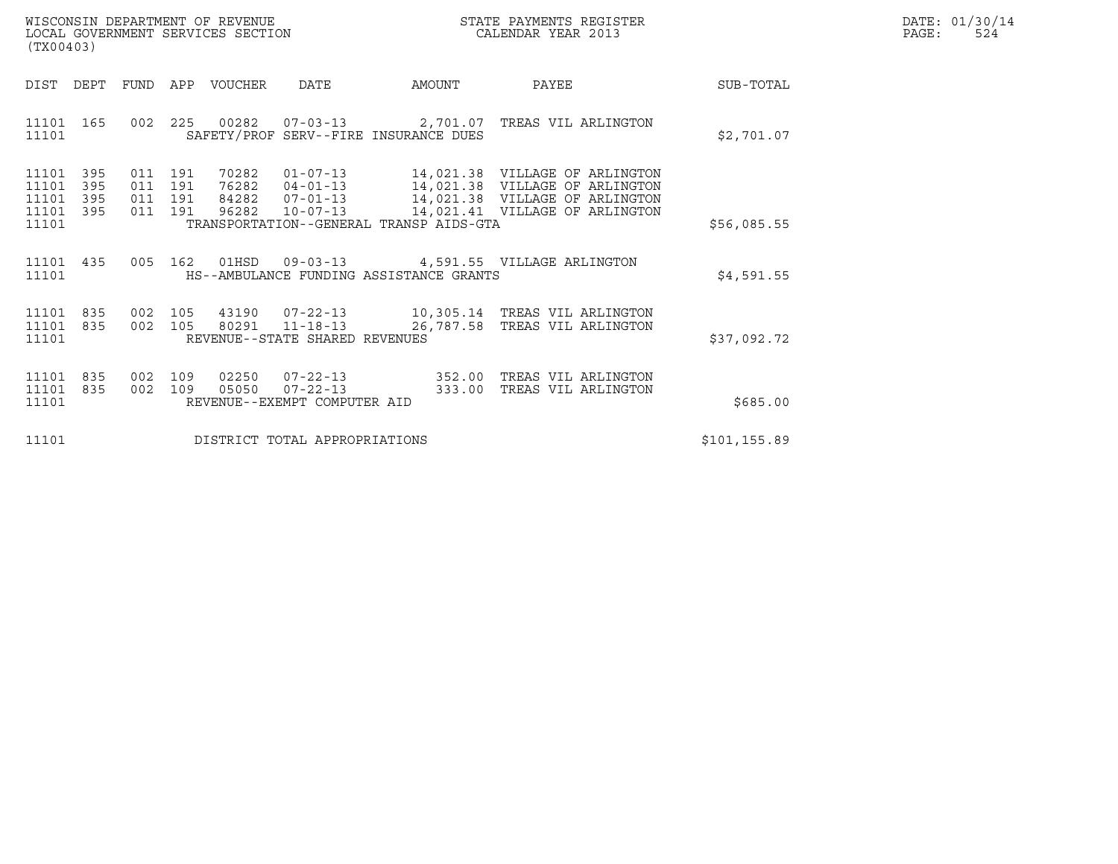|       | DATE: 01/30/14 |
|-------|----------------|
| PAGE: | 524            |

| WISCONSIN DEPARTMENT OF REVENUE<br>LOCAL GOVERNMENT SERVICES SECTION<br>(TX00403)                                                         | STATE PAYMENTS REGISTER<br>CALENDAR YEAR 2013                                                                                                                                                                                |              | DATE: 01/30/14<br>PAGE:<br>524 |
|-------------------------------------------------------------------------------------------------------------------------------------------|------------------------------------------------------------------------------------------------------------------------------------------------------------------------------------------------------------------------------|--------------|--------------------------------|
| DIST DEPT<br>FUND APP VOUCHER<br>DATE                                                                                                     | AMOUNT<br>PAYEE                                                                                                                                                                                                              | SUB-TOTAL    |                                |
| 11101 165<br>SAFETY/PROF SERV--FIRE INSURANCE DUES<br>11101                                                                               | 002  225  00282  07-03-13  2,701.07  TREAS VIL ARLINGTON                                                                                                                                                                     | \$2,701.07   |                                |
| 395<br>011 191<br>70282<br>11101<br>11101<br>395<br>011 191<br>11101<br>395<br>011 191<br>84282<br>11101 395<br>96282<br>011 191<br>11101 | 01-07-13 14,021.38 VILLAGE OF ARLINGTON<br>76282  04-01-13  14,021.38  VILLAGE OF ARLINGTON<br>07-01-13 14,021.38 VILLAGE OF ARLINGTON<br>10-07-13 14,021.41 VILLAGE OF ARLINGTON<br>TRANSPORTATION--GENERAL TRANSP AIDS-GTA | \$56,085.55  |                                |
| 11101 435<br>HS--AMBULANCE FUNDING ASSISTANCE GRANTS<br>11101                                                                             | 005  162  01HSD  09-03-13  4,591.55  VILLAGE ARLINGTON                                                                                                                                                                       | \$4,591.55   |                                |
| 11101 835<br>002 105<br>11101 835<br>002 105<br>11101<br>REVENUE--STATE SHARED REVENUES                                                   | 43190  07-22-13  10,305.14  TREAS VIL ARLINGTON<br>80291  11-18-13  26,787.58  TREAS VIL ARLINGTON                                                                                                                           | \$37,092.72  |                                |
| 02250<br>11101<br>835<br>002<br>109<br>05050<br>11101<br>835<br>002 109<br>11101<br>REVENUE--EXEMPT COMPUTER AID                          | 07-22-13 352.00 TREAS VIL ARLINGTON<br>$07 - 22 - 13$<br>333.00<br>TREAS VIL ARLINGTON                                                                                                                                       | \$685.00     |                                |
| DISTRICT TOTAL APPROPRIATIONS<br>11101                                                                                                    |                                                                                                                                                                                                                              | \$101,155.89 |                                |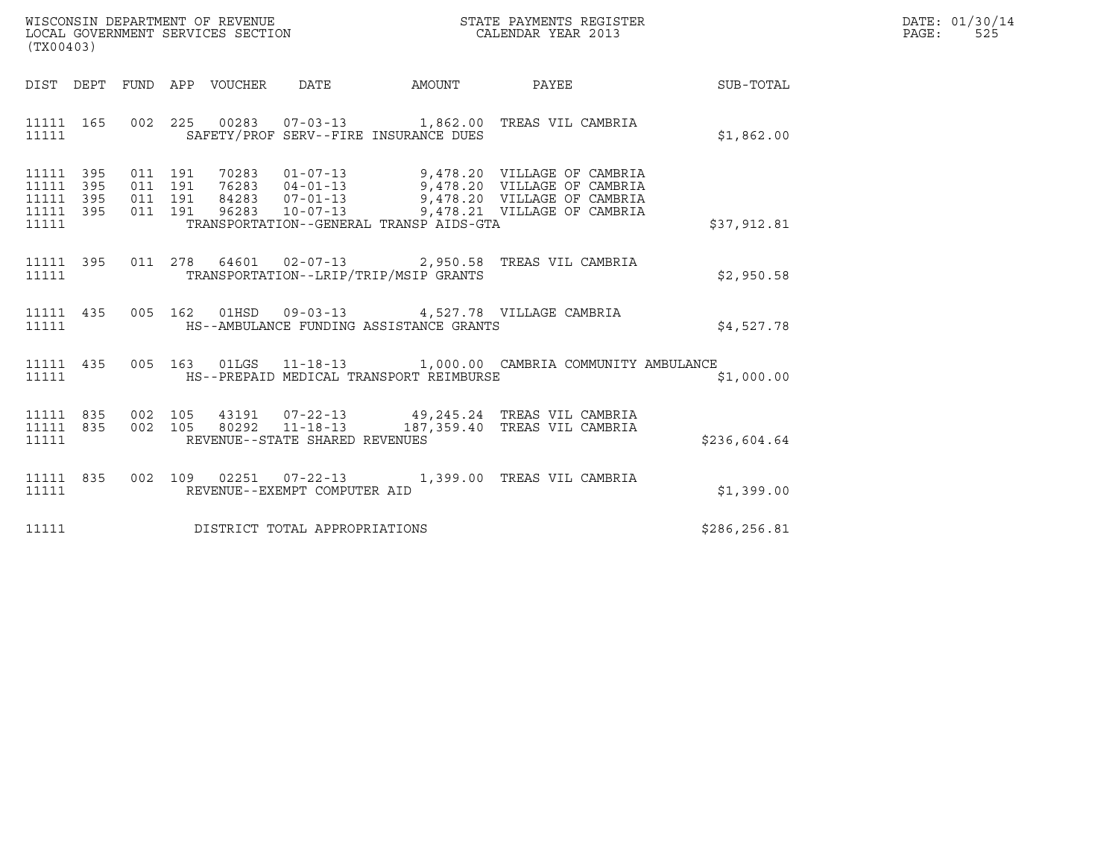| WISCONSIN DEPARTMENT OF REVENUE   | STATE PAYMENTS REGISTER | DATE: 01/30/14 |
|-----------------------------------|-------------------------|----------------|
| LOCAL GOVERNMENT SERVICES SECTION | CALENDAR YEAR 2013      | PAGE:<br>525   |

| (TX00403)                                        |  |  |  |                                     |                                               | DATE: 01/30/14<br>$\mathtt{PAGE:}$<br>525                                                                                                                                                                            |              |  |
|--------------------------------------------------|--|--|--|-------------------------------------|-----------------------------------------------|----------------------------------------------------------------------------------------------------------------------------------------------------------------------------------------------------------------------|--------------|--|
|                                                  |  |  |  |                                     |                                               | DIST DEPT FUND APP VOUCHER DATE AMOUNT PAYEE TO SUB-TOTAL                                                                                                                                                            |              |  |
|                                                  |  |  |  |                                     | 11111 SAFETY/PROF SERV--FIRE INSURANCE DUES   | 11111 165 002 225 00283 07-03-13 1,862.00 TREAS VIL CAMBRIA                                                                                                                                                          | \$1,862.00   |  |
| 11111 395<br>11111 395<br>11111 395<br>11111 395 |  |  |  |                                     | 11111 TRANSPORTATION--GENERAL TRANSP AIDS-GTA | 011 191 70283 01-07-13 9,478.20 VILLAGE OF CAMBRIA<br>011 191 76283 04-01-13 9,478.20 VILLAGE OF CAMBRIA<br>011 191 96283 10-07-13 9,478.20 VILLAGE OF CAMBRIA<br>011 191 96283 10-07-13 9,478.21 VILLAGE OF CAMBRIA | \$37,912.81  |  |
|                                                  |  |  |  |                                     | 11111 TRANSPORTATION--LRIP/TRIP/MSIP GRANTS   | 11111 395 011 278 64601 02-07-13 2,950.58 TREAS VIL CAMBRIA                                                                                                                                                          | \$2,950.58   |  |
|                                                  |  |  |  |                                     |                                               | 11111 435 005 162 01HSD 09-03-13 4,527.78 VILLAGE CAMBRIA<br>11111 HS--AMBULANCE FUNDING ASSISTANCE GRANTS                                                                                                           | \$4,527.78   |  |
|                                                  |  |  |  |                                     |                                               | 11111 435 005 163 01LGS 11-18-13 1,000.00 CAMBRIA COMMUNITY AMBULANCE                                                                                                                                                | \$1,000.00   |  |
| 11111 835<br>11111 835<br>11111                  |  |  |  | REVENUE--STATE SHARED REVENUES      |                                               | 002 105 43191 07-22-13 49,245.24 TREAS VIL CAMBRIA<br>002 105 80292 11-18-13 187,359.40 TREAS VIL CAMBRIA                                                                                                            | \$236,604.64 |  |
| 11111                                            |  |  |  | REVENUE--EXEMPT COMPUTER AID        |                                               | 11111 835 002 109 02251 07-22-13 1,399.00 TREAS VIL CAMBRIA                                                                                                                                                          | \$1,399.00   |  |
|                                                  |  |  |  | 11111 DISTRICT TOTAL APPROPRIATIONS |                                               |                                                                                                                                                                                                                      | \$286,256.81 |  |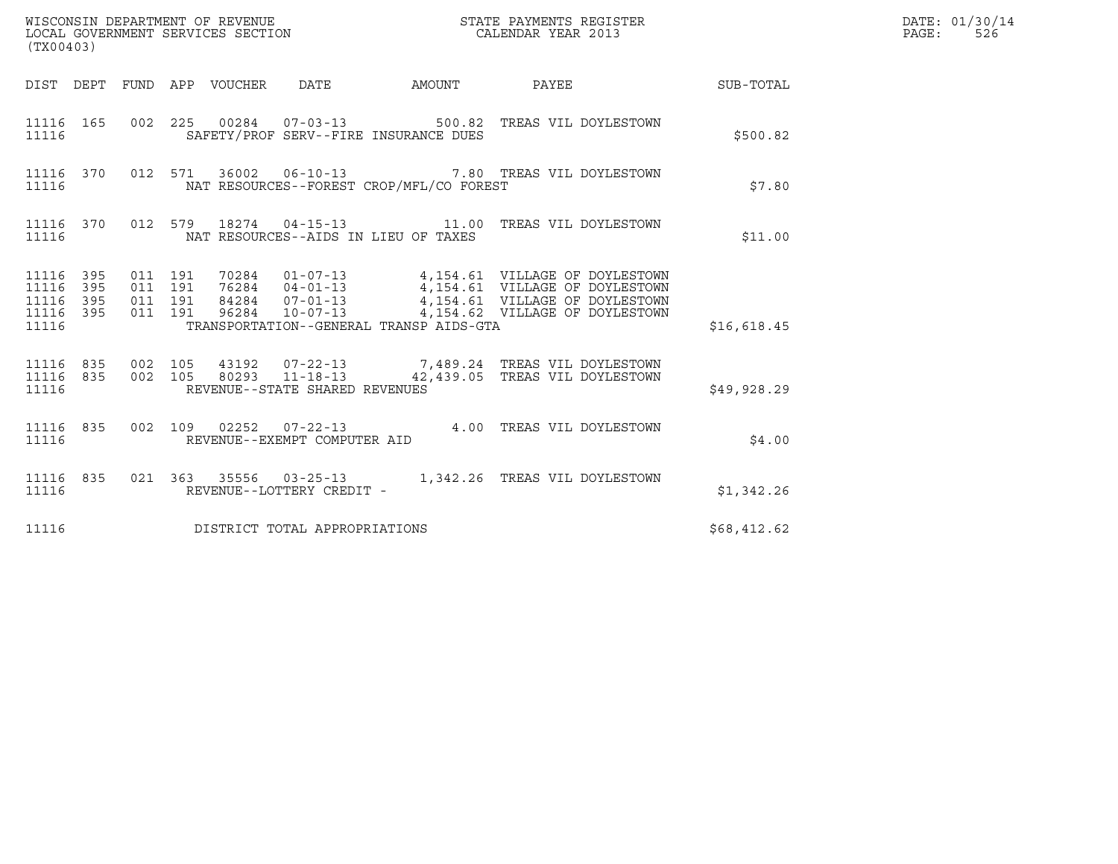| (TX00403)                                             |     |                                          |  |                                |                                          |                                                                                                                                                                                                                                           | DATE: 01/30/14<br>$\mathtt{PAGE:}$<br>526 |  |
|-------------------------------------------------------|-----|------------------------------------------|--|--------------------------------|------------------------------------------|-------------------------------------------------------------------------------------------------------------------------------------------------------------------------------------------------------------------------------------------|-------------------------------------------|--|
|                                                       |     |                                          |  |                                |                                          | DIST DEPT FUND APP VOUCHER DATE AMOUNT PAYEE THE SUB-TOTAL                                                                                                                                                                                |                                           |  |
| 11116                                                 |     |                                          |  |                                | SAFETY/PROF SERV--FIRE INSURANCE DUES    | 11116 165 002 225 00284 07-03-13 500.82 TREAS VIL DOYLESTOWN                                                                                                                                                                              | \$500.82                                  |  |
| 11116                                                 |     |                                          |  |                                | NAT RESOURCES--FOREST CROP/MFL/CO FOREST | 11116 370 012 571 36002 06-10-13 7.80 TREAS VIL DOYLESTOWN                                                                                                                                                                                | \$7.80                                    |  |
| 11116                                                 |     |                                          |  |                                | NAT RESOURCES--AIDS IN LIEU OF TAXES     | 11116 370 012 579 18274 04-15-13 11.00 TREAS VIL DOYLESTOWN                                                                                                                                                                               | \$11.00                                   |  |
| 11116 395<br>11116 395<br>11116<br>11116 395<br>11116 | 395 | 011 191<br>011 191<br>011 191<br>011 191 |  |                                | TRANSPORTATION--GENERAL TRANSP AIDS-GTA  | 70284  01-07-13  4,154.61  VILLAGE OF DOYLESTOWN<br>76284  04-01-13  4,154.61  VILLAGE OF DOYLESTOWN<br>84284  07-01-13  4,154.61  VILLAGE OF DOYLESTOWN<br>96284  10-07-13  4,154.62  VILLAGE OF DOYLESTOWN                              | \$16,618.45                               |  |
| 11116                                                 |     |                                          |  | REVENUE--STATE SHARED REVENUES |                                          | $11116 835 002 105 43192 07-22-13 7,489.24 TREAS VIL D"S TOWN11116 835 002 105 80293 11-18-13 42,439.05 TREAS VIL D9YLESTOWN$                                                                                                             | \$49,928.29                               |  |
|                                                       |     |                                          |  |                                |                                          | 11116 835 002 109 02252 07-22-13 4.00 TREAS VIL DOYLESTOWN 11116 REVENUE--EXEMPT COMPUTER AID                                                                                                                                             | \$4.00                                    |  |
|                                                       |     |                                          |  |                                |                                          | $\begin{tabular}{lllllllllllll} 11116 & 835 & 021 & 363 & 35556 & 03-25-13 & 1,342.26 \end{tabular} \quad \begin{tabular}{lllllllllll} 11116 & 835 & 021 & 363 & 35556 & 03-25-13 & 1,342.26 & \text{TREAS VIL DOYLESTOWN} \end{tabular}$ | \$1,342.26                                |  |
| 11116                                                 |     |                                          |  | DISTRICT TOTAL APPROPRIATIONS  |                                          |                                                                                                                                                                                                                                           | \$68,412.62                               |  |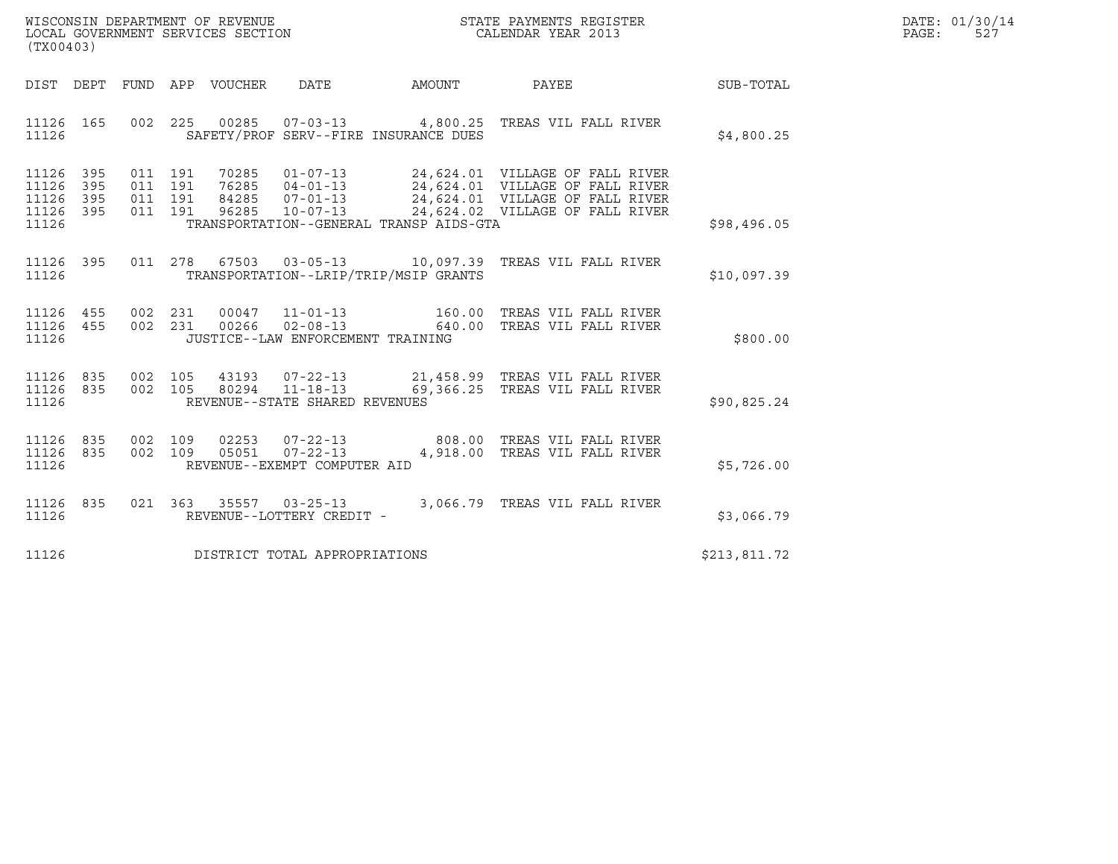| WISCONSIN DEPARTMENT OF REVENUE   | STATE PAYMENTS REGISTER | DATE: 01/30/14 |
|-----------------------------------|-------------------------|----------------|
| LOCAL GOVERNMENT SERVICES SECTION | CALENDAR YEAR 2013      | -521<br>PAGE:  |

| (TX00403)                                                             |                                                   |                         |                                                                            |                                                                   |                                                                                                                                          |              |
|-----------------------------------------------------------------------|---------------------------------------------------|-------------------------|----------------------------------------------------------------------------|-------------------------------------------------------------------|------------------------------------------------------------------------------------------------------------------------------------------|--------------|
| DIST<br>DEPT                                                          | APP<br>FUND                                       | VOUCHER                 | <b>DATE</b>                                                                | AMOUNT                                                            | PAYEE                                                                                                                                    | SUB-TOTAL    |
| 165<br>11126<br>11126                                                 | 225<br>002                                        |                         |                                                                            | SAFETY/PROF SERV--FIRE INSURANCE DUES                             | 00285  07-03-13  4,800.25  TREAS VIL FALL RIVER                                                                                          | \$4,800.25   |
| 395<br>11126<br>11126<br>395<br>11126<br>395<br>11126<br>395<br>11126 | 011<br>191<br>011<br>191<br>011<br>191<br>011 191 | 76285<br>84285<br>96285 | 70285 01-07-13<br>$04 - 01 - 13$<br>07-01-13<br>10-07-13<br>$10 - 07 - 13$ | TRANSPORTATION--GENERAL TRANSP AIDS-GTA                           | 24,624.01 VILLAGE OF FALL RIVER<br>24,624.01 VILLAGE OF FALL RIVER<br>24,624.01 VILLAGE OF FALL RIVER<br>24,624.02 VILLAGE OF FALL RIVER | \$98,496.05  |
| 11126<br>395<br>11126                                                 | 278<br>011                                        |                         |                                                                            | 67503 03-05-13 10,097.39<br>TRANSPORTATION--LRIP/TRIP/MSIP GRANTS | TREAS VIL FALL RIVER                                                                                                                     | \$10,097.39  |
| 11126<br>455<br>11126<br>455<br>11126                                 | 002<br>231<br>002<br>231                          | 00047<br>00266          | $11 - 01 - 13$<br>$02 - 08 - 13$<br>JUSTICE--LAW ENFORCEMENT TRAINING      | 160.00<br>640.00                                                  | TREAS VIL FALL RIVER<br>TREAS VIL FALL RIVER                                                                                             | \$800.00     |
| 11126<br>835<br>11126<br>835<br>11126                                 | 002<br>105<br>002<br>105                          | 43193<br>80294          | $07 - 22 - 13$<br>$11 - 18 - 13$<br>REVENUE--STATE SHARED REVENUES         | 69,366.25                                                         | 21,458.99 TREAS VIL FALL RIVER<br>TREAS VIL FALL RIVER                                                                                   | \$90,825.24  |
| 11126<br>835<br>11126<br>835<br>11126                                 | 002<br>109<br>002<br>109                          | 02253<br>05051          | $07 - 22 - 13$<br>$07 - 22 - 13$<br>REVENUE--EXEMPT COMPUTER AID           | 808.00<br>4,918.00                                                | TREAS VIL FALL RIVER<br>TREAS VIL FALL RIVER                                                                                             | \$5,726.00   |
| 11126<br>835<br>11126                                                 | 021<br>363                                        | 35557                   | $03 - 25 - 13$<br>REVENUE--LOTTERY CREDIT -                                | 3,066.79                                                          | TREAS VIL FALL RIVER                                                                                                                     | \$3,066.79   |
| 11126                                                                 |                                                   |                         | DISTRICT TOTAL APPROPRIATIONS                                              |                                                                   |                                                                                                                                          | \$213,811.72 |

(TX00403)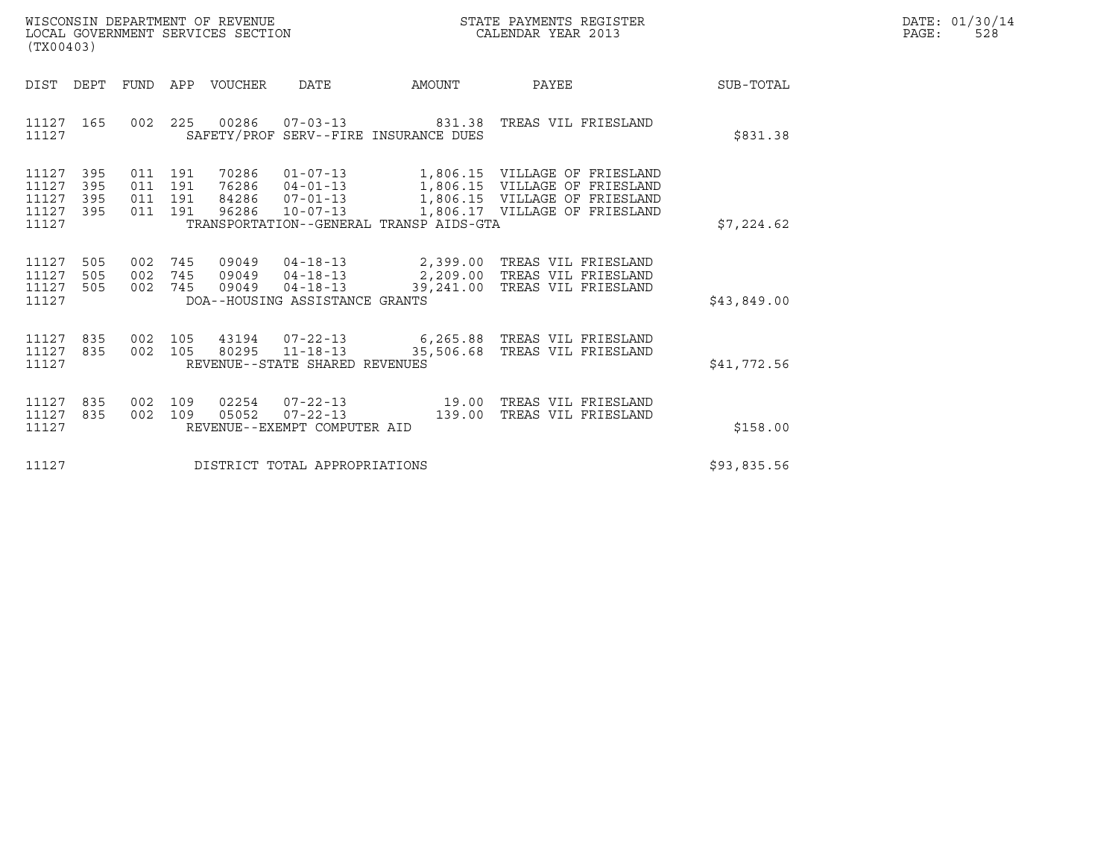| WISCONSIN DEPARTMENT OF REVENUE   | STATE PAYMENTS REGISTER | DATE: 01/30/14 |
|-----------------------------------|-------------------------|----------------|
| LOCAL GOVERNMENT SERVICES SECTION | CALENDAR YEAR 2013      | PAGE:<br>528   |

| WISCONSIN DEPARTMENT OF REVENUE<br>LOCAL GOVERNMENT SERVICES SECTION<br>(TX00403)                                                               | STATE PAYMENTS REGISTER<br>CALENDAR YEAR 2013                                                                                                                                           |                                            |             | DATE: 01/30/14<br>PAGE:<br>528 |
|-------------------------------------------------------------------------------------------------------------------------------------------------|-----------------------------------------------------------------------------------------------------------------------------------------------------------------------------------------|--------------------------------------------|-------------|--------------------------------|
| DIST DEPT<br>FUND APP VOUCHER                                                                                                                   | DATE<br>AMOUNT                                                                                                                                                                          | PAYEE                                      | SUB-TOTAL   |                                |
| 11127 165<br>11127                                                                                                                              | 002  225  00286  07-03-13  831.38  TREAS VIL FRIESLAND<br>SAFETY/PROF SERV--FIRE INSURANCE DUES                                                                                         |                                            | \$831.38    |                                |
| 11127<br>395<br>011 191<br>70286<br>76286<br>11127<br>395<br>011 191<br>11127<br>395<br>011 191<br>84286<br>11127 395<br>011 191 96286<br>11127 | 01-07-13 1,806.15 VILLAGE OF FRIESLAND<br>04-01-13 1,806.15 VILLAGE OF FRIESLAND<br>07-01-13 1,806.15 VILLAGE OF FRIESLAND<br>$10 - 07 - 13$<br>TRANSPORTATION--GENERAL TRANSP AIDS-GTA | 1,806.17 VILLAGE OF FRIESLAND              | \$7,224.62  |                                |
| 11127<br>505<br>002<br>745<br>09049<br>11127<br>505<br>002<br>745<br>09049<br>11127<br>002 745<br>09049<br>505<br>11127                         | 04-18-13 2,399.00 TREAS VIL FRIESLAND<br>$04 - 18 - 13$<br>2,209.00<br>$04 - 18 - 13$<br>39,241.00<br>DOA--HOUSING ASSISTANCE GRANTS                                                    | TREAS VIL FRIESLAND<br>TREAS VIL FRIESLAND | \$43,849.00 |                                |
| 11127<br>835<br>002 105<br>11127<br>835<br>002 105<br>11127                                                                                     | REVENUE--STATE SHARED REVENUES                                                                                                                                                          |                                            | \$41,772.56 |                                |
| 02254<br>11127<br>835<br>002 109<br>11127<br>109<br>05052<br>835<br>002<br>11127                                                                | $07 - 22 - 13$ 19.00<br>139.00<br>$07 - 22 - 13$<br>REVENUE--EXEMPT COMPUTER AID                                                                                                        | TREAS VIL FRIESLAND<br>TREAS VIL FRIESLAND | \$158.00    |                                |
| 11127                                                                                                                                           | DISTRICT TOTAL APPROPRIATIONS                                                                                                                                                           |                                            | \$93,835.56 |                                |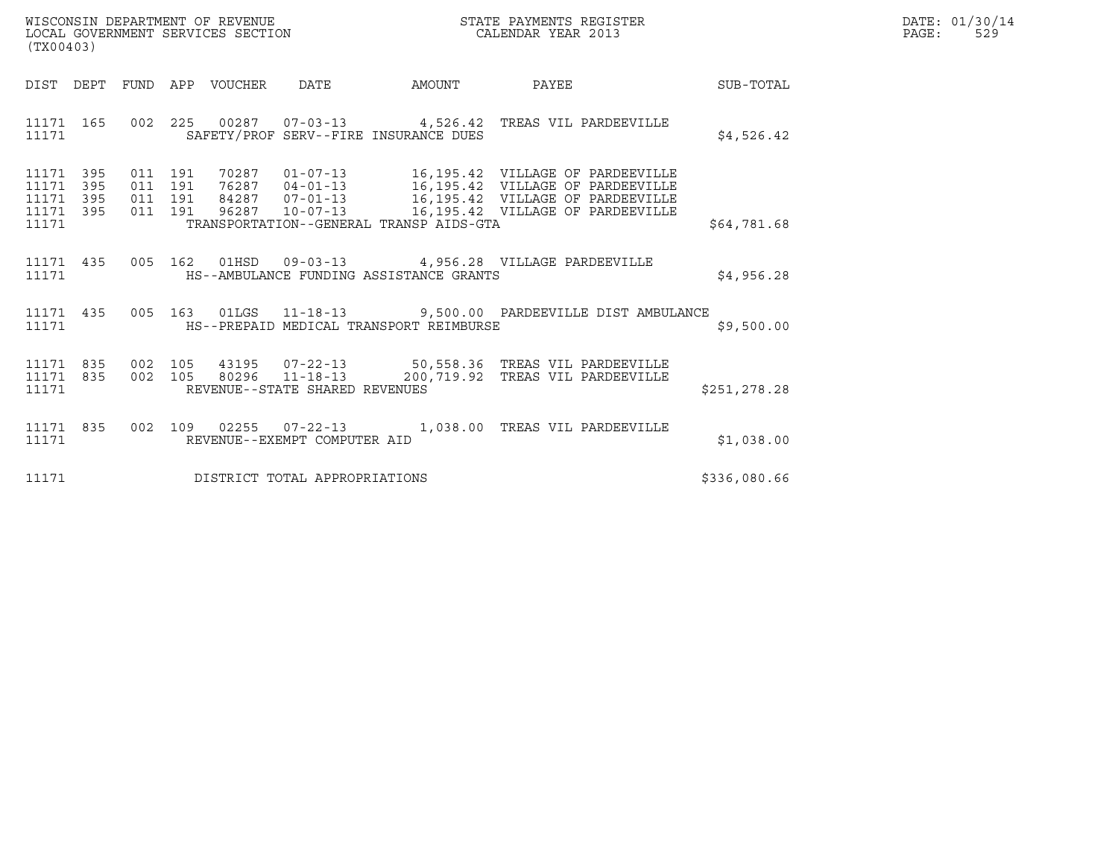| WISCONSIN DEPARTMENT OF REVENUE<br>LOCAL GOVERNMENT SERVICES SECTION<br>(TX00403) | STATE PAYMENTS REGISTER<br>CALENDAR YEAR 2013 | DATE: 01/30/14<br>PAGE:<br>529 |
|-----------------------------------------------------------------------------------|-----------------------------------------------|--------------------------------|

| (TX00403)                                                       |                                                               |                                                                                                                                                                           |              |
|-----------------------------------------------------------------|---------------------------------------------------------------|---------------------------------------------------------------------------------------------------------------------------------------------------------------------------|--------------|
| DIST<br>DEPT                                                    | APP VOUCHER DATE<br>FUND                                      | PAYEE<br>AMOUNT                                                                                                                                                           | SUB-TOTAL    |
| 11171<br>165<br>11171                                           | 002 225<br>SAFETY/PROF SERV--FIRE INSURANCE DUES              | 00287  07-03-13  4,526.42  TREAS VIL PARDEEVILLE                                                                                                                          | \$4,526.42   |
| 395<br>11171<br>395<br>11171<br>11171 395<br>11171 395<br>11171 | 011 191<br>011 191<br>TRANSPORTATION--GENERAL TRANSP AIDS-GTA | 011 191 76287 04-01-13 16,195.42 VILLAGE OF PARDEEVILLE<br>011 191 84287 07-01-13 16,195.42 VILLAGE OF PARDEEVILLE<br>96287  10-07-13   16,195.42  VILLAGE OF PARDEEVILLE | \$64,781.68  |
| 435<br>11171<br>11171                                           | 005<br>HS--AMBULANCE FUNDING ASSISTANCE GRANTS                | 162  01HSD  09-03-13  4,956.28  VILLAGE PARDEEVILLE                                                                                                                       | \$4,956.28   |
| 11171 435<br>11171                                              | HS--PREPAID MEDICAL TRANSPORT REIMBURSE                       | 005 163 01LGS 11-18-13 9,500.00 PARDEEVILLE DIST AMBULANCE                                                                                                                | \$9,500.00   |
| 11171                                                           | REVENUE--STATE SHARED REVENUES                                | 11171 835 002 105 43195 07-22-13 50,558.36 TREAS VIL PARDEEVILLE<br>11171 835 002 105 80296 11-18-13 200,719.92 TREAS VIL PARDEEVILLE                                     | \$251,278.28 |
| 835<br>11171<br>11171                                           | 002<br>REVENUE--EXEMPT COMPUTER AID                           |                                                                                                                                                                           | \$1,038.00   |
| 11171                                                           | DISTRICT TOTAL APPROPRIATIONS                                 |                                                                                                                                                                           | \$336,080.66 |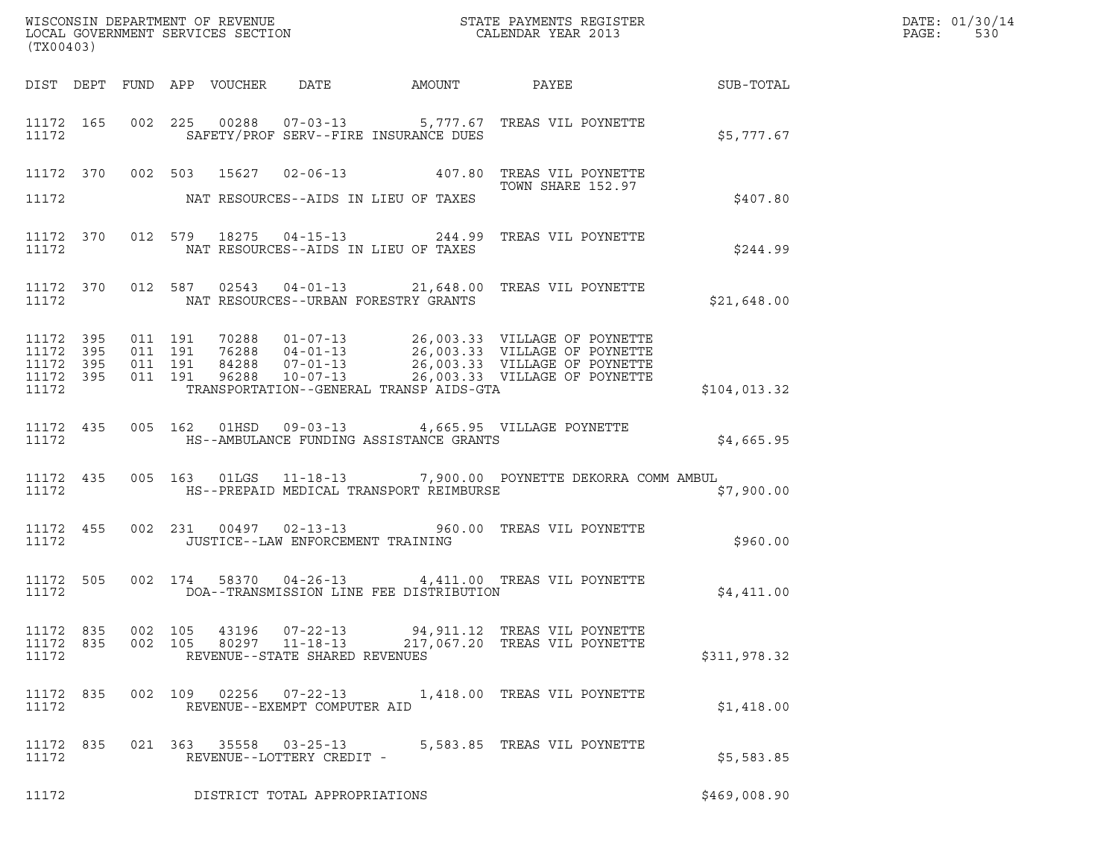| (TX00403)                                    |           |         |         |       |                                                                    |                                            | % WISCONSIN DEPARTMENT OF REVENUE $$\tt STATE$ PAYMENTS REGISTER LOCAL GOVERNMENT SERVICES SECTION $$\tt CALENDAR$ YEAR 2013 |              | DATE: 01/30/14<br>PAGE:<br>530 |
|----------------------------------------------|-----------|---------|---------|-------|--------------------------------------------------------------------|--------------------------------------------|------------------------------------------------------------------------------------------------------------------------------|--------------|--------------------------------|
|                                              |           |         |         |       |                                                                    |                                            | DIST DEPT FUND APP VOUCHER DATE AMOUNT PAYEE SUB-TOTAL                                                                       |              |                                |
| 11172                                        |           |         |         |       |                                                                    | SAFETY/PROF SERV--FIRE INSURANCE DUES      | 11172 165 002 225 00288 07-03-13 5,777.67 TREAS VIL POYNETTE                                                                 | \$5,777.67   |                                |
|                                              |           |         |         |       |                                                                    |                                            | 11172 370 002 503 15627 02-06-13 407.80 TREAS VIL POYNETTE<br>TOWN SHARE 152.97                                              |              |                                |
| 11172                                        |           |         |         |       |                                                                    | NAT RESOURCES--AIDS IN LIEU OF TAXES       |                                                                                                                              | \$407.80     |                                |
| 11172                                        |           |         |         |       |                                                                    | NAT RESOURCES--AIDS IN LIEU OF TAXES       | 11172 370 012 579 18275 04-15-13 244.99 TREAS VIL POYNETTE                                                                   | \$244.99     |                                |
|                                              |           |         |         |       |                                                                    | 11172 NAT RESOURCES--URBAN FORESTRY GRANTS | 11172 370 012 587 02543 04-01-13 21,648.00 TREAS VIL POYNETTE                                                                | \$21,648.00  |                                |
| 11172 395<br>11172 395<br>11172 395<br>11172 | 11172 395 |         |         |       |                                                                    | TRANSPORTATION--GENERAL TRANSP AIDS-GTA    |                                                                                                                              | \$104,013.32 |                                |
| 11172                                        |           |         |         |       |                                                                    | HS--AMBULANCE FUNDING ASSISTANCE GRANTS    | 11172 435 005 162 01HSD 09-03-13 4,665.95 VILLAGE POYNETTE                                                                   | \$4,665.95   |                                |
| 11172                                        |           |         |         |       |                                                                    |                                            | 11172 435 005 163 01LGS 11-18-13 7,900.00 POYNETTE DEKORRA COMM AMBUL<br>HS--PREPAID MEDICAL TRANSPORT REIMBURSE             | \$7,900.00   |                                |
| 11172                                        |           |         |         |       | JUSTICE--LAW ENFORCEMENT TRAINING                                  |                                            | 11172 455 002 231 00497 02-13-13 960.00 TREAS VIL POYNETTE                                                                   | \$960.00     |                                |
| 11172                                        |           |         |         |       |                                                                    | DOA--TRANSMISSION LINE FEE DISTRIBUTION    | 11172 505 002 174 58370 04-26-13 4,411.00 TREAS VIL POYNETTE                                                                 | \$4,411.00   |                                |
| 11172 835<br>11172 835<br>11172              |           | 002 105 | 002 105 | 43196 | $07 - 22 - 13$<br>80297 11-18-13<br>REVENUE--STATE SHARED REVENUES |                                            | 94,911.12 TREAS VIL POYNETTE<br>217,067.20 TREAS VIL POYNETTE                                                                | \$311,978.32 |                                |
| 11172 835<br>11172                           |           |         |         |       | REVENUE--EXEMPT COMPUTER AID                                       |                                            | 002 109 02256 07-22-13 1,418.00 TREAS VIL POYNETTE                                                                           | \$1,418.00   |                                |
| 11172 835<br>11172                           |           |         |         |       | REVENUE--LOTTERY CREDIT -                                          |                                            | 021  363  35558  03-25-13  5,583.85  TREAS VIL POYNETTE                                                                      | \$5,583.85   |                                |
| 11172                                        |           |         |         |       | DISTRICT TOTAL APPROPRIATIONS                                      |                                            |                                                                                                                              | \$469,008.90 |                                |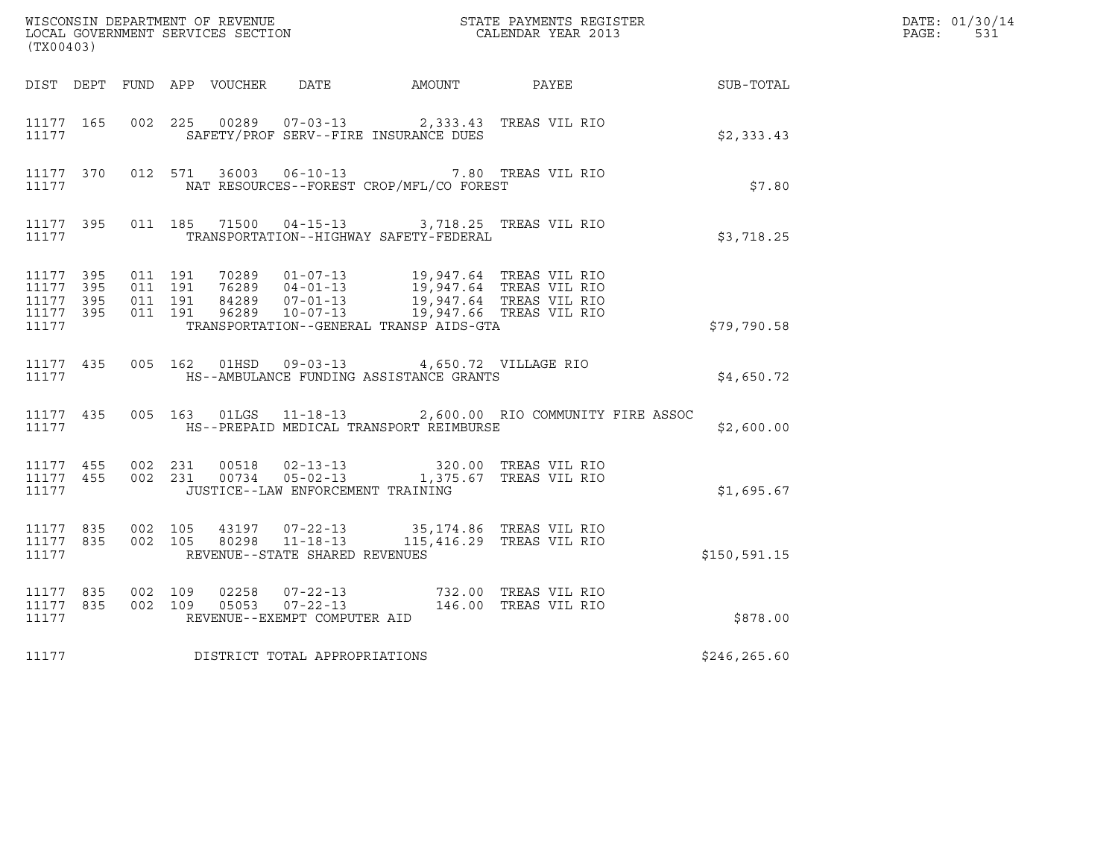|                                              | WISCONSIN DEPARTMENT OF REVENUE<br>LOCAL GOVERNMENT SERVICES SECTION CALENDAR YEAR 2013<br>(TX00403) |                              |         |  |                                   |                                                                                                               |  | DATE: 01/30/14<br>$\mathtt{PAGE:}$<br>531                 |  |
|----------------------------------------------|------------------------------------------------------------------------------------------------------|------------------------------|---------|--|-----------------------------------|---------------------------------------------------------------------------------------------------------------|--|-----------------------------------------------------------|--|
|                                              |                                                                                                      |                              |         |  |                                   |                                                                                                               |  | DIST DEPT FUND APP VOUCHER DATE AMOUNT PAYEE TO SUB-TOTAL |  |
| 11177 165<br>11177                           |                                                                                                      |                              | 002 225 |  |                                   | 00289  07-03-13  2,333.43  TREAS VIL RIO<br>SAFETY/PROF SERV--FIRE INSURANCE DUES                             |  | \$2,333.43                                                |  |
| 11177                                        |                                                                                                      |                              |         |  |                                   | 11177 370 012 571 36003 06-10-13 7.80 TREAS VIL RIO<br>NAT RESOURCES--FOREST CROP/MFL/CO FOREST               |  | \$7.80                                                    |  |
| 11177                                        |                                                                                                      |                              |         |  |                                   | 11177 395 011 185 71500 04-15-13 3,718.25 TREAS VIL RIO<br>TRANSPORTATION--HIGHWAY SAFETY-FEDERAL             |  | \$3,718.25                                                |  |
| 11177 395<br>11177 395<br>11177 395<br>11177 | 11177 395                                                                                            |                              |         |  |                                   | TRANSPORTATION--GENERAL TRANSP AIDS-GTA                                                                       |  | \$79,790.58                                               |  |
| 11177                                        | 11177 435                                                                                            |                              |         |  |                                   | 005 162 01HSD 09-03-13 4,650.72 VILLAGE RIO<br>HS--AMBULANCE FUNDING ASSISTANCE GRANTS                        |  | \$4,650.72                                                |  |
| 11177                                        |                                                                                                      |                              |         |  |                                   | 11177 435 005 163 01LGS 11-18-13 2,600.00 RIO COMMUNITY FIRE ASSOC<br>HS--PREPAID MEDICAL TRANSPORT REIMBURSE |  | \$2,600.00                                                |  |
| 11177                                        | 11177 455                                                                                            | 11177 455 002 231            |         |  | JUSTICE--LAW ENFORCEMENT TRAINING | 002 231 00518 02-13-13 320.00 TREAS VIL RIO<br>002 231 00734 05-02-13 1,375.67 TREAS VIL RIO                  |  | \$1,695.67                                                |  |
| 11177                                        | 11177 835                                                                                            | 11177 835 002 105            |         |  | REVENUE--STATE SHARED REVENUES    | 002 105 43197 07-22-13 35,174.86 TREAS VIL RIO<br>002 105 80298 11-18-13 115,416.29 TREAS VIL RIO             |  | \$150, 591.15                                             |  |
| 11177 835<br>11177                           |                                                                                                      | 11177 835 002 109<br>002 109 |         |  | REVENUE--EXEMPT COMPUTER AID      | 02258  07-22-13  732.00 TREAS VIL RIO<br>05053  07-22-13  146.00 TREAS VIL RIO                                |  | \$878.00                                                  |  |
| 11177                                        |                                                                                                      |                              |         |  | DISTRICT TOTAL APPROPRIATIONS     |                                                                                                               |  | \$246, 265.60                                             |  |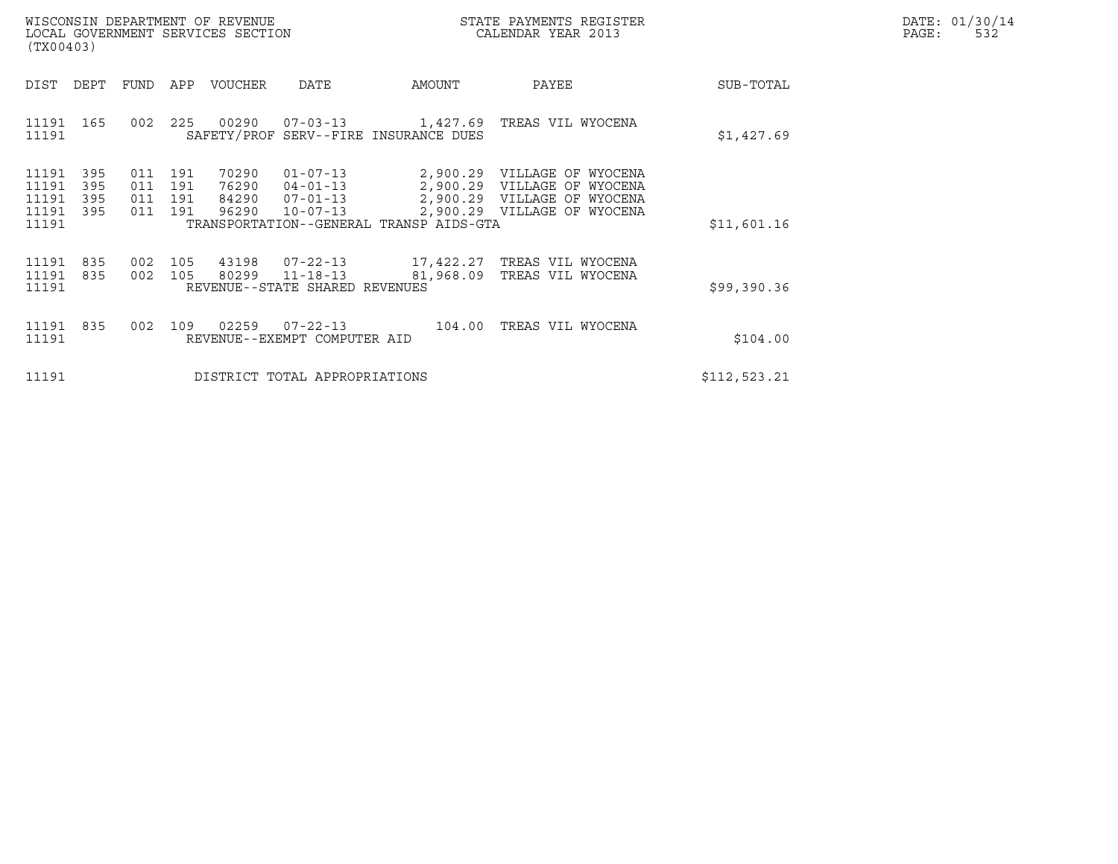| WISCONSIN DEPARTMENT OF REVENUE   | STATE PAYMENTS REGISTER | DATE: 01/30/14 |
|-----------------------------------|-------------------------|----------------|
| LOCAL GOVERNMENT SERVICES SECTION | CALENDAR YEAR 2013      | PAGE:          |

| WISCONSIN DEPARTMENT OF REVENUE<br>LOCAL GOVERNMENT SERVICES SECTION<br>(TX00403)                                             |                                                                                                                                                                 | STATE PAYMENTS REGISTER<br>CALENDAR YEAR 2013                                                                                  | DATE: 01/30/14<br>$\mathtt{PAGE}$ :<br>532 |
|-------------------------------------------------------------------------------------------------------------------------------|-----------------------------------------------------------------------------------------------------------------------------------------------------------------|--------------------------------------------------------------------------------------------------------------------------------|--------------------------------------------|
| DEPT<br>APP<br>DIST<br>FUND                                                                                                   | VOUCHER<br>DATE<br>AMOUNT                                                                                                                                       | PAYEE<br>SUB-TOTAL                                                                                                             |                                            |
| 11191 165<br>225<br>002<br>11191                                                                                              | 00290<br>07-03-13 1,427.69<br>SAFETY/PROF SERV--FIRE INSURANCE DUES                                                                                             | TREAS VIL WYOCENA<br>\$1,427.69                                                                                                |                                            |
| 11191<br>395<br>191<br>011<br>11191<br>395<br>011<br>191<br>11191<br>395<br>011<br>191<br>11191<br>011<br>191<br>395<br>11191 | 70290<br>$01 - 07 - 13$<br>$04 - 01 - 13$<br>2,900.29<br>76290<br>$07 - 01 - 13$<br>84290<br>96290<br>$10 - 07 - 13$<br>TRANSPORTATION--GENERAL TRANSP AIDS-GTA | 2,900.29 VILLAGE OF WYOCENA<br>VILLAGE OF WYOCENA<br>2,900.29 VILLAGE OF WYOCENA<br>2,900.29 VILLAGE OF WYOCENA<br>\$11,601.16 |                                            |
| 11191<br>835<br>002<br>105<br>11191 835<br>002<br>105<br>11191                                                                | 43198  07-22-13<br>17,422.27<br>80299 11-18-13<br>81,968.09<br>REVENUE--STATE SHARED REVENUES                                                                   | TREAS VIL WYOCENA<br>TREAS VIL WYOCENA<br>\$99,390.36                                                                          |                                            |
| 11191 835<br>002<br>109<br>11191                                                                                              | 02259<br>07-22-13<br>104.00<br>REVENUE--EXEMPT COMPUTER AID                                                                                                     | TREAS VIL WYOCENA<br>\$104.00                                                                                                  |                                            |
| 11191                                                                                                                         | DISTRICT TOTAL APPROPRIATIONS                                                                                                                                   | \$112,523.21                                                                                                                   |                                            |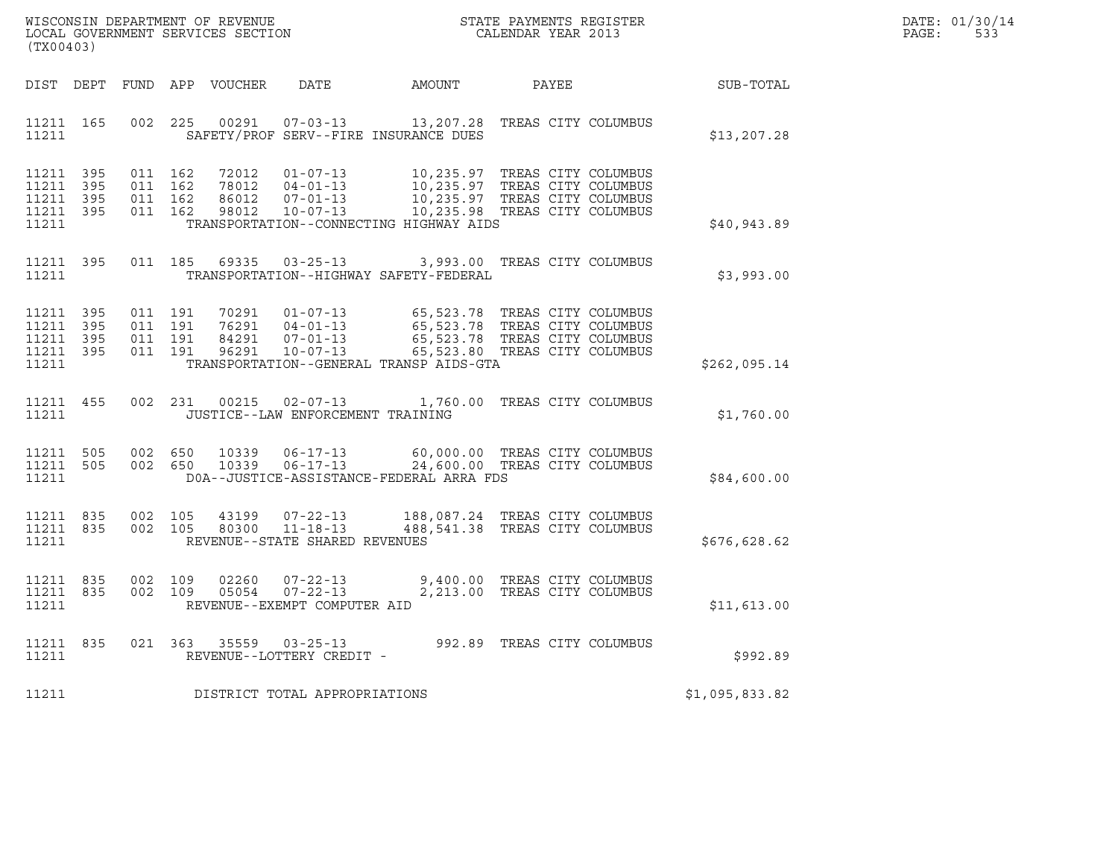| WISCONSIN DEPARTMENT OF REVENUE<br>STATE PAYMENTS REGISTER<br>LOCAL GOVERNMENT SERVICES SECTION<br>CALENDAR YEAR 2013 | DATE: 01/30/14<br>PAGE: |
|-----------------------------------------------------------------------------------------------------------------------|-------------------------|

| WISCONSIN DEPARTMENT OF REVENUE<br>LOCAL GOVERNMENT SERVICES SECTION<br>(TX00403)                 |                                                                                                                                                                                 |                                                   | STATE PAYMENTS REGISTER<br>CALENDAR YEAR 2013                                            |                |
|---------------------------------------------------------------------------------------------------|---------------------------------------------------------------------------------------------------------------------------------------------------------------------------------|---------------------------------------------------|------------------------------------------------------------------------------------------|----------------|
| DIST<br>DEPT<br>FUND                                                                              | APP<br>VOUCHER<br>DATE                                                                                                                                                          | AMOUNT                                            | PAYEE                                                                                    | SUB-TOTAL      |
| 11211<br>165<br>002<br>11211                                                                      | 225<br>00291<br>$07 - 03 - 13$<br>SAFETY/PROF SERV--FIRE INSURANCE DUES                                                                                                         | 13,207.28                                         | TREAS CITY COLUMBUS                                                                      | \$13,207.28    |
| 395<br>011<br>11211<br>395<br>011<br>11211<br>011<br>11211<br>395<br>11211<br>011<br>395<br>11211 | 162<br>72012<br>$01 - 07 - 13$<br>162<br>78012<br>$04 - 01 - 13$<br>86012<br>$07 - 01 - 13$<br>162<br>162<br>$10 - 07 - 13$<br>98012<br>TRANSPORTATION--CONNECTING HIGHWAY AIDS | 10,235.97<br>10,235.97<br>10, 235.97<br>10,235.98 | TREAS CITY COLUMBUS<br>TREAS CITY COLUMBUS<br>TREAS CITY COLUMBUS<br>TREAS CITY COLUMBUS | \$40,943.89    |
| 395<br>011<br>11211<br>11211                                                                      | 185<br>69335<br>$03 - 25 - 13$<br>TRANSPORTATION--HIGHWAY SAFETY-FEDERAL                                                                                                        | 3,993.00                                          | TREAS CITY COLUMBUS                                                                      | \$3,993.00     |
| 11211<br>395<br>011<br>395<br>011<br>11211<br>11211<br>395<br>011<br>11211<br>395<br>011<br>11211 | 191<br>70291<br>$01 - 07 - 13$<br>191<br>76291<br>$04 - 01 - 13$<br>191<br>84291<br>$07 - 01 - 13$<br>191<br>96291<br>$10 - 07 - 13$<br>TRANSPORTATION--GENERAL TRANSP AIDS-GTA | 65,523.78<br>65,523.78<br>65,523.78<br>65,523.80  | TREAS CITY COLUMBUS<br>TREAS CITY COLUMBUS<br>TREAS CITY COLUMBUS<br>TREAS CITY COLUMBUS | \$262,095.14   |
| 11211<br>455<br>002<br>11211                                                                      | 231<br>00215<br>$02 - 07 - 13$<br>JUSTICE--LAW ENFORCEMENT TRAINING                                                                                                             | 1,760.00                                          | TREAS CITY COLUMBUS                                                                      | \$1,760.00     |
| 11211<br>505<br>002<br>505<br>002<br>11211<br>11211                                               | 650<br>10339<br>$06 - 17 - 13$<br>650<br>10339<br>$06 - 17 - 13$<br>DOA--JUSTICE-ASSISTANCE-FEDERAL ARRA FDS                                                                    | 60,000.00<br>24,600.00                            | TREAS CITY COLUMBUS<br>TREAS CITY COLUMBUS                                               | \$84,600.00    |
| 002<br>11211<br>835<br>835<br>002<br>11211<br>11211                                               | 105<br>43199<br>$07 - 22 - 13$<br>105<br>$11 - 18 - 13$<br>80300<br>REVENUE--STATE SHARED REVENUES                                                                              | 188,087.24<br>488,541.38                          | TREAS CITY COLUMBUS<br>TREAS CITY COLUMBUS                                               | \$676,628.62   |
| 11211<br>835<br>002<br>835<br>002<br>11211<br>11211                                               | 109<br>02260<br>$07 - 22 - 13$<br>109<br>$07 - 22 - 13$<br>05054<br>REVENUE--EXEMPT COMPUTER AID                                                                                | 9,400.00<br>2,213.00                              | TREAS CITY COLUMBUS<br>TREAS CITY COLUMBUS                                               | \$11,613.00    |
| 835<br>021<br>11211<br>11211                                                                      | 363<br>35559<br>$03 - 25 - 13$<br>REVENUE--LOTTERY CREDIT -                                                                                                                     | 992.89                                            | TREAS CITY COLUMBUS                                                                      | \$992.89       |
| 11211                                                                                             | DISTRICT TOTAL APPROPRIATIONS                                                                                                                                                   |                                                   |                                                                                          | \$1,095,833.82 |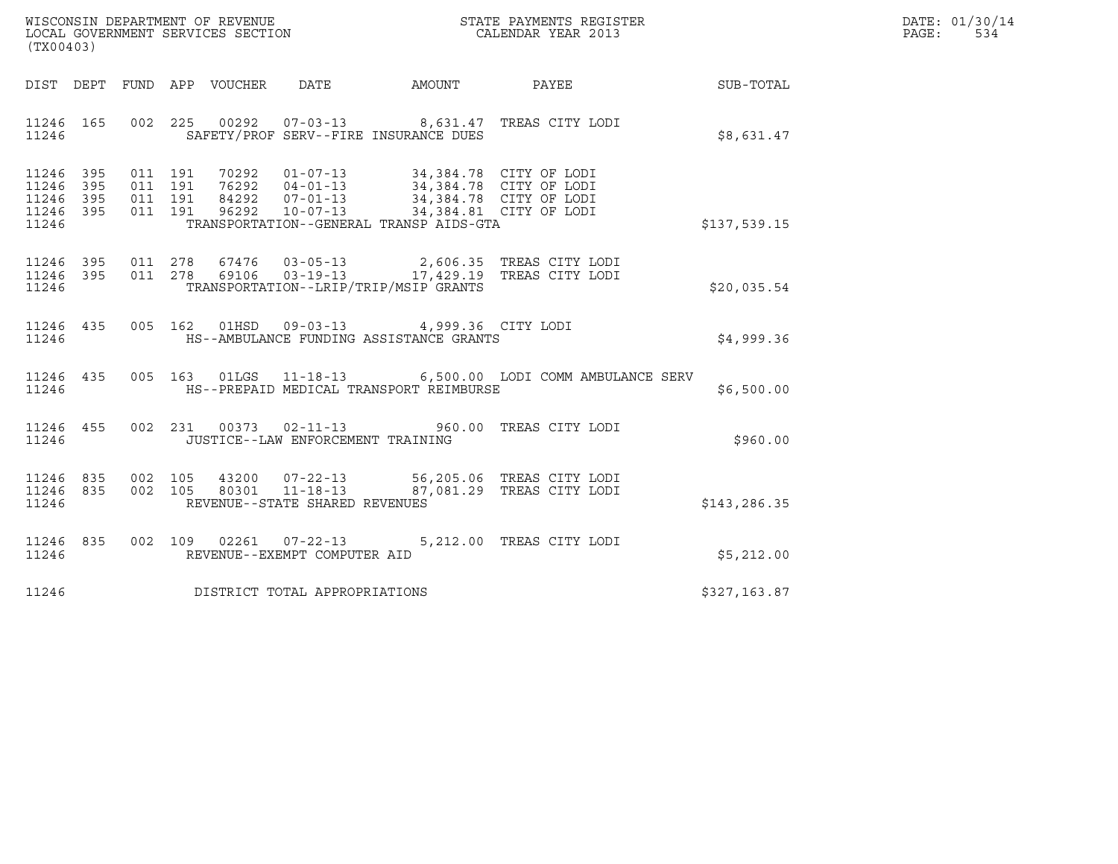| WISCONSIN DEPARTMENT OF REVENUE   | STATE PAYMENTS REGISTER | DATE: 01/30/14 |
|-----------------------------------|-------------------------|----------------|
| LOCAL GOVERNMENT SERVICES SECTION | CALENDAR YEAR 2013      | 534<br>PAGE:   |

| WISCONSIN DEPARTMENT OF REVENUE<br>LOCAL GOVERNMENT SERVICES SECTION TERM COLLENDAR YEAR 2013<br>(TX00403)                                                                                                                                                                                                                                                                 | DATE: 01/30/14<br>PAGE: 534 |
|----------------------------------------------------------------------------------------------------------------------------------------------------------------------------------------------------------------------------------------------------------------------------------------------------------------------------------------------------------------------------|-----------------------------|
| DIST DEPT FUND APP VOUCHER DATE AMOUNT PAYEE PAYER SUB-TOTAL                                                                                                                                                                                                                                                                                                               |                             |
| 11246 165 002 225 00292 07-03-13 8,631.47 TREAS CITY LODI<br>11246 SAFETY/PROF SERV--FIRE INSURANCE DUES<br>\$8,631.47                                                                                                                                                                                                                                                     |                             |
| $\begin{array}{cccccccc} 11246 & 395 & 011 & 191 & 70292 & 01-07-13 & 34,384.78 & CITY OF LODI \\ 11246 & 395 & 011 & 191 & 76292 & 04-01-13 & 34,384.78 & CITY OF LODI \\ 11246 & 395 & 011 & 191 & 84292 & 07-01-13 & 34,384.78 & CITY OF LODI \\ 11246 & 395 & 011 & 191 & 96292 & 10-07-13 & 34,3$<br>TRANSPORTATION--GENERAL TRANSP AIDS-GTA<br>11246<br>\$137,539.15 |                             |
| 11246 395 011 278 67476 03-05-13 2,606.35 TREAS CITY LODI<br>11246 395 011 278 69106 03-19-13 17,429.19 TREAS CITY LODI<br>11246 TRANSPORTATION--LRIP/TRIP/MSIP GRANTS<br>\$20,035.54                                                                                                                                                                                      |                             |
| 11246 435 005 162 01HSD 09-03-13 4,999.36 CITY LODI<br>\$4,999.36<br>11246 HS--AMBULANCE FUNDING ASSISTANCE GRANTS                                                                                                                                                                                                                                                         |                             |
| 11246 435 005 163 01LGS 11-18-13 6,500.00 LODI COMM AMBULANCE SERV<br>11246 HS--PREPAID MEDICAL TRANSPORT REIMBURSE<br>\$6,500.00                                                                                                                                                                                                                                          |                             |
| 11246 455 002 231 00373 02-11-13 960.00 TREAS CITY LODI<br>11246 JUSTICE--LAW ENFORCEMENT TRAINING<br>\$960.00                                                                                                                                                                                                                                                             |                             |
| $11246 835 002 105 43200 07-22-13 56,205.06 TREAS CITY LODI11246 835 002 105 80301 11-18-13 87,081.29 TREAS CITY LODI$<br>11246 REVENUE--STATE SHARED REVENUES<br>\$143,286.35                                                                                                                                                                                             |                             |
| 11246 835 002 109 02261 07-22-13 5,212.00 TREAS CITY LODI<br>REVENUE--EXEMPT COMPUTER AID<br>11246<br>\$5,212.00                                                                                                                                                                                                                                                           |                             |
| 11246 DISTRICT TOTAL APPROPRIATIONS<br>\$327,163.87                                                                                                                                                                                                                                                                                                                        |                             |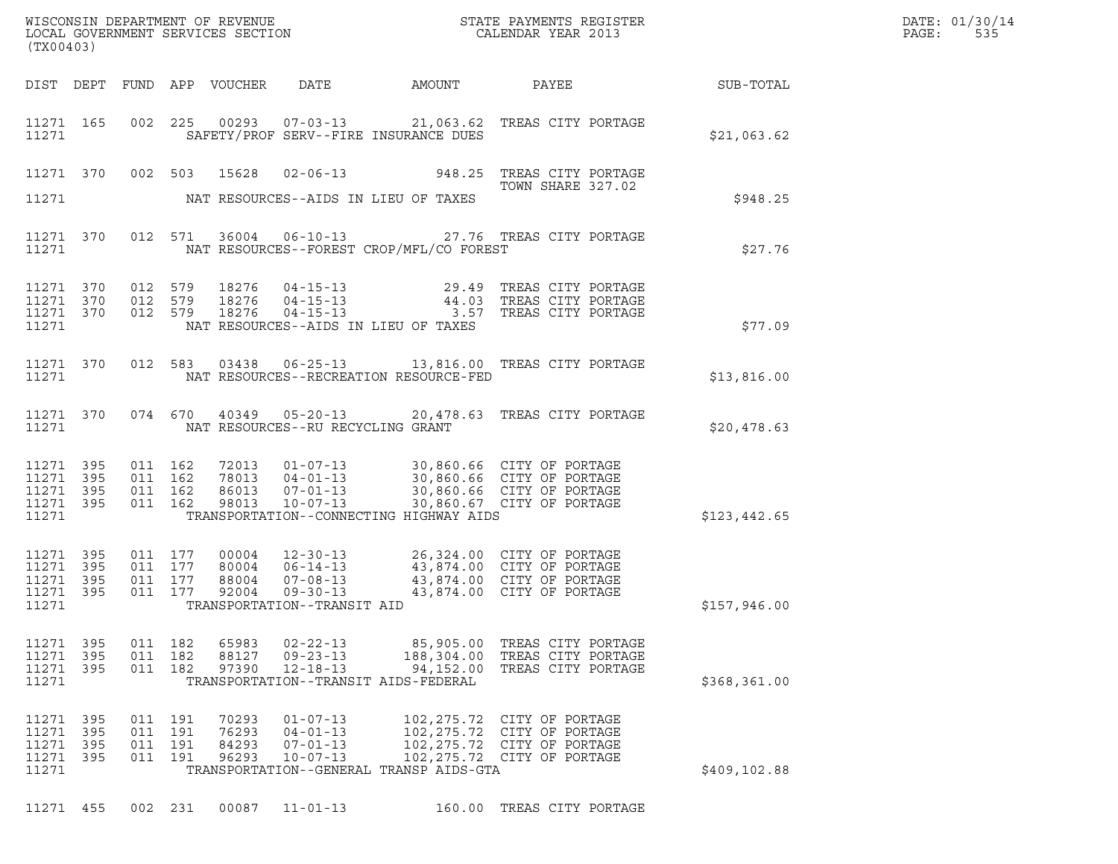| (TX00403)                                                 |                   |                                          |                              |                                  |                                                                                               |                                                   |                                                                                                                                                      |              | DATE: 01/30/14<br>PAGE:<br>535 |
|-----------------------------------------------------------|-------------------|------------------------------------------|------------------------------|----------------------------------|-----------------------------------------------------------------------------------------------|---------------------------------------------------|------------------------------------------------------------------------------------------------------------------------------------------------------|--------------|--------------------------------|
|                                                           |                   |                                          |                              | DIST DEPT FUND APP VOUCHER       | DATE                                                                                          | AMOUNT                                            | PAYEE                                                                                                                                                | SUB-TOTAL    |                                |
| 11271 165<br>11271                                        |                   |                                          |                              |                                  |                                                                                               | SAFETY/PROF SERV--FIRE INSURANCE DUES             | 002 225 00293 07-03-13 21,063.62 TREAS CITY PORTAGE                                                                                                  | \$21,063.62  |                                |
|                                                           | 11271 370         | 002 503                                  |                              | 15628                            |                                                                                               |                                                   | 02-06-13 948.25 TREAS CITY PORTAGE<br>TOWN SHARE 327.02                                                                                              |              |                                |
| 11271                                                     |                   |                                          |                              |                                  |                                                                                               | NAT RESOURCES--AIDS IN LIEU OF TAXES              |                                                                                                                                                      | \$948.25     |                                |
| 11271 370<br>11271                                        |                   |                                          | 012 571                      |                                  |                                                                                               | NAT RESOURCES--FOREST CROP/MFL/CO FOREST          | 36004  06-10-13  27.76  TREAS CITY PORTAGE                                                                                                           | \$27.76      |                                |
| 11271 370<br>11271 370<br>11271 370<br>11271              |                   | 012 579                                  | 012 579<br>012 579           | 18276<br>18276<br>18276          |                                                                                               | NAT RESOURCES--AIDS IN LIEU OF TAXES              | 29.49 TREAS CITY PORTAGE                                                                                                                             | \$77.09      |                                |
| 11271 370<br>11271                                        |                   |                                          | 012 583                      | 03438                            |                                                                                               | NAT RESOURCES--RECREATION RESOURCE-FED            | 06-25-13 13,816.00 TREAS CITY PORTAGE                                                                                                                | \$13,816.00  |                                |
| 11271 370<br>11271                                        |                   |                                          | 074 670                      |                                  | NAT RESOURCES--RU RECYCLING GRANT                                                             |                                                   | 40349  05-20-13  20,478.63  TREAS CITY PORTAGE                                                                                                       | \$20,478.63  |                                |
| 11271 395<br>11271 395<br>11271 395<br>11271 395<br>11271 |                   | 011 162<br>011 162<br>011 162<br>011 162 |                              | 86013<br>98013                   | $07 - 01 - 13$<br>$10 - 07 - 13$                                                              | TRANSPORTATION--CONNECTING HIGHWAY AIDS           | 72013  01-07-13  30,860.66  CITY OF PORTAGE<br>78013  04-01-13  30,860.66  CITY OF PORTAGE<br>30,860.66 CITY OF PORTAGE<br>30,860.67 CITY OF PORTAGE | \$123,442.65 |                                |
| 11271 395<br>11271<br>11271 395<br>11271 395<br>11271     | 395               | 011 177<br>011 177                       | 011 177<br>011 177           | 00004<br>80004<br>88004<br>92004 | $12 - 30 - 13$<br>$06 - 14 - 13$<br>$07 - 08 - 13$<br>09-30-13<br>TRANSPORTATION--TRANSIT AID |                                                   | 26,324.00 CITY OF PORTAGE<br>43,874.00 CITY OF PORTAGE<br>43,874.00 CITY OF PORTAGE<br>43,874.00 CITY OF PORTAGE                                     | \$157,946.00 |                                |
| 11271<br>11271 395<br>11271 395<br>11271                  | 395               | 011 182<br>011                           | 182<br>011 182               | 65983<br>88127<br>97390          | $02 - 22 - 13$<br>$09 - 23 - 13$<br>$12 - 18 - 13$                                            | 94,152.00<br>TRANSPORTATION--TRANSIT AIDS-FEDERAL | 85,905.00 TREAS CITY PORTAGE<br>188,304.00 TREAS CITY PORTAGE<br>TREAS CITY PORTAGE                                                                  | \$368,361.00 |                                |
| 11271<br>11271<br>11271<br>11271 395<br>11271             | 395<br>395<br>395 | 011<br>011<br>011                        | 191<br>191<br>191<br>011 191 | 70293<br>76293<br>84293<br>96293 | $01 - 07 - 13$<br>$04 - 01 - 13$<br>$07 - 01 - 13$<br>$10 - 07 - 13$                          | TRANSPORTATION--GENERAL TRANSP AIDS-GTA           | 102, 275.72 CITY OF PORTAGE<br>102, 275.72 CITY OF PORTAGE<br>102, 275.72 CITY OF PORTAGE<br>102, 275.72 CITY OF PORTAGE                             | \$409,102.88 |                                |
| 11271 455                                                 |                   |                                          | 002 231                      | 00087                            | $11 - 01 - 13$                                                                                |                                                   | 160.00 TREAS CITY PORTAGE                                                                                                                            |              |                                |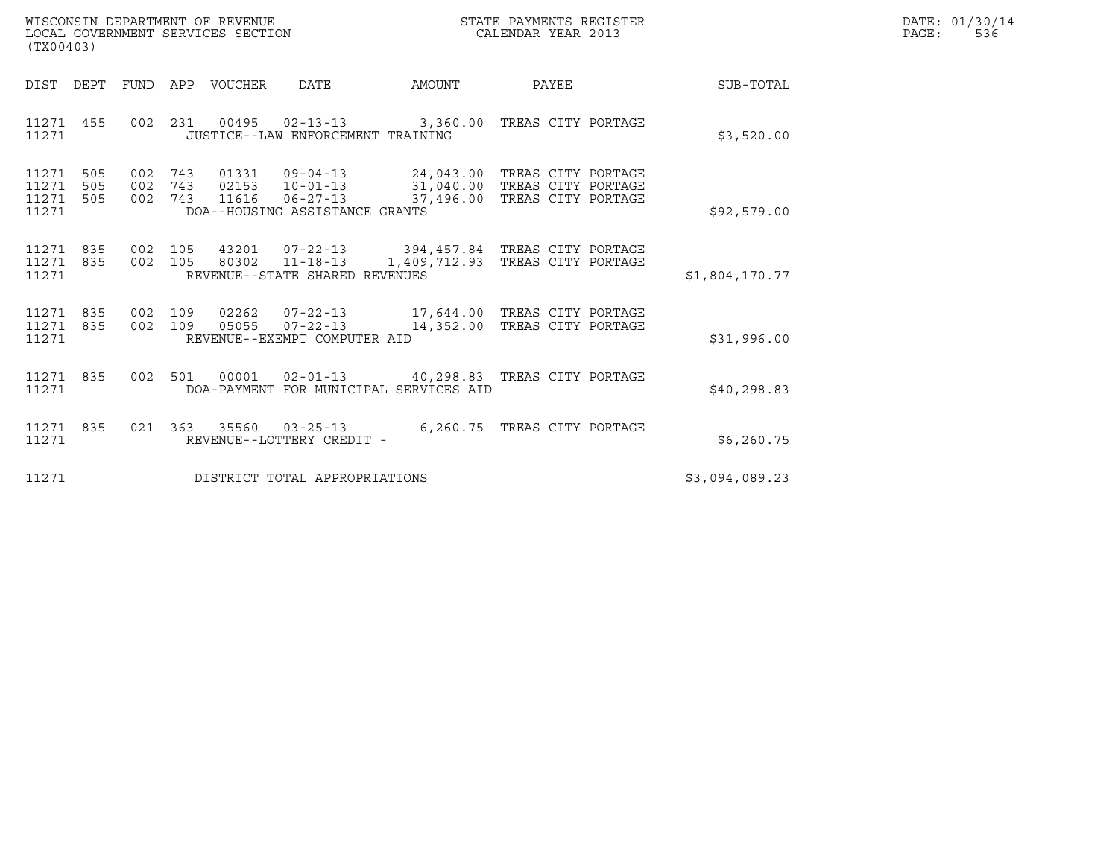| WISCONSIN DEPARTMENT OF REVENUE   | STATE PAYMENTS REGISTER | DATE: 01/30/14 |
|-----------------------------------|-------------------------|----------------|
| LOCAL GOVERNMENT SERVICES SECTION | CALENDAR YEAR 2013      | 536<br>PAGE:   |

| (TX00403)                                             |                                        |                                                                                                        |                                         |          |                                                                                              |                |  |  |  |  |
|-------------------------------------------------------|----------------------------------------|--------------------------------------------------------------------------------------------------------|-----------------------------------------|----------|----------------------------------------------------------------------------------------------|----------------|--|--|--|--|
| DIST<br>DEPT                                          | <b>FUND</b><br>APP                     | VOUCHER<br>DATE                                                                                        | AMOUNT                                  |          | PAYEE                                                                                        | SUB-TOTAL      |  |  |  |  |
| 11271<br>455<br>11271                                 | 002<br>231                             | $00495$ $02 - 13 - 13$<br>JUSTICE--LAW ENFORCEMENT TRAINING                                            |                                         |          | 3,360.00 TREAS CITY PORTAGE                                                                  | \$3,520.00     |  |  |  |  |
| 505<br>11271<br>11271<br>505<br>11271<br>505<br>11271 | 002<br>743<br>002<br>743<br>002<br>743 | $09 - 04 - 13$<br>01331<br>02153 10-01-13<br>$06 - 27 - 13$<br>11616<br>DOA--HOUSING ASSISTANCE GRANTS |                                         |          | 24,043.00 TREAS CITY PORTAGE<br>31,040.00 TREAS CITY PORTAGE<br>37,496.00 TREAS CITY PORTAGE | \$92,579.00    |  |  |  |  |
| 835<br>11271<br>11271<br>835<br>11271                 | 002<br>105<br>002<br>105               | 43201 07-22-13<br>80302<br>$11 - 18 - 13$<br>REVENUE--STATE SHARED REVENUES                            |                                         |          | 394,457.84 TREAS CITY PORTAGE<br>1,409,712.93 TREAS CITY PORTAGE                             | \$1,804,170.77 |  |  |  |  |
| 835<br>11271<br>11271<br>835<br>11271                 | 002<br>109<br>002<br>109               | 02262<br>05055<br>$07 - 22 - 13$<br>REVENUE--EXEMPT COMPUTER AID                                       |                                         |          | 14,352.00 TREAS CITY PORTAGE                                                                 | \$31,996.00    |  |  |  |  |
| 835<br>11271<br>11271                                 | 002<br>501                             | 00001<br>DOA-PAYMENT FOR MUNICIPAL SERVICES AID                                                        | 02-01-13  40,298.83  TREAS CITY PORTAGE |          |                                                                                              | \$40,298.83    |  |  |  |  |
| 11271<br>835<br>11271                                 | 021<br>363                             | 35560<br>$03 - 25 - 13$<br>REVENUE--LOTTERY CREDIT -                                                   |                                         | 6,260.75 | TREAS CITY PORTAGE                                                                           | \$6, 260.75    |  |  |  |  |
| 11271                                                 | DISTRICT TOTAL APPROPRIATIONS          |                                                                                                        |                                         |          |                                                                                              |                |  |  |  |  |

(TX00403)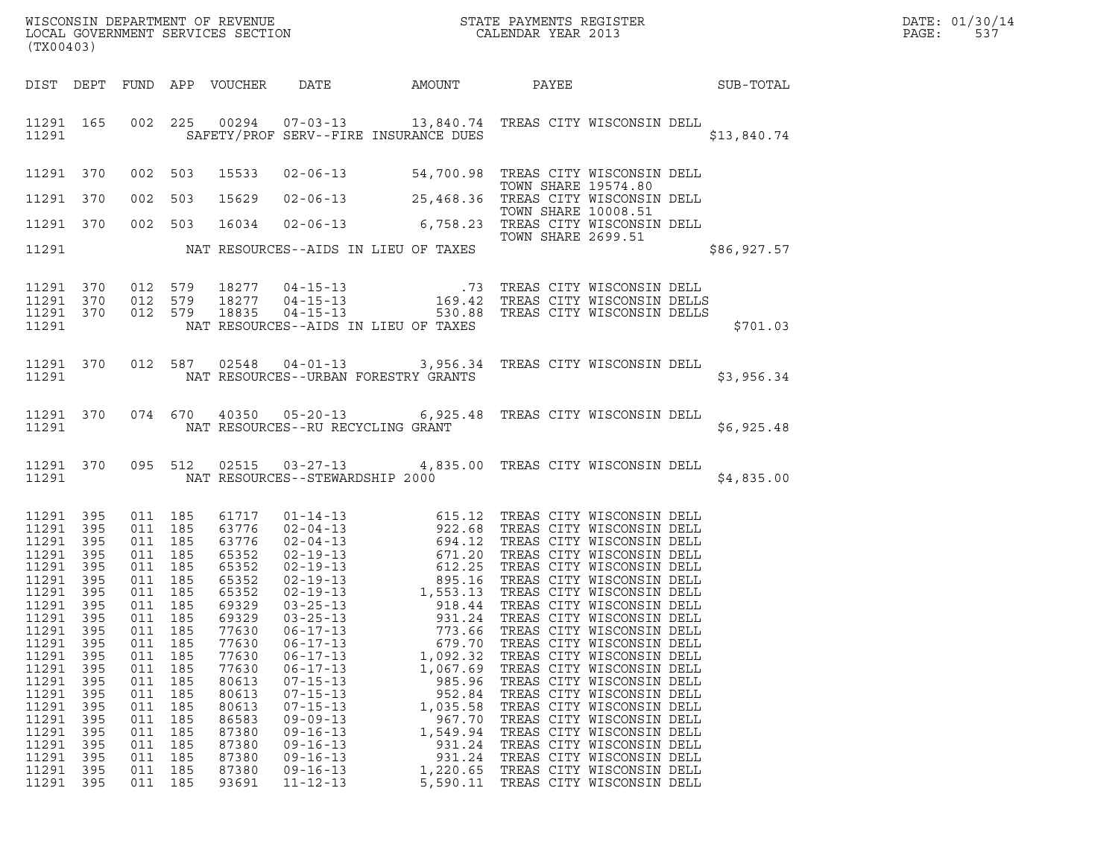|       | DATE: 01/30/14 |
|-------|----------------|
| PAGE: | 537            |

| (TX00403)                                                                                                                                                                                                                  |                                                                                                              |                                                                                                                                                                                                    |                                                                           |                                                                                                                                                                                                    |                                                                                                                                                                                                                                                          |                                                                                                                                                                                                                                                                                                                                                                                                                            |                     |                                                                                                                                                                                                                                                                                                                                                                                                                    |             | DATE: 01/30/14<br>PAGE:<br>537 |
|----------------------------------------------------------------------------------------------------------------------------------------------------------------------------------------------------------------------------|--------------------------------------------------------------------------------------------------------------|----------------------------------------------------------------------------------------------------------------------------------------------------------------------------------------------------|---------------------------------------------------------------------------|----------------------------------------------------------------------------------------------------------------------------------------------------------------------------------------------------|----------------------------------------------------------------------------------------------------------------------------------------------------------------------------------------------------------------------------------------------------------|----------------------------------------------------------------------------------------------------------------------------------------------------------------------------------------------------------------------------------------------------------------------------------------------------------------------------------------------------------------------------------------------------------------------------|---------------------|--------------------------------------------------------------------------------------------------------------------------------------------------------------------------------------------------------------------------------------------------------------------------------------------------------------------------------------------------------------------------------------------------------------------|-------------|--------------------------------|
|                                                                                                                                                                                                                            |                                                                                                              |                                                                                                                                                                                                    |                                                                           |                                                                                                                                                                                                    |                                                                                                                                                                                                                                                          | DIST DEPT FUND APP VOUCHER DATE AMOUNT PAYEE SUB-TOTAL                                                                                                                                                                                                                                                                                                                                                                     |                     |                                                                                                                                                                                                                                                                                                                                                                                                                    |             |                                |
| 11291                                                                                                                                                                                                                      |                                                                                                              |                                                                                                                                                                                                    |                                                                           |                                                                                                                                                                                                    |                                                                                                                                                                                                                                                          | 11291 165 002 225 00294 07-03-13 13,840.74 TREAS CITY WISCONSIN DELL<br>SAFETY/PROF SERV--FIRE INSURANCE DUES                                                                                                                                                                                                                                                                                                              |                     |                                                                                                                                                                                                                                                                                                                                                                                                                    | \$13,840.74 |                                |
| 11291 370                                                                                                                                                                                                                  |                                                                                                              | 002 503                                                                                                                                                                                            |                                                                           |                                                                                                                                                                                                    |                                                                                                                                                                                                                                                          | 15533 02-06-13 54,700.98 TREAS CITY WISCONSIN DELL<br>TOWN SHARE 19574.80<br>15629 02-06-13 25,468.36 TREAS CITY WISCONSIN DELL<br>TOWN CUARE 10000 51                                                                                                                                                                                                                                                                     |                     |                                                                                                                                                                                                                                                                                                                                                                                                                    |             |                                |
| 11291 370                                                                                                                                                                                                                  |                                                                                                              | 002 503                                                                                                                                                                                            |                                                                           |                                                                                                                                                                                                    |                                                                                                                                                                                                                                                          |                                                                                                                                                                                                                                                                                                                                                                                                                            | TOWN SHARE 10008.51 |                                                                                                                                                                                                                                                                                                                                                                                                                    |             |                                |
| 11291 370                                                                                                                                                                                                                  |                                                                                                              |                                                                                                                                                                                                    | 002 503                                                                   |                                                                                                                                                                                                    |                                                                                                                                                                                                                                                          | 16034 02-06-13 6,758.23 TREAS CITY WISCONSIN DELL<br>TOWN SHARE 2699.51                                                                                                                                                                                                                                                                                                                                                    |                     |                                                                                                                                                                                                                                                                                                                                                                                                                    |             |                                |
|                                                                                                                                                                                                                            |                                                                                                              |                                                                                                                                                                                                    |                                                                           |                                                                                                                                                                                                    |                                                                                                                                                                                                                                                          | 11291 NAT RESOURCES--AIDS IN LIEU OF TAXES                                                                                                                                                                                                                                                                                                                                                                                 |                     |                                                                                                                                                                                                                                                                                                                                                                                                                    | \$86,927.57 |                                |
| 11291 370<br>11291 370<br>11291 370<br>11291                                                                                                                                                                               |                                                                                                              | 012 579<br>012 579<br>012 579                                                                                                                                                                      |                                                                           |                                                                                                                                                                                                    |                                                                                                                                                                                                                                                          | NAT RESOURCES--AIDS IN LIEU OF TAXES                                                                                                                                                                                                                                                                                                                                                                                       |                     |                                                                                                                                                                                                                                                                                                                                                                                                                    | \$701.03    |                                |
| 11291                                                                                                                                                                                                                      |                                                                                                              |                                                                                                                                                                                                    |                                                                           |                                                                                                                                                                                                    |                                                                                                                                                                                                                                                          | 11291 370 012 587 02548 04-01-13 3,956.34 TREAS CITY WISCONSIN DELL<br>NAT RESOURCES--URBAN FORESTRY GRANTS                                                                                                                                                                                                                                                                                                                |                     |                                                                                                                                                                                                                                                                                                                                                                                                                    | \$3,956.34  |                                |
| 11291                                                                                                                                                                                                                      |                                                                                                              |                                                                                                                                                                                                    |                                                                           |                                                                                                                                                                                                    |                                                                                                                                                                                                                                                          | 11291 370 074 670 40350 05-20-13 6,925.48 TREAS CITY WISCONSIN DELL<br>NAT RESOURCES--RU RECYCLING GRANT                                                                                                                                                                                                                                                                                                                   |                     |                                                                                                                                                                                                                                                                                                                                                                                                                    | \$6,925.48  |                                |
| 11291                                                                                                                                                                                                                      |                                                                                                              |                                                                                                                                                                                                    |                                                                           |                                                                                                                                                                                                    | NAT RESOURCES--STEWARDSHIP 2000                                                                                                                                                                                                                          | 11291 370 095 512 02515 03-27-13 4,835.00 TREAS CITY WISCONSIN DELL                                                                                                                                                                                                                                                                                                                                                        |                     |                                                                                                                                                                                                                                                                                                                                                                                                                    | \$4,835.00  |                                |
| 11291 395<br>11291 395<br>11291<br>11291 395<br>11291<br>11291 395<br>11291 395<br>11291 395<br>11291<br>11291<br>11291<br>11291<br>11291<br>11291<br>11291<br>11291<br>11291<br>11291<br>11291<br>11291<br>11291<br>11291 | 395<br>395<br>395<br>395<br>395<br>395<br>395<br>395<br>395<br>395<br>395<br>395<br>395<br>395<br>395<br>395 | 011 185<br>011 185<br>011 185<br>011 185<br>011 185<br>011 185<br>011 185<br>011 185<br>011<br>011<br>011<br>011<br>011<br>011<br>011<br>011<br>011<br>011<br>011<br>011 185<br>011 185<br>011 185 | 185<br>185<br>185<br>185<br>185<br>185<br>185<br>185<br>185<br>185<br>185 | 61717<br>63776<br>63776<br>65352<br>65352<br>65352<br>65352<br>69329<br>69329<br>77630<br>77630<br>77630<br>77630<br>80613<br>80613<br>80613<br>86583<br>87380<br>87380<br>87380<br>87380<br>93691 | $03 - 25 - 13$<br>$06 - 17 - 13$<br>$06 - 17 - 13$<br>$06 - 17 - 13$<br>$06 - 17 - 13$<br>$07 - 15 - 13$<br>$07 - 15 - 13$<br>$07 - 15 - 13$<br>$09 - 09 - 13$<br>$09 - 16 - 13$<br>$09 - 16 - 13$<br>$09 - 16 - 13$<br>$09 - 16 - 13$<br>$11 - 12 - 13$ | 01-14-13<br>02-04-13<br>02-04-13<br>02-04-13<br>02-04-13<br>02-19-13<br>02-19-13<br>02-19-13<br>02-19-13<br>02-19-13<br>02-19-13<br>02-19-13<br>1,553.13<br>1,553.13<br>TREAS CITY WISCONSIN DELL<br>02-19-13<br>1,553.13<br>TREAS CITY WISCONSIN DELL<br>03-25-13<br>931.24<br>773.66<br>679.70<br>1,092.32<br>1,067.69<br>985.96<br>952.84<br>1,035.58<br>967.70<br>1,549.94<br>931.24<br>931.24<br>1,220.65<br>5,590.11 |                     | TREAS CITY WISCONSIN DELL<br>TREAS CITY WISCONSIN DELL<br>TREAS CITY WISCONSIN DELL<br>TREAS CITY WISCONSIN DELL<br>TREAS CITY WISCONSIN DELL<br>TREAS CITY WISCONSIN DELL<br>TREAS CITY WISCONSIN DELL<br>TREAS CITY WISCONSIN DELL<br>TREAS CITY WISCONSIN DELL<br>TREAS CITY WISCONSIN DELL<br>TREAS CITY WISCONSIN DELL<br>TREAS CITY WISCONSIN DELL<br>TREAS CITY WISCONSIN DELL<br>TREAS CITY WISCONSIN DELL |             |                                |